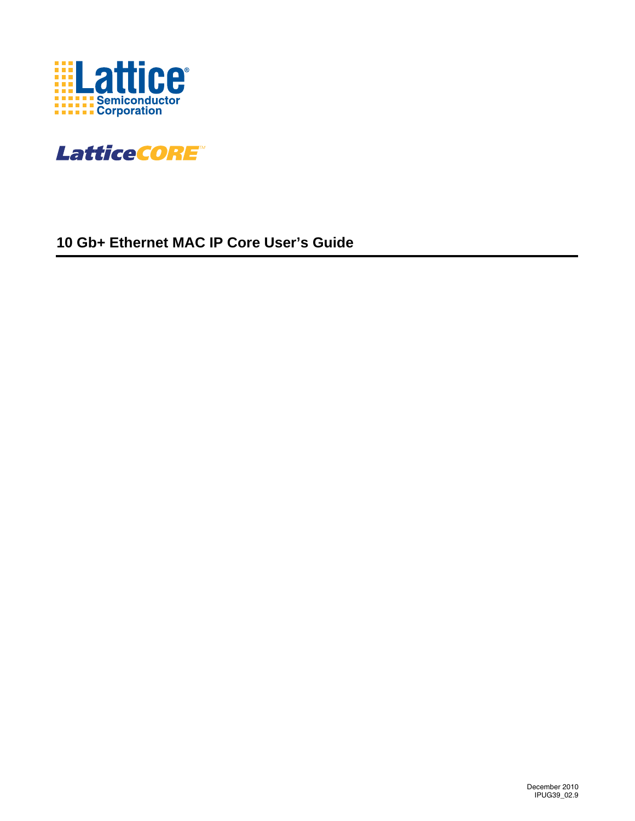



## **10 Gb+ Ethernet MAC IP Core User's Guide**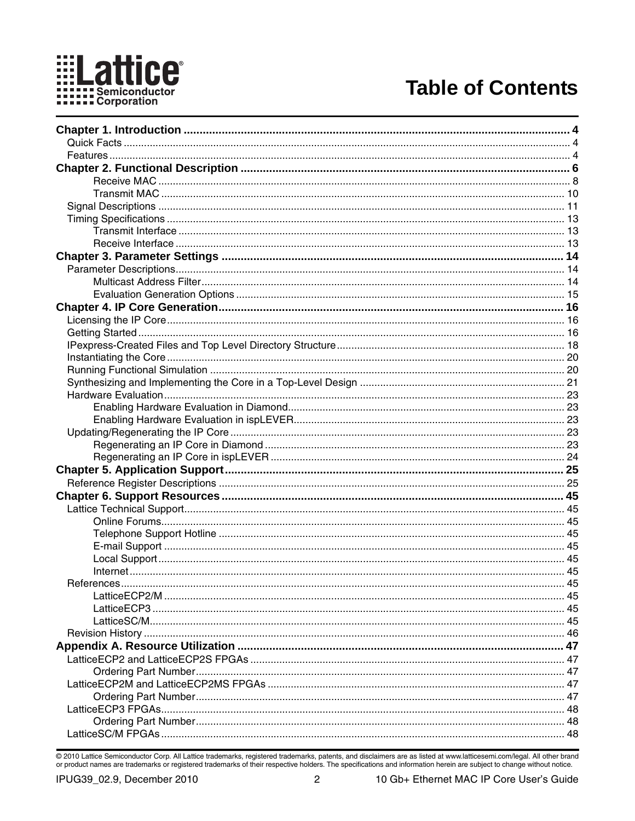

## **Table of Contents**

© 2010 Lattice Semiconductor Corp. All Lattice trademarks, registered trademarks, patents, and disclaimers are as listed at www.latticesemi.com/legal. All other brand or product names are trademarks or registered trademark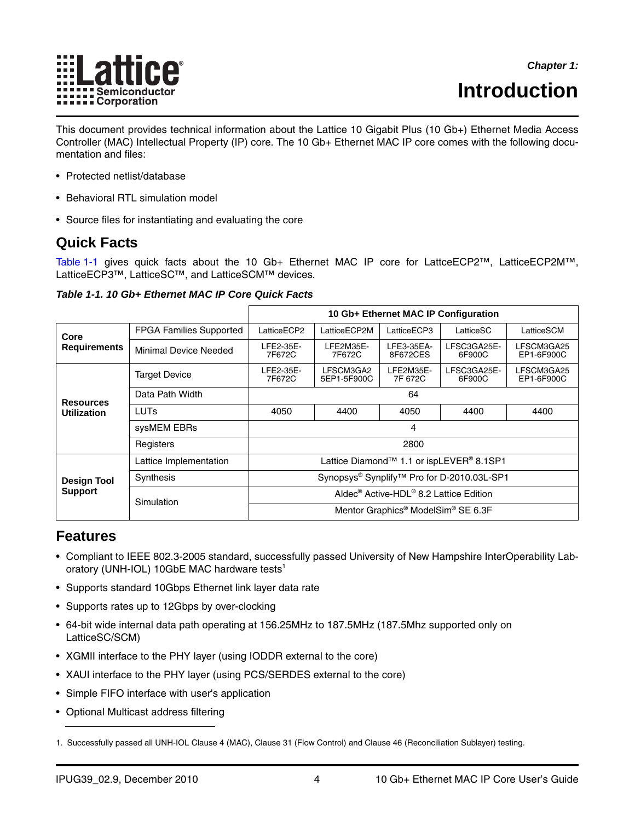

# <span id="page-3-4"></span><span id="page-3-0"></span>**Introduction**

This document provides technical information about the Lattice 10 Gigabit Plus (10 Gb+) Ethernet Media Access Controller (MAC) Intellectual Property (IP) core. The 10 Gb+ Ethernet MAC IP core comes with the following documentation and files:

- Protected netlist/database
- Behavioral RTL simulation model
- Source files for instantiating and evaluating the core

## <span id="page-3-1"></span>**Quick Facts**

[Table 1-1](#page-3-3) gives quick facts about the 10 Gb+ Ethernet MAC IP core for LattceECP2™, LatticeECP2M™, LatticeECP3™, LatticeSC™, and LatticeSCM™ devices.

<span id="page-3-3"></span>*Table 1-1. 10 Gb+ Ethernet MAC IP Core Quick Facts*

|                     |                                |                                                                  |                          | 10 Gb+ Ethernet MAC IP Configuration |                       |                          |  |
|---------------------|--------------------------------|------------------------------------------------------------------|--------------------------|--------------------------------------|-----------------------|--------------------------|--|
| Core                | <b>FPGA Families Supported</b> | LatticeECP2                                                      | LatticeECP2M             | LatticeECP3                          | LatticeSC             | LatticeSCM               |  |
| <b>Requirements</b> | Minimal Device Needed          | LFE2-35E-<br>7F672C                                              | LFE2M35E-<br>7F672C      | LFE3-35EA-<br>8F672CES               | LFSC3GA25E-<br>6F900C | LFSCM3GA25<br>EP1-6F900C |  |
|                     | <b>Target Device</b>           | LFE2-35E-<br>7F672C                                              | LFSCM3GA2<br>5EP1-5F900C | LFE2M35E-<br>7F 672C                 | LFSC3GA25E-<br>6F900C | LFSCM3GA25<br>EP1-6F900C |  |
| <b>Resources</b>    | Data Path Width                | 64                                                               |                          |                                      |                       |                          |  |
| <b>Utilization</b>  | LUTs                           | 4050                                                             | 4400                     | 4050                                 | 4400                  | 4400                     |  |
|                     | sysMEM EBRs                    | 4                                                                |                          |                                      |                       |                          |  |
|                     | Registers                      | 2800                                                             |                          |                                      |                       |                          |  |
|                     | Lattice Implementation         | Lattice Diamond <sup>™</sup> 1.1 or ispLEVER <sup>®</sup> 8.1SP1 |                          |                                      |                       |                          |  |
| <b>Design Tool</b>  | Synthesis                      | Synopsys® Synplify <sup>™</sup> Pro for D-2010.03L-SP1           |                          |                                      |                       |                          |  |
| <b>Support</b>      | Simulation                     | Aldec <sup>®</sup> Active-HDL <sup>®</sup> 8.2 Lattice Edition   |                          |                                      |                       |                          |  |
|                     |                                | Mentor Graphics <sup>®</sup> ModelSim <sup>®</sup> SE 6.3F       |                          |                                      |                       |                          |  |

## <span id="page-3-2"></span>**Features**

- Compliant to IEEE 802.3-2005 standard, successfully passed University of New Hampshire InterOperability Laboratory (UNH-IOL) 10GbE MAC hardware tests<sup>1</sup>
- Supports standard 10Gbps Ethernet link layer data rate
- Supports rates up to 12Gbps by over-clocking
- 64-bit wide internal data path operating at 156.25MHz to 187.5MHz (187.5Mhz supported only on LatticeSC/SCM)
- XGMII interface to the PHY layer (using IODDR external to the core)
- XAUI interface to the PHY layer (using PCS/SERDES external to the core)
- Simple FIFO interface with user's application
- Optional Multicast address filtering

<sup>1.</sup> Successfully passed all UNH-IOL Clause 4 (MAC), Clause 31 (Flow Control) and Clause 46 (Reconciliation Sublayer) testing.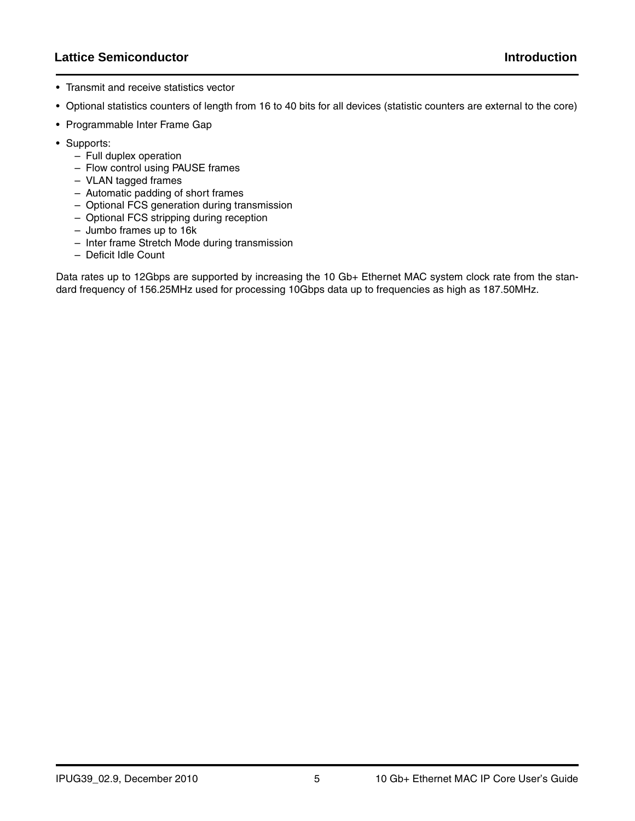## **Lattice Semiconductor Introduction**

- Transmit and receive statistics vector
- Optional statistics counters of length from 16 to 40 bits for all devices (statistic counters are external to the core)
- Programmable Inter Frame Gap
- Supports:
	- Full duplex operation
	- Flow control using PAUSE frames
	- VLAN tagged frames
	- Automatic padding of short frames
	- Optional FCS generation during transmission
	- Optional FCS stripping during reception
	- Jumbo frames up to 16k
	- Inter frame Stretch Mode during transmission
	- Deficit Idle Count

Data rates up to 12Gbps are supported by increasing the 10 Gb+ Ethernet MAC system clock rate from the standard frequency of 156.25MHz used for processing 10Gbps data up to frequencies as high as 187.50MHz.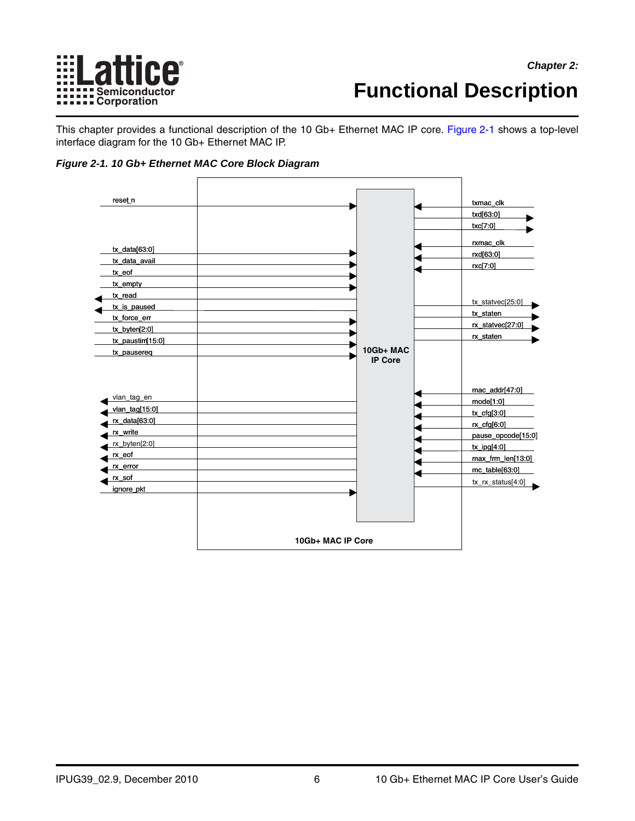

# <span id="page-5-0"></span>**Functional Description**

This chapter provides a functional description of the 10 Gb+ Ethernet MAC IP core. [Figure 2-1](#page-5-1) shows a top-level interface diagram for the 10 Gb+ Ethernet MAC IP.

<span id="page-5-1"></span>

| reset_n                                                                                                                                                |                   |                             | txmac_clk                                                                                                                                                                 |
|--------------------------------------------------------------------------------------------------------------------------------------------------------|-------------------|-----------------------------|---------------------------------------------------------------------------------------------------------------------------------------------------------------------------|
|                                                                                                                                                        |                   |                             | txd[63:0]                                                                                                                                                                 |
|                                                                                                                                                        |                   |                             | txc[7:0]                                                                                                                                                                  |
| $tx\_data[63:0]$<br>tx_data_avail<br>tx eof<br>tx_empty<br>tx read<br>tx_is_paused<br>tx_force_err<br>tx_byten[2:0]<br>tx_paustim[15:0]<br>tx_pausereq |                   | 10Gb+ MAC<br><b>IP Core</b> | rxmac_clk<br>rxd[63:0]<br>rxc[7:0]<br>tx_statvec[25:0]<br>tx_staten<br>rx_statvec[27:0]<br>rx_staten                                                                      |
| vlan_tag_en<br>vlan_tag[15:0]<br>$rx\_data[63:0]$<br>rx_write<br>rx_byten[2:0]<br>rx_eof<br>rx_error<br>rx_sof<br>ignore_pkt                           |                   |                             | mac_addr[47:0]<br>model[1:0]<br>$tx_cfg[3:0]$<br>$rx_c$ $r$ $q$ $6:0$<br>pause_opcode[15:0]<br>$tx$ _ipg[4:0]<br>max_frm_len[13:0]<br>mc_table[63:0]<br>tx_rx_status[4:0] |
|                                                                                                                                                        | 10Gb+ MAC IP Core |                             |                                                                                                                                                                           |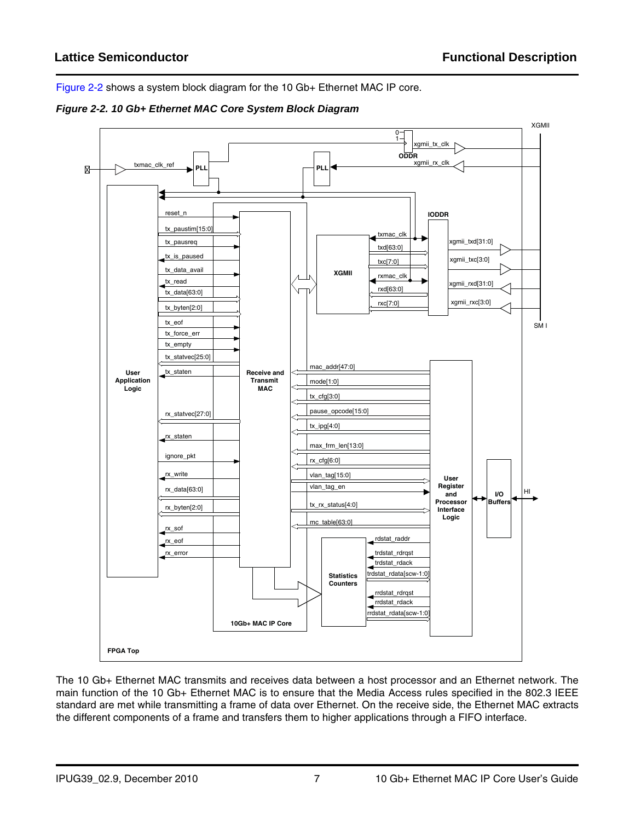[Figure](#page-6-0) 2-2 shows a system block diagram for the 10 Gb+ Ethernet MAC IP core.

<span id="page-6-0"></span>



The 10 Gb+ Ethernet MAC transmits and receives data between a host processor and an Ethernet network. The main function of the 10 Gb+ Ethernet MAC is to ensure that the Media Access rules specified in the 802.3 IEEE standard are met while transmitting a frame of data over Ethernet. On the receive side, the Ethernet MAC extracts the different components of a frame and transfers them to higher applications through a FIFO interface.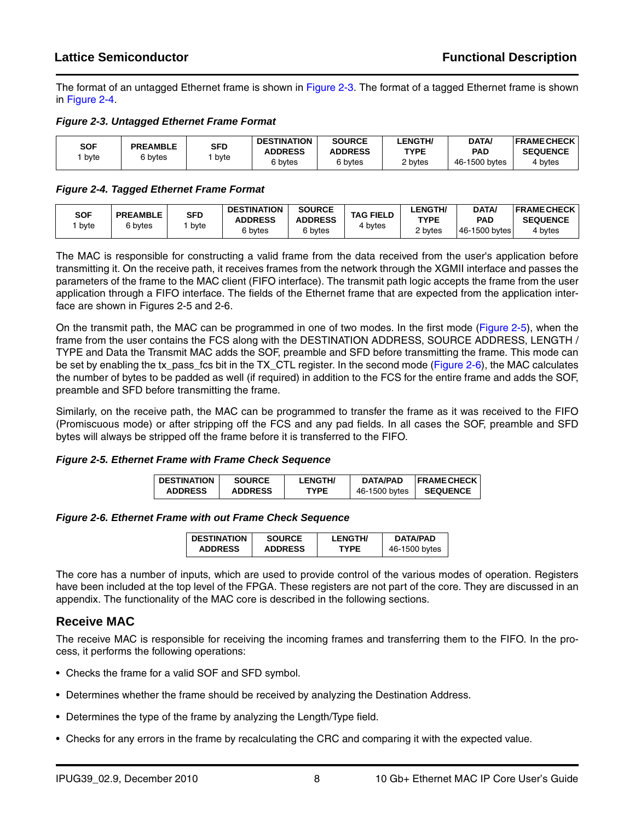The format of an untagged Ethernet frame is shown in [Figure 2-3.](#page-7-1) The format of a tagged Ethernet frame is shown in [Figure 2-4](#page-7-2).

#### <span id="page-7-1"></span>*Figure 2-3. Untagged Ethernet Frame Format*

| SOF  | <b>PREAMBLE</b><br>s bytes | SFD  | <b>DESTINATION</b><br><b>ADDRESS</b> | <b>SOURCE</b><br><b>ADDRESS</b> | <b>LENGTH/</b><br><b>TYPE</b> | DATA/<br>PAD  | <b>IFRAME CHECK</b><br><b>SEQUENCE</b> |
|------|----------------------------|------|--------------------------------------|---------------------------------|-------------------------------|---------------|----------------------------------------|
| byte |                            | byte | 6 bvtes                              | 6 bytes                         | 2 bytes                       | 46-1500 bytes | 4 bytes                                |

#### <span id="page-7-2"></span>*Figure 2-4. Tagged Ethernet Frame Format*

| SOF<br>byte | <b>PREAMBLE</b><br>6 bytes | SFD<br>byte | <b>DESTINATION</b><br><b>ADDRESS</b><br>6 bytes | <b>SOURCE</b><br><b>ADDRESS</b><br>6 bytes | <b>TAG FIELD</b><br>bytes | <b>_ENGTH/</b><br>TYPE<br>2 bytes | <b>DATA</b><br><b>PAD</b><br>46-1500 bytes | <b>FRAMECHECK</b><br><b>SEQUENCE</b><br>4 bytes |
|-------------|----------------------------|-------------|-------------------------------------------------|--------------------------------------------|---------------------------|-----------------------------------|--------------------------------------------|-------------------------------------------------|
|             |                            |             |                                                 |                                            |                           |                                   |                                            |                                                 |

The MAC is responsible for constructing a valid frame from the data received from the user's application before transmitting it. On the receive path, it receives frames from the network through the XGMII interface and passes the parameters of the frame to the MAC client (FIFO interface). The transmit path logic accepts the frame from the user application through a FIFO interface. The fields of the Ethernet frame that are expected from the application interface are shown in Figures [2-5](#page-7-3) and [2-6.](#page-7-4)

On the transmit path, the MAC can be programmed in one of two modes. In the first mode [\(Figure 2-5\)](#page-7-3), when the frame from the user contains the FCS along with the DESTINATION ADDRESS, SOURCE ADDRESS, LENGTH / TYPE and Data the Transmit MAC adds the SOF, preamble and SFD before transmitting the frame. This mode can be set by enabling the tx\_pass\_fcs bit in the TX\_CTL register. In the second mode ([Figure 2-6](#page-7-4)), the MAC calculates the number of bytes to be padded as well (if required) in addition to the FCS for the entire frame and adds the SOF, preamble and SFD before transmitting the frame.

Similarly, on the receive path, the MAC can be programmed to transfer the frame as it was received to the FIFO (Promiscuous mode) or after stripping off the FCS and any pad fields. In all cases the SOF, preamble and SFD bytes will always be stripped off the frame before it is transferred to the FIFO.

#### <span id="page-7-3"></span>*Figure 2-5. Ethernet Frame with Frame Check Sequence*

| <b>DESTINATION</b> | <b>SOURCE</b>  | <b>LENGTH/</b> | DATA/PAD      | <b>IFRAME CHECK</b> |
|--------------------|----------------|----------------|---------------|---------------------|
| <b>ADDRESS</b>     | <b>ADDRESS</b> | TYPF.          | 46-1500 bytes | <b>SEQUENCE</b>     |

<span id="page-7-4"></span>*Figure 2-6. Ethernet Frame with out Frame Check Sequence*

| <b>DESTINATION</b> | <b>SOURCE</b>  | <b>LENGTH/</b> | DATA/PAD      |
|--------------------|----------------|----------------|---------------|
| <b>ADDRESS</b>     | <b>ADDRESS</b> | TYPF           | 46-1500 bytes |

The core has a number of inputs, which are used to provide control of the various modes of operation. Registers have been included at the top level of the FPGA. These registers are not part of the core. They are discussed in an appendix. The functionality of the MAC core is described in the following sections.

## <span id="page-7-0"></span>**Receive MAC**

The receive MAC is responsible for receiving the incoming frames and transferring them to the FIFO. In the process, it performs the following operations:

- Checks the frame for a valid SOF and SFD symbol.
- Determines whether the frame should be received by analyzing the Destination Address.
- Determines the type of the frame by analyzing the Length/Type field.
- Checks for any errors in the frame by recalculating the CRC and comparing it with the expected value.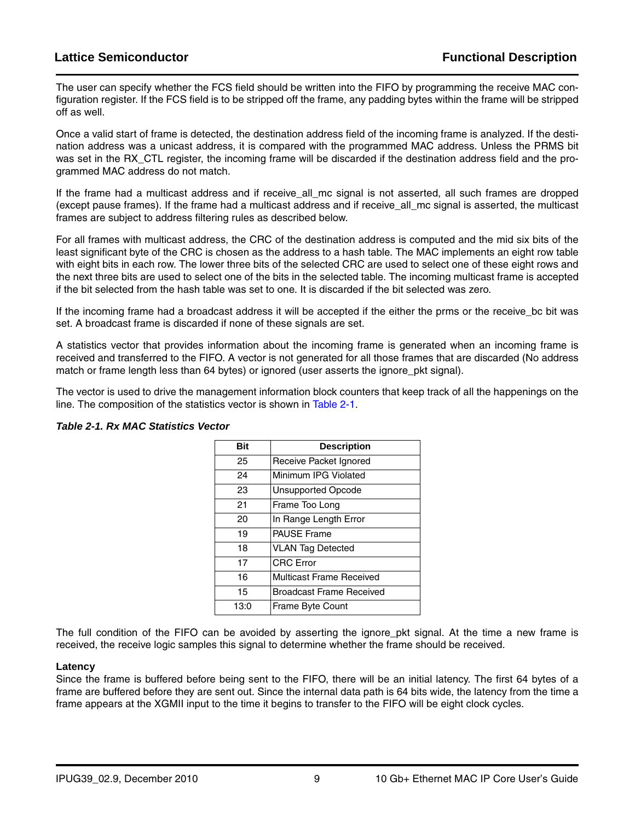The user can specify whether the FCS field should be written into the FIFO by programming the receive MAC configuration register. If the FCS field is to be stripped off the frame, any padding bytes within the frame will be stripped off as well.

Once a valid start of frame is detected, the destination address field of the incoming frame is analyzed. If the destination address was a unicast address, it is compared with the programmed MAC address. Unless the PRMS bit was set in the RX CTL register, the incoming frame will be discarded if the destination address field and the programmed MAC address do not match.

If the frame had a multicast address and if receive\_all\_mc signal is not asserted, all such frames are dropped (except pause frames). If the frame had a multicast address and if receive\_all\_mc signal is asserted, the multicast frames are subject to address filtering rules as described below.

For all frames with multicast address, the CRC of the destination address is computed and the mid six bits of the least significant byte of the CRC is chosen as the address to a hash table. The MAC implements an eight row table with eight bits in each row. The lower three bits of the selected CRC are used to select one of these eight rows and the next three bits are used to select one of the bits in the selected table. The incoming multicast frame is accepted if the bit selected from the hash table was set to one. It is discarded if the bit selected was zero.

If the incoming frame had a broadcast address it will be accepted if the either the prms or the receive bc bit was set. A broadcast frame is discarded if none of these signals are set.

A statistics vector that provides information about the incoming frame is generated when an incoming frame is received and transferred to the FIFO. A vector is not generated for all those frames that are discarded (No address match or frame length less than 64 bytes) or ignored (user asserts the ignore\_pkt signal).

The vector is used to drive the management information block counters that keep track of all the happenings on the line. The composition of the statistics vector is shown in [Table 2-1.](#page-8-0)

| Bit  | <b>Description</b>              |
|------|---------------------------------|
| 25   | Receive Packet Ignored          |
| 24   | Minimum IPG Violated            |
| 23   | <b>Unsupported Opcode</b>       |
| 21   | Frame Too Long                  |
| 20   | In Range Length Error           |
| 19   | <b>PAUSE Frame</b>              |
| 18   | <b>VLAN Tag Detected</b>        |
| 17   | <b>CRC</b> Error                |
| 16   | <b>Multicast Frame Received</b> |
| 15   | <b>Broadcast Frame Received</b> |
| 13:0 | <b>Frame Byte Count</b>         |

#### <span id="page-8-0"></span>*Table 2-1. Rx MAC Statistics Vector*

The full condition of the FIFO can be avoided by asserting the ignore\_pkt signal. At the time a new frame is received, the receive logic samples this signal to determine whether the frame should be received.

#### **Latency**

Since the frame is buffered before being sent to the FIFO, there will be an initial latency. The first 64 bytes of a frame are buffered before they are sent out. Since the internal data path is 64 bits wide, the latency from the time a frame appears at the XGMII input to the time it begins to transfer to the FIFO will be eight clock cycles.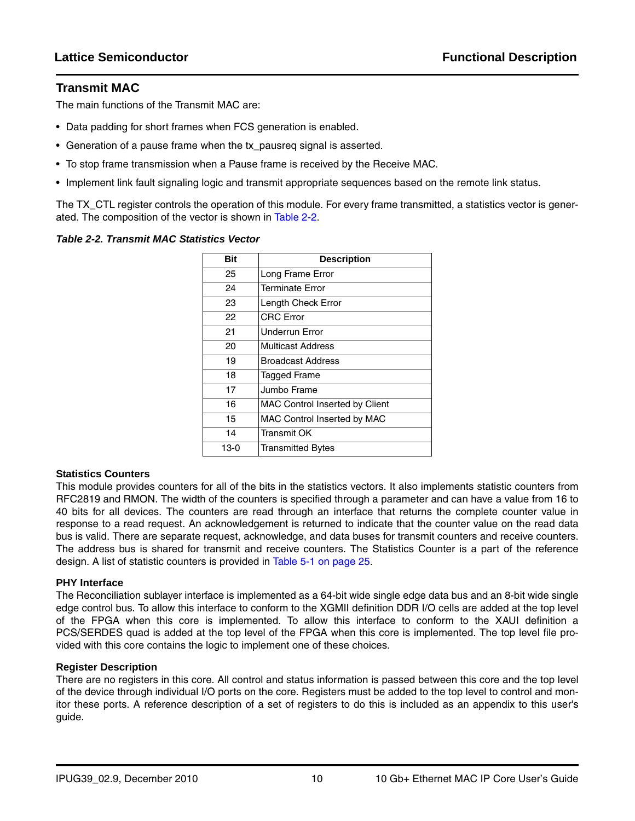### <span id="page-9-0"></span>**Transmit MAC**

The main functions of the Transmit MAC are:

- Data padding for short frames when FCS generation is enabled.
- Generation of a pause frame when the tx\_pausreq signal is asserted.
- To stop frame transmission when a Pause frame is received by the Receive MAC.
- Implement link fault signaling logic and transmit appropriate sequences based on the remote link status.

The TX CTL register controls the operation of this module. For every frame transmitted, a statistics vector is generated. The composition of the vector is shown in [Table 2-2.](#page-9-1)

#### <span id="page-9-1"></span>*Table 2-2. Transmit MAC Statistics Vector*

| <b>Bit</b> | <b>Description</b>                    |
|------------|---------------------------------------|
| 25         | Long Frame Error                      |
| 24         | <b>Terminate Error</b>                |
| 23         | Length Check Error                    |
| 22         | <b>CRC</b> Error                      |
| 21         | <b>Underrun Error</b>                 |
| 20         | Multicast Address                     |
| 19         | <b>Broadcast Address</b>              |
| 18         | <b>Tagged Frame</b>                   |
| 17         | Jumbo Frame                           |
| 16         | <b>MAC Control Inserted by Client</b> |
| 15         | MAC Control Inserted by MAC           |
| 14         | <b>Transmit OK</b>                    |
| 13-0       | <b>Transmitted Bytes</b>              |

#### **Statistics Counters**

This module provides counters for all of the bits in the statistics vectors. It also implements statistic counters from RFC2819 and RMON. The width of the counters is specified through a parameter and can have a value from 16 to 40 bits for all devices. The counters are read through an interface that returns the complete counter value in response to a read request. An acknowledgement is returned to indicate that the counter value on the read data bus is valid. There are separate request, acknowledge, and data buses for transmit counters and receive counters. The address bus is shared for transmit and receive counters. The Statistics Counter is a part of the reference design. A list of statistic counters is provided in [Table 5-1 on page 25.](#page-24-2)

#### **PHY Interface**

The Reconciliation sublayer interface is implemented as a 64-bit wide single edge data bus and an 8-bit wide single edge control bus. To allow this interface to conform to the XGMII definition DDR I/O cells are added at the top level of the FPGA when this core is implemented. To allow this interface to conform to the XAUI definition a PCS/SERDES quad is added at the top level of the FPGA when this core is implemented. The top level file provided with this core contains the logic to implement one of these choices.

#### **Register Description**

There are no registers in this core. All control and status information is passed between this core and the top level of the device through individual I/O ports on the core. Registers must be added to the top level to control and monitor these ports. A reference description of a set of registers to do this is included as an appendix to this user's guide.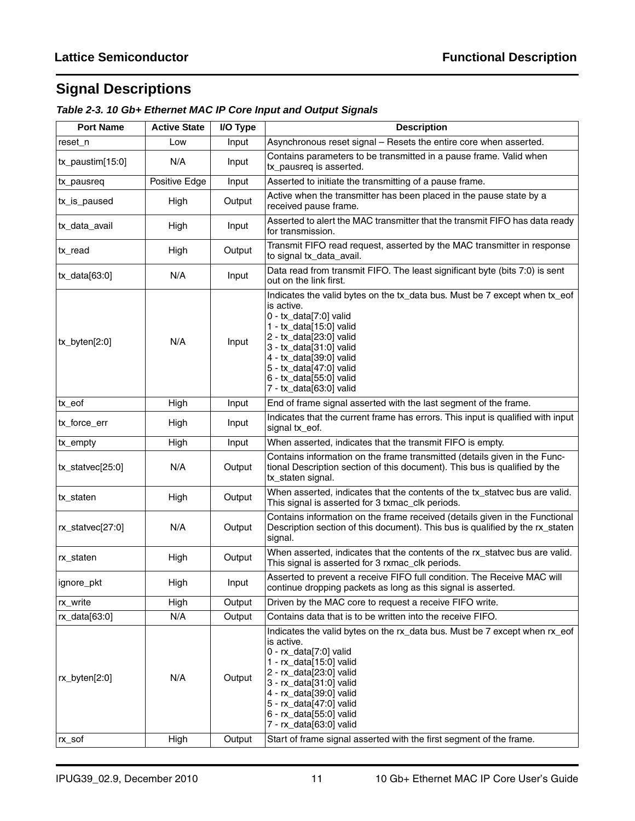## <span id="page-10-0"></span>**Signal Descriptions**

| Table 2-3. 10 Gb+ Ethernet MAC IP Core Input and Output Signals |
|-----------------------------------------------------------------|
|-----------------------------------------------------------------|

| <b>Port Name</b>       | <b>Active State</b> | I/O Type | <b>Description</b>                                                                                                                                                                                                                                                                                              |
|------------------------|---------------------|----------|-----------------------------------------------------------------------------------------------------------------------------------------------------------------------------------------------------------------------------------------------------------------------------------------------------------------|
| reset n                | Low                 | Input    | Asynchronous reset signal - Resets the entire core when asserted.                                                                                                                                                                                                                                               |
| $tx$ _paustim $[15:0]$ | N/A                 | Input    | Contains parameters to be transmitted in a pause frame. Valid when<br>tx_pausreq is asserted.                                                                                                                                                                                                                   |
| tx_pausreq             | Positive Edge       | Input    | Asserted to initiate the transmitting of a pause frame.                                                                                                                                                                                                                                                         |
| tx_is_paused           | High                | Output   | Active when the transmitter has been placed in the pause state by a<br>received pause frame.                                                                                                                                                                                                                    |
| tx_data_avail          | High                | Input    | Asserted to alert the MAC transmitter that the transmit FIFO has data ready<br>for transmission.                                                                                                                                                                                                                |
| tx_read                | High                | Output   | Transmit FIFO read request, asserted by the MAC transmitter in response<br>to signal tx_data_avail.                                                                                                                                                                                                             |
| $tx\_data[63:0]$       | N/A                 | Input    | Data read from transmit FIFO. The least significant byte (bits 7:0) is sent<br>out on the link first.                                                                                                                                                                                                           |
| tx_byten[2:0]          | N/A                 | Input    | Indicates the valid bytes on the tx_data bus. Must be 7 except when tx_eof<br>is active.<br>0 - tx_data[7:0] valid<br>1 - tx_data[15:0] valid<br>2 - tx_data[23:0] valid<br>3 - tx_data[31:0] valid<br>4 - tx_data[39:0] valid<br>5 - tx_data[47:0] valid<br>6 - tx_data[55:0] valid<br>7 - tx_data[63:0] valid |
| tx_eof                 | High                | Input    | End of frame signal asserted with the last segment of the frame.                                                                                                                                                                                                                                                |
| tx_force_err           | High                | Input    | Indicates that the current frame has errors. This input is qualified with input<br>signal tx_eof.                                                                                                                                                                                                               |
| tx_empty               | High                | Input    | When asserted, indicates that the transmit FIFO is empty.                                                                                                                                                                                                                                                       |
| tx_statvec[25:0]       | N/A                 | Output   | Contains information on the frame transmitted (details given in the Func-<br>tional Description section of this document). This bus is qualified by the<br>tx_staten signal.                                                                                                                                    |
| tx_staten              | High                | Output   | When asserted, indicates that the contents of the tx_statvec bus are valid.<br>This signal is asserted for 3 txmac_clk periods.                                                                                                                                                                                 |
| $rx\_statvec[27:0]$    | N/A                 | Output   | Contains information on the frame received (details given in the Functional<br>Description section of this document). This bus is qualified by the rx_staten<br>signal.                                                                                                                                         |
| rx_staten              | High                | Output   | When asserted, indicates that the contents of the rx_statvec bus are valid.<br>This signal is asserted for 3 rxmac_clk periods.                                                                                                                                                                                 |
| ignore_pkt             | High                | Input    | Asserted to prevent a receive FIFO full condition. The Receive MAC will<br>continue dropping packets as long as this signal is asserted.                                                                                                                                                                        |
| rx_write               | High                | Output   | Driven by the MAC core to request a receive FIFO write.                                                                                                                                                                                                                                                         |
| rx_data[63:0]          | N/A                 | Output   | Contains data that is to be written into the receive FIFO.                                                                                                                                                                                                                                                      |
| rx_byten[2:0]          | N/A                 | Output   | Indicates the valid bytes on the rx_data bus. Must be 7 except when rx_eof<br>is active.<br>0 - rx_data[7:0] valid<br>1 - rx_data[15:0] valid<br>2 - rx_data[23:0] valid<br>3 - rx_data[31:0] valid<br>4 - rx_data[39:0] valid<br>5 - rx_data[47:0] valid<br>6 - rx_data[55:0] valid<br>7 - rx_data[63:0] valid |
| rx_sof                 | High                | Output   | Start of frame signal asserted with the first segment of the frame.                                                                                                                                                                                                                                             |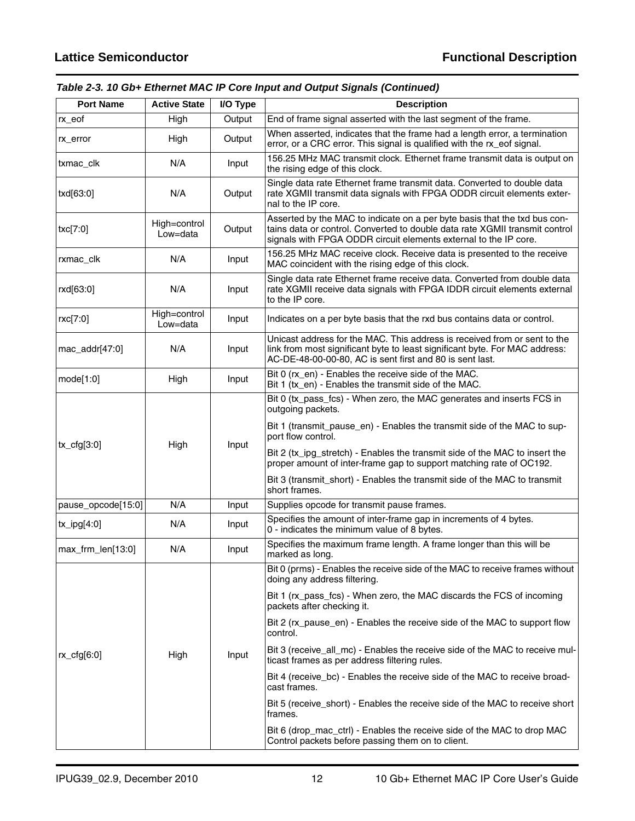## *Table 2-3. 10 Gb+ Ethernet MAC IP Core Input and Output Signals (Continued)*

| <b>Port Name</b>   | <b>Active State</b>      | I/O Type | <b>Description</b>                                                                                                                                                                                                           |
|--------------------|--------------------------|----------|------------------------------------------------------------------------------------------------------------------------------------------------------------------------------------------------------------------------------|
| rx_eof             | High                     | Output   | End of frame signal asserted with the last segment of the frame.                                                                                                                                                             |
| rx_error           | High                     | Output   | When asserted, indicates that the frame had a length error, a termination<br>error, or a CRC error. This signal is qualified with the rx_eof signal.                                                                         |
| txmac_clk          | N/A                      | Input    | 156.25 MHz MAC transmit clock. Ethernet frame transmit data is output on<br>the rising edge of this clock.                                                                                                                   |
| txd[63:0]          | N/A                      | Output   | Single data rate Ethernet frame transmit data. Converted to double data<br>rate XGMII transmit data signals with FPGA ODDR circuit elements exter-<br>nal to the IP core.                                                    |
| txc[7:0]           | High=control<br>Low=data | Output   | Asserted by the MAC to indicate on a per byte basis that the txd bus con-<br>tains data or control. Converted to double data rate XGMII transmit control<br>signals with FPGA ODDR circuit elements external to the IP core. |
| rxmac_clk          | N/A                      | Input    | 156.25 MHz MAC receive clock. Receive data is presented to the receive<br>MAC coincident with the rising edge of this clock.                                                                                                 |
| rxd[63:0]          | N/A                      | Input    | Single data rate Ethernet frame receive data. Converted from double data<br>rate XGMII receive data signals with FPGA IDDR circuit elements external<br>to the IP core.                                                      |
| rxc[7:0]           | High=control<br>Low=data | Input    | Indicates on a per byte basis that the rxd bus contains data or control.                                                                                                                                                     |
| mac_addr[47:0]     | N/A                      | Input    | Unicast address for the MAC. This address is received from or sent to the<br>link from most significant byte to least significant byte. For MAC address:<br>AC-DE-48-00-00-80, AC is sent first and 80 is sent last.         |
| mode[1:0]          | High                     | Input    | Bit 0 (rx_en) - Enables the receive side of the MAC.<br>Bit 1 (tx_en) - Enables the transmit side of the MAC.                                                                                                                |
|                    |                          |          | Bit 0 (tx_pass_fcs) - When zero, the MAC generates and inserts FCS in<br>outgoing packets.                                                                                                                                   |
|                    |                          |          | Bit 1 (transmit_pause_en) - Enables the transmit side of the MAC to sup-<br>port flow control.                                                                                                                               |
| $tx_cfg[3:0]$      | High                     | Input    | Bit 2 (tx_ipg_stretch) - Enables the transmit side of the MAC to insert the<br>proper amount of inter-frame gap to support matching rate of OC192.                                                                           |
|                    |                          |          | Bit 3 (transmit_short) - Enables the transmit side of the MAC to transmit<br>short frames.                                                                                                                                   |
| pause_opcode[15:0] | N/A                      | Input    | Supplies opcode for transmit pause frames.                                                                                                                                                                                   |
| $tx$ _ipg[4:0]     | N/A                      | Input    | Specifies the amount of inter-frame gap in increments of 4 bytes.<br>0 - indicates the minimum value of 8 bytes.                                                                                                             |
| max_frm_len[13:0]  | N/A                      | Input    | Specifies the maximum frame length. A frame longer than this will be<br>marked as long.                                                                                                                                      |
|                    |                          |          | Bit 0 (prms) - Enables the receive side of the MAC to receive frames without<br>doing any address filtering.                                                                                                                 |
|                    |                          |          | Bit 1 (rx_pass_fcs) - When zero, the MAC discards the FCS of incoming<br>packets after checking it.                                                                                                                          |
|                    |                          |          | Bit 2 (rx_pause_en) - Enables the receive side of the MAC to support flow<br>control.                                                                                                                                        |
| $rx_c$ fg $[6:0]$  | High                     | Input    | Bit 3 (receive_all_mc) - Enables the receive side of the MAC to receive mul-<br>ticast frames as per address filtering rules.                                                                                                |
|                    |                          |          | Bit 4 (receive_bc) - Enables the receive side of the MAC to receive broad-<br>cast frames.                                                                                                                                   |
|                    |                          |          | Bit 5 (receive_short) - Enables the receive side of the MAC to receive short<br>frames.                                                                                                                                      |
|                    |                          |          | Bit 6 (drop_mac_ctrl) - Enables the receive side of the MAC to drop MAC<br>Control packets before passing them on to client.                                                                                                 |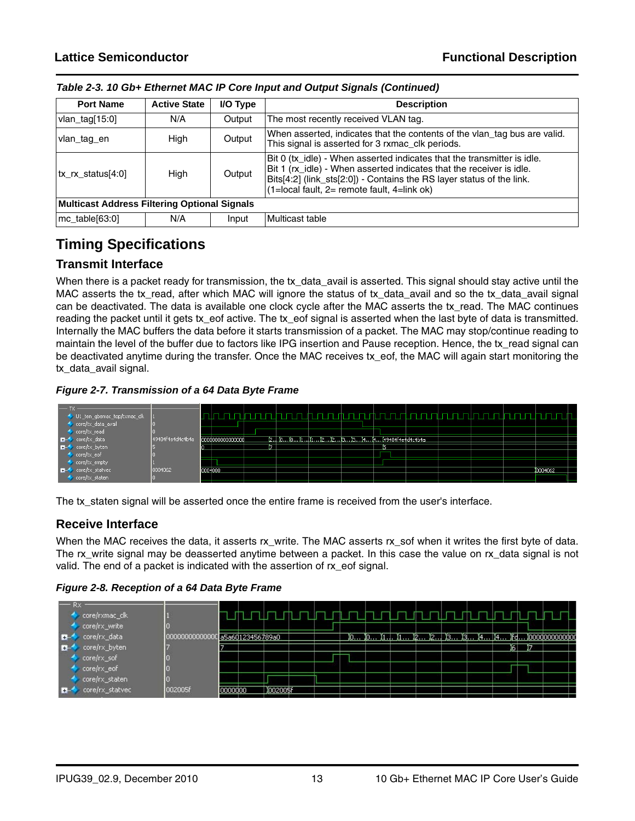| <b>Port Name</b>              | <b>Active State</b>                                 | I/O Type | <b>Description</b>                                                                                                                                                                                                                                                             |  |  |  |
|-------------------------------|-----------------------------------------------------|----------|--------------------------------------------------------------------------------------------------------------------------------------------------------------------------------------------------------------------------------------------------------------------------------|--|--|--|
| vlan_tag[15:0]                | N/A                                                 | Output   | The most recently received VLAN tag.                                                                                                                                                                                                                                           |  |  |  |
| vlan tag en                   | High                                                | Output   | When asserted, indicates that the contents of the vlan_tag bus are valid.<br>This signal is asserted for 3 rxmac clk periods.                                                                                                                                                  |  |  |  |
| $\mathsf{tx}$ rx status [4:0] | High<br>Output                                      |          | Bit 0 (tx idle) - When asserted indicates that the transmitter is idle.<br>Bit 1 (rx idle) - When asserted indicates that the receiver is idle.<br>Bits[4:2] (link_sts[2:0]) - Contains the RS layer status of the link.<br>$(1 = local fault, 2 = remote fault, 4 = link ok)$ |  |  |  |
|                               | <b>Multicast Address Filtering Optional Signals</b> |          |                                                                                                                                                                                                                                                                                |  |  |  |
| mc_table[63:0]                | N/A                                                 | Input    | Multicast table                                                                                                                                                                                                                                                                |  |  |  |

*Table 2-3. 10 Gb+ Ethernet MAC IP Core Input and Output Signals (Continued)*

## <span id="page-12-0"></span>**Timing Specifications**

## <span id="page-12-1"></span>**Transmit Interface**

When there is a packet ready for transmission, the tx\_data\_avail is asserted. This signal should stay active until the MAC asserts the tx\_read, after which MAC will ignore the status of tx\_data\_avail and so the tx\_data\_avail signal can be deactivated. The data is available one clock cycle after the MAC asserts the tx\_read. The MAC continues reading the packet until it gets tx\_eof active. The tx\_eof signal is asserted when the last byte of data is transmitted. Internally the MAC buffers the data before it starts transmission of a packet. The MAC may stop/continue reading to maintain the level of the buffer due to factors like IPG insertion and Pause reception. Hence, the tx\_read signal can be deactivated anytime during the transfer. Once the MAC receives tx\_eof, the MAC will again start monitoring the tx\_data\_avail signal.

*Figure 2-7. Transmission of a 64 Data Byte Frame*



The tx\_staten signal will be asserted once the entire frame is received from the user's interface.

## <span id="page-12-2"></span>**Receive Interface**

When the MAC receives the data, it asserts rx\_write. The MAC asserts rx\_sof when it writes the first byte of data. The rx\_write signal may be deasserted anytime between a packet. In this case the value on rx\_data signal is not valid. The end of a packet is indicated with the assertion of rx\_eof signal.

*Figure 2-8. Reception of a 64 Data Byte Frame*

|          | core/rxmac_clk<br>core/rx_write |              |         |                   |          |  |  |  |  |  |     |                                                   |  |
|----------|---------------------------------|--------------|---------|-------------------|----------|--|--|--|--|--|-----|---------------------------------------------------|--|
| <b>H</b> | core/rx_data                    | 000000000000 |         | ∎a5a60123456789a0 |          |  |  |  |  |  |     | .)o )o )1 )1 )2 )2 )3 )3 )4 )4 )fd )000d000000doc |  |
| <b>H</b> | core/rx_byten                   |              |         |                   |          |  |  |  |  |  | 16. |                                                   |  |
|          | core/rx_sof                     |              |         |                   |          |  |  |  |  |  |     |                                                   |  |
|          | core/rx_eof                     |              |         |                   |          |  |  |  |  |  |     |                                                   |  |
|          | core/rx_staten                  |              |         |                   |          |  |  |  |  |  |     |                                                   |  |
|          | core/rx_statvec                 | 002005f      | 0000000 |                   | 1002005F |  |  |  |  |  |     |                                                   |  |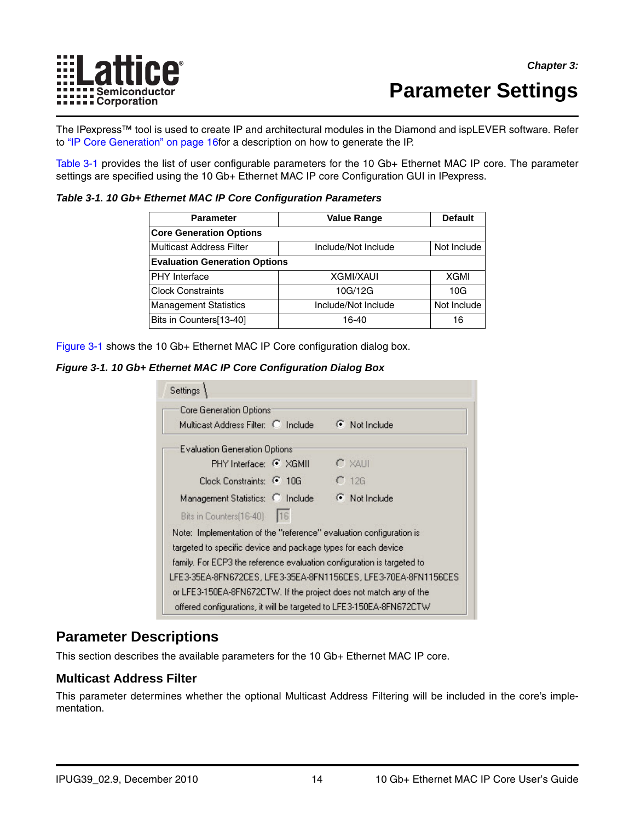

## <span id="page-13-5"></span><span id="page-13-0"></span>**Parameter Settings**

The IPexpress™ tool is used to create IP and architectural modules in the Diamond and ispLEVER software. Refer to ["IP Core Generation" on page 16f](#page-15-3)or a description on how to generate the IP.

[Table 3-1](#page-13-3) provides the list of user configurable parameters for the 10 Gb+ Ethernet MAC IP core. The parameter settings are specified using the 10 Gb+ Ethernet MAC IP core Configuration GUI in IPexpress.

#### <span id="page-13-3"></span>*Table 3-1. 10 Gb+ Ethernet MAC IP Core Configuration Parameters*

<span id="page-13-6"></span>

| <b>Parameter</b>                     | <b>Value Range</b>  | <b>Default</b> |  |  |
|--------------------------------------|---------------------|----------------|--|--|
| <b>Core Generation Options</b>       |                     |                |  |  |
| <b>Multicast Address Filter</b>      | Include/Not Include | Not Include    |  |  |
| <b>Evaluation Generation Options</b> |                     |                |  |  |
| <b>PHY</b> Interface                 | <b>XGMI/XAUI</b>    | <b>XGMI</b>    |  |  |
| <b>Clock Constraints</b>             | 10G/12G             | 10G            |  |  |
| <b>Management Statistics</b>         | Include/Not Include | Not Include    |  |  |
| Bits in Counters[13-40]              | 16-40               | 16             |  |  |

[Figure 3-1](#page-13-4) shows the 10 Gb+ Ethernet MAC IP Core configuration dialog box.

#### <span id="page-13-4"></span>*Figure 3-1. 10 Gb+ Ethernet MAC IP Core Configuration Dialog Box*

| Settings                                                                                                                              |                                                                 |
|---------------------------------------------------------------------------------------------------------------------------------------|-----------------------------------------------------------------|
| Core Generation Options:<br>Multicast Address Filter: C Include                                                                       | $\odot$ Not Include                                             |
| Evaluation Generation Options:                                                                                                        |                                                                 |
| PHY Interface: C XGMII                                                                                                                | $C \times$ AHI                                                  |
| Clock Constraints: C 106                                                                                                              | $C$ 12G                                                         |
| Management Statistics: C Include<br>Bits in Counters [16-40]<br>116                                                                   | C Not Include                                                   |
| Note: Implementation of the "reference" evaluation configuration is<br>targeted to specific device and package types for each device. |                                                                 |
| family. For ECP3 the reference evaluation configuration is targeted to                                                                |                                                                 |
| or LFE3-150EA-8FN672CTW. If the project does not match any of the                                                                     | LFE3-35EA-8FN672CES, LFE3-35EA-8FN1156CES, LFE3-70EA-8FN1156CES |
| offered configurations, it will be targeted to LFE3-150EA-8FN672CTW                                                                   |                                                                 |

## <span id="page-13-1"></span>**Parameter Descriptions**

This section describes the available parameters for the 10 Gb+ Ethernet MAC IP core.

#### <span id="page-13-2"></span>**Multicast Address Filter**

This parameter determines whether the optional Multicast Address Filtering will be included in the core's implementation.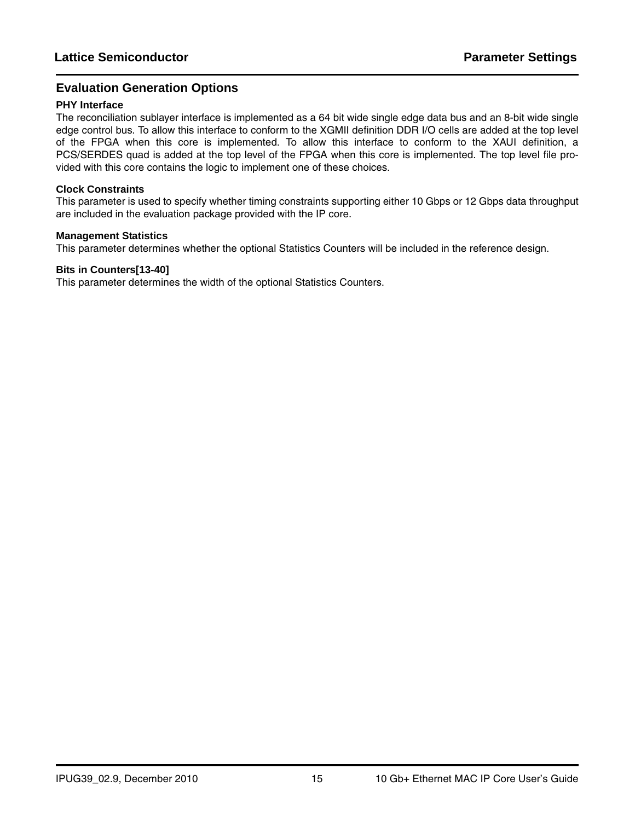### <span id="page-14-0"></span>**Evaluation Generation Options**

#### **PHY Interface**

The reconciliation sublayer interface is implemented as a 64 bit wide single edge data bus and an 8-bit wide single edge control bus. To allow this interface to conform to the XGMII definition DDR I/O cells are added at the top level of the FPGA when this core is implemented. To allow this interface to conform to the XAUI definition, a PCS/SERDES quad is added at the top level of the FPGA when this core is implemented. The top level file provided with this core contains the logic to implement one of these choices.

#### **Clock Constraints**

This parameter is used to specify whether timing constraints supporting either 10 Gbps or 12 Gbps data throughput are included in the evaluation package provided with the IP core.

#### **Management Statistics**

This parameter determines whether the optional Statistics Counters will be included in the reference design.

#### **Bits in Counters[13-40]**

This parameter determines the width of the optional Statistics Counters.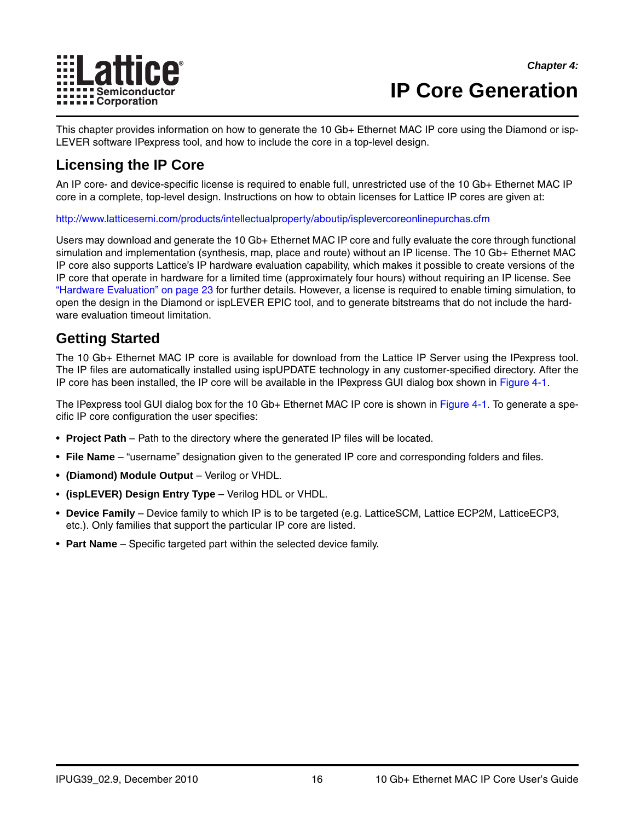

## <span id="page-15-3"></span><span id="page-15-0"></span>**IP Core Generation**

This chapter provides information on how to generate the 10 Gb+ Ethernet MAC IP core using the Diamond or isp-LEVER software IPexpress tool, and how to include the core in a top-level design.

## <span id="page-15-1"></span>**Licensing the IP Core**

An IP core- and device-specific license is required to enable full, unrestricted use of the 10 Gb+ Ethernet MAC IP core in a complete, top-level design. Instructions on how to obtain licenses for Lattice IP cores are given at:

<http://www.latticesemi.com/products/intellectualproperty/aboutip/isplevercoreonlinepurchas.cfm>

Users may download and generate the 10 Gb+ Ethernet MAC IP core and fully evaluate the core through functional simulation and implementation (synthesis, map, place and route) without an IP license. The 10 Gb+ Ethernet MAC IP core also supports Lattice's IP hardware evaluation capability, which makes it possible to create versions of the IP core that operate in hardware for a limited time (approximately four hours) without requiring an IP license. See ["Hardware Evaluation" on page 23](#page-22-0) for further details. However, a license is required to enable timing simulation, to open the design in the Diamond or ispLEVER EPIC tool, and to generate bitstreams that do not include the hardware evaluation timeout limitation.

## <span id="page-15-2"></span>**Getting Started**

The 10 Gb+ Ethernet MAC IP core is available for download from the Lattice IP Server using the IPexpress tool. The IP files are automatically installed using ispUPDATE technology in any customer-specified directory. After the IP core has been installed, the IP core will be available in the IPexpress GUI dialog box shown in [Figure 4-1.](#page-16-0)

The IPexpress tool GUI dialog box for the 10 Gb+ Ethernet MAC IP core is shown in [Figure 4-1.](#page-16-0) To generate a specific IP core configuration the user specifies:

- **Project Path** Path to the directory where the generated IP files will be located.
- **File Name** "username" designation given to the generated IP core and corresponding folders and files.
- **(Diamond) Module Output**  Verilog or VHDL.
- **(ispLEVER) Design Entry Type** Verilog HDL or VHDL.
- **Device Family** Device family to which IP is to be targeted (e.g. LatticeSCM, Lattice ECP2M, LatticeECP3, etc.). Only families that support the particular IP core are listed.
- **Part Name** Specific targeted part within the selected device family.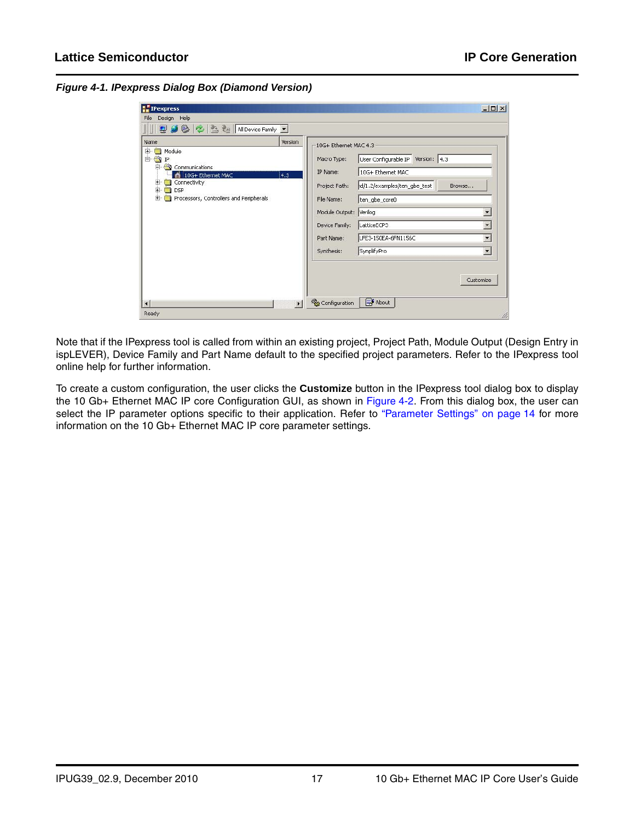<span id="page-16-0"></span>*Figure 4-1. IPexpress Dialog Box (Diamond Version)*

| <b>型の影をきを All Device Family •</b>                                                                                                                                    |                |                                                                                                                                                 |                                                                                                                                                                        |                                                                                    |
|----------------------------------------------------------------------------------------------------------------------------------------------------------------------|----------------|-------------------------------------------------------------------------------------------------------------------------------------------------|------------------------------------------------------------------------------------------------------------------------------------------------------------------------|------------------------------------------------------------------------------------|
| Name<br>Module<br>田-<br>白 or IP<br>Communications<br>Eŀ<br>10G+ Ethernet MAC<br>田<br>Connectivity<br>田<br><b>DSP</b><br>Processors, Controllers and Peripherals<br>田 | Version<br>4.3 | 10G+ Ethernet MAC 4.3<br>Macro Type:<br>IP Name:<br>Project Path:<br>File Name:<br>Module Output:<br>Device Family:<br>Part Name:<br>Synthesis: | User Configurable IP Version: 4,3<br>10G+ Ethernet MAC<br>d/1.2/examples/ten_gbe_test<br>ten_gbe_core0<br>Verilog<br>LatticeECP3<br>LFE3-150EA-6FN1156C<br>SynplifyPro | Browse<br>$\overline{\phantom{a}}$<br>$\blacktriangledown$<br>$\blacktriangledown$ |
|                                                                                                                                                                      |                |                                                                                                                                                 |                                                                                                                                                                        | Customize                                                                          |

Note that if the IPexpress tool is called from within an existing project, Project Path, Module Output (Design Entry in ispLEVER), Device Family and Part Name default to the specified project parameters. Refer to the IPexpress tool online help for further information.

To create a custom configuration, the user clicks the **Customize** button in the IPexpress tool dialog box to display the 10 Gb+ Ethernet MAC IP core Configuration GUI, as shown in [Figure 4-2](#page-17-1). From this dialog box, the user can select the IP parameter options specific to their application. Refer to ["Parameter Settings" on page 14](#page-13-5) for more information on the 10 Gb+ Ethernet MAC IP core parameter settings.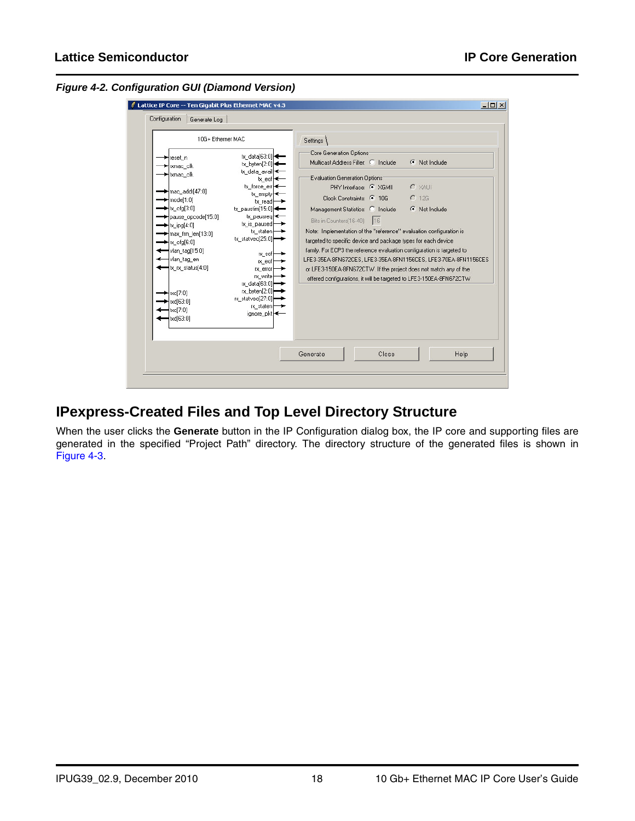<span id="page-17-1"></span>*Figure 4-2. Configuration GUI (Diamond Version)*



## <span id="page-17-0"></span>**IPexpress-Created Files and Top Level Directory Structure**

When the user clicks the **Generate** button in the IP Configuration dialog box, the IP core and supporting files are generated in the specified "Project Path" directory. The directory structure of the generated files is shown in [Figure 4-3.](#page-18-0)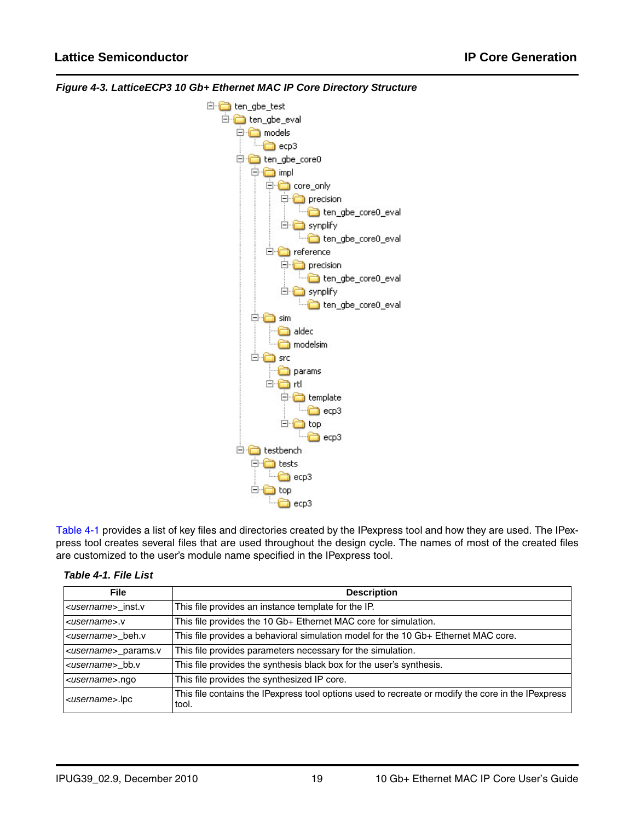

<span id="page-18-0"></span>*Figure 4-3. LatticeECP3 10 Gb+ Ethernet MAC IP Core Directory Structure*

[Table 4-1](#page-18-1) provides a list of key files and directories created by the IPexpress tool and how they are used. The IPexpress tool creates several files that are used throughout the design cycle. The names of most of the created files are customized to the user's module name specified in the IPexpress tool.

<span id="page-18-1"></span>

| <b>File</b>                    | <b>Description</b>                                                                                          |
|--------------------------------|-------------------------------------------------------------------------------------------------------------|
| <username>_inst.v</username>   | This file provides an instance template for the IP.                                                         |
| <username>.v</username>        | This file provides the 10 Gb+ Ethernet MAC core for simulation.                                             |
| <username> beh.v</username>    | This file provides a behavioral simulation model for the 10 Gb+ Ethernet MAC core.                          |
| <username> params.v</username> | This file provides parameters necessary for the simulation.                                                 |
| <username> bb.v</username>     | This file provides the synthesis black box for the user's synthesis.                                        |
| <username>.ngo</username>      | This file provides the synthesized IP core.                                                                 |
| <username>.lpc</username>      | This file contains the IPexpress tool options used to recreate or modify the core in the IPexpress<br>tool. |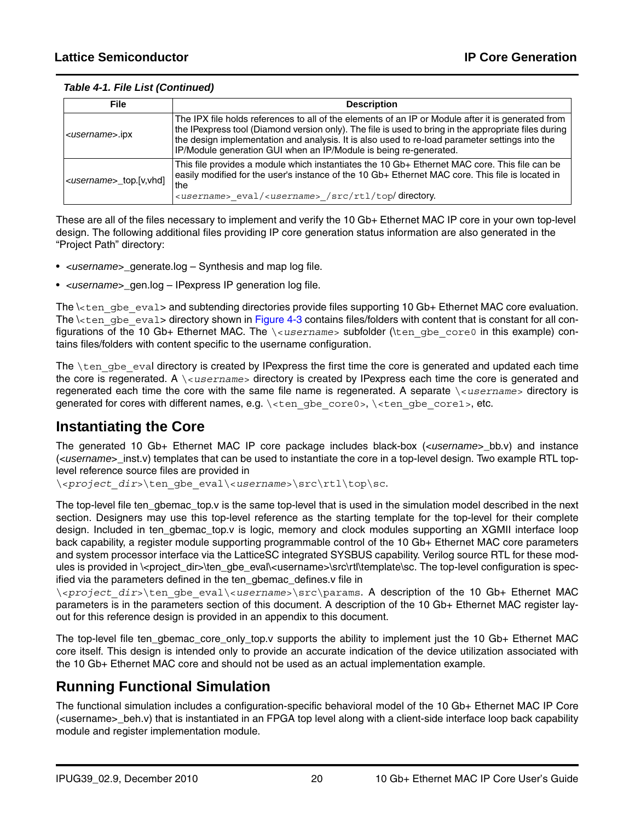#### *Table 4-1. File List (Continued)*

| File                              | <b>Description</b>                                                                                                                                                                                                                                                                                                                                                                |
|-----------------------------------|-----------------------------------------------------------------------------------------------------------------------------------------------------------------------------------------------------------------------------------------------------------------------------------------------------------------------------------------------------------------------------------|
| <username>.ipx</username>         | The IPX file holds references to all of the elements of an IP or Module after it is generated from<br>the IPexpress tool (Diamond version only). The file is used to bring in the appropriate files during<br>the design implementation and analysis. It is also used to re-load parameter settings into the<br>IP/Module generation GUI when an IP/Module is being re-generated. |
| <username>_top.[v,vhd]</username> | This file provides a module which instantiates the 10 Gb+ Ethernet MAC core. This file can be<br>easily modified for the user's instance of the 10 Gb+ Ethernet MAC core. This file is located in<br>lthe<br><username> eval/<username> /src/rtl/top/directory.</username></username>                                                                                             |

These are all of the files necessary to implement and verify the 10 Gb+ Ethernet MAC IP core in your own top-level design. The following additional files providing IP core generation status information are also generated in the "Project Path" directory:

- <*username*>\_generate.log Synthesis and map log file.
- <*username*>\_gen.log IPexpress IP generation log file.

The \<ten\_gbe\_eval> and subtending directories provide files supporting 10 Gb+ Ethernet MAC core evaluation. The  $\lambda$ ten gbe eval> directory shown in [Figure 4-3](#page-18-0) contains files/folders with content that is constant for all configurations of the 10 Gb+ Ethernet MAC. The *\*<username> subfolder (\ten gbe core0 in this example) contains files/folders with content specific to the username configuration.

The  $\ten$  gbe eval directory is created by IPexpress the first time the core is generated and updated each time the core is regenerated. A \<*username*> directory is created by IPexpress each time the core is generated and regenerated each time the core with the same file name is regenerated. A separate \<*username*> directory is generated for cores with different names, e.g. \<ten\_gbe\_core0>, \<ten\_gbe\_core1>, etc.

## <span id="page-19-0"></span>**Instantiating the Core**

The generated 10 Gb+ Ethernet MAC IP core package includes black-box (<*username*>\_bb.v) and instance (<*username*>\_inst.v) templates that can be used to instantiate the core in a top-level design. Two example RTL toplevel reference source files are provided in

\<*project\_dir*>\ten\_gbe\_eval\<*username*>\src\rtl\top\sc.

The top-level file ten gbemac top.v is the same top-level that is used in the simulation model described in the next section. Designers may use this top-level reference as the starting template for the top-level for their complete design. Included in ten\_gbemac\_top.v is logic, memory and clock modules supporting an XGMII interface loop back capability, a register module supporting programmable control of the 10 Gb+ Ethernet MAC core parameters and system processor interface via the LatticeSC integrated SYSBUS capability. Verilog source RTL for these modules is provided in \<project\_dir>\ten\_gbe\_eval\<username>\src\rtl\template\sc. The top-level configuration is specified via the parameters defined in the ten\_gbemac\_defines.v file in

\<*project\_dir*>\ten\_gbe\_eval\<*username*>\src\params. A description of the 10 Gb+ Ethernet MAC parameters is in the parameters section of this document. A description of the 10 Gb+ Ethernet MAC register layout for this reference design is provided in an appendix to this document.

The top-level file ten\_gbemac\_core\_only\_top.v supports the ability to implement just the 10 Gb+ Ethernet MAC core itself. This design is intended only to provide an accurate indication of the device utilization associated with the 10 Gb+ Ethernet MAC core and should not be used as an actual implementation example.

## <span id="page-19-1"></span>**Running Functional Simulation**

The functional simulation includes a configuration-specific behavioral model of the 10 Gb+ Ethernet MAC IP Core (<username>\_beh.v) that is instantiated in an FPGA top level along with a client-side interface loop back capability module and register implementation module.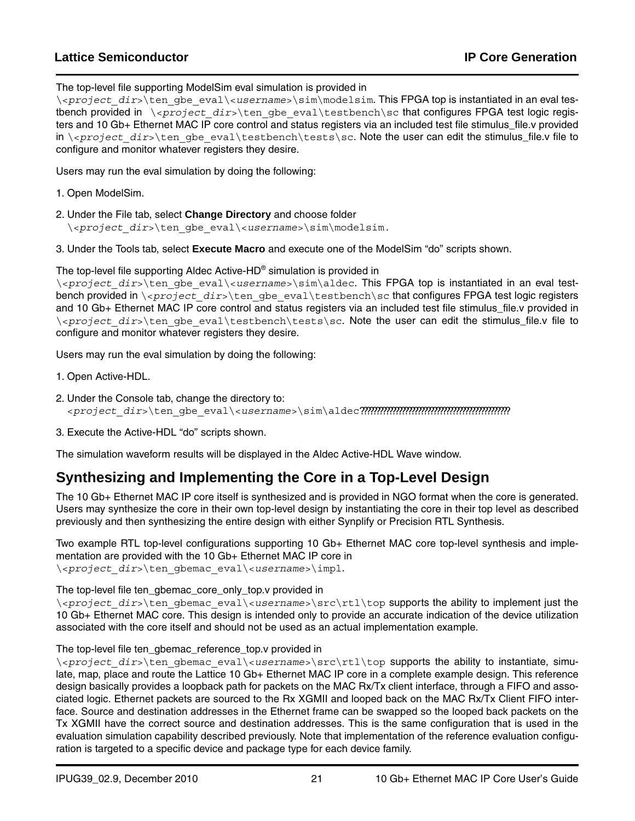## **Lattice Semiconductor IP Core Generation**

#### The top-level file supporting ModelSim eval simulation is provided in

\<*project\_dir*>\ten\_gbe\_eval\<*username*>\sim\modelsim. This FPGA top is instantiated in an eval testbench provided in \<*project\_dir*>\ten\_gbe\_eval\testbench\sc that configures FPGA test logic registers and 10 Gb+ Ethernet MAC IP core control and status registers via an included test file stimulus\_file.v provided in \<project\_dir>\ten\_gbe\_eval\testbench\tests\sc. Note the user can edit the stimulus\_file.v file to configure and monitor whatever registers they desire.

Users may run the eval simulation by doing the following:

- 1. Open ModelSim.
- 2. Under the File tab, select **Change Directory** and choose folder \<*project\_dir*>\ten\_gbe\_eval\<*username*>\sim\modelsim.

3. Under the Tools tab, select **Execute Macro** and execute one of the ModelSim "do" scripts shown.

The top-level file supporting Aldec Active-HD® simulation is provided in

\<*project\_dir*>\ten\_gbe\_eval\<*username*>\sim\aldec. This FPGA top is instantiated in an eval testbench provided in \<*project\_dir*>\ten\_gbe\_eval\testbench\sc that configures FPGA test logic registers and 10 Gb+ Ethernet MAC IP core control and status registers via an included test file stimulus\_file.v provided in \<*project\_dir*>\ten\_gbe\_eval\testbench\tests\sc. Note the user can edit the stimulus\_file.v file to configure and monitor whatever registers they desire.

Users may run the eval simulation by doing the following:

- 1. Open Active-HDL.
- 2. Under the Console tab, change the directory to: <*project\_dir*>\ten\_gbe\_eval\<*username*>\sim\aldec???????????????????????????????????????????????
- 3. Execute the Active-HDL "do" scripts shown.

The simulation waveform results will be displayed in the Aldec Active-HDL Wave window.

## <span id="page-20-0"></span>**Synthesizing and Implementing the Core in a Top-Level Design**

The 10 Gb+ Ethernet MAC IP core itself is synthesized and is provided in NGO format when the core is generated. Users may synthesize the core in their own top-level design by instantiating the core in their top level as described previously and then synthesizing the entire design with either Synplify or Precision RTL Synthesis.

Two example RTL top-level configurations supporting 10 Gb+ Ethernet MAC core top-level synthesis and implementation are provided with the 10 Gb+ Ethernet MAC IP core in \<*project\_dir*>\ten\_gbemac\_eval\<*username*>\impl.

The top-level file ten\_gbemac\_core\_only\_top.v provided in

\<*project\_dir*>\ten\_gbemac\_eval\<*username*>\src\rtl\top supports the ability to implement just the 10 Gb+ Ethernet MAC core. This design is intended only to provide an accurate indication of the device utilization associated with the core itself and should not be used as an actual implementation example.

#### The top-level file ten\_gbemac\_reference\_top.v provided in

\<*project\_dir*>\ten\_gbemac\_eval\<*username*>\src\rtl\top supports the ability to instantiate, simulate, map, place and route the Lattice 10 Gb+ Ethernet MAC IP core in a complete example design. This reference design basically provides a loopback path for packets on the MAC Rx/Tx client interface, through a FIFO and associated logic. Ethernet packets are sourced to the Rx XGMII and looped back on the MAC Rx/Tx Client FIFO interface. Source and destination addresses in the Ethernet frame can be swapped so the looped back packets on the Tx XGMII have the correct source and destination addresses. This is the same configuration that is used in the evaluation simulation capability described previously. Note that implementation of the reference evaluation configuration is targeted to a specific device and package type for each device family.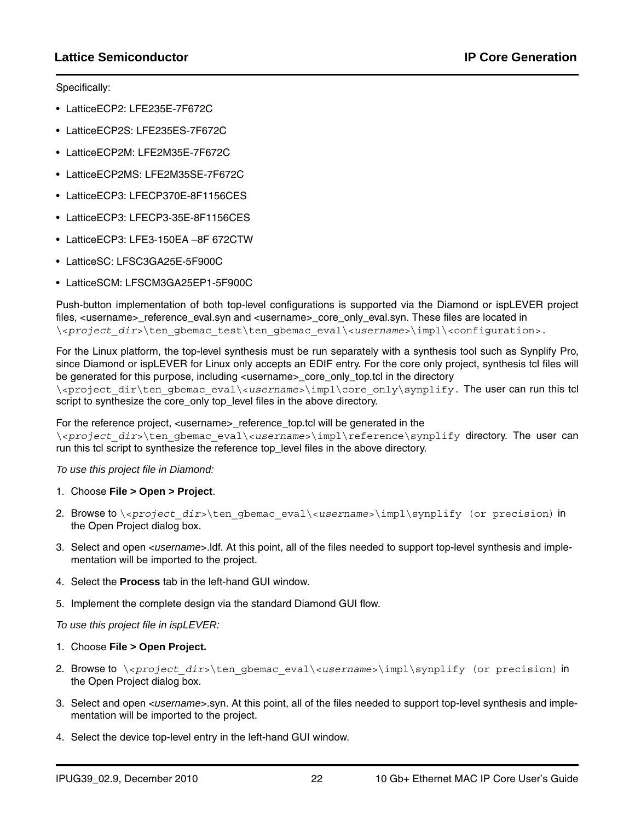Specifically:

- LatticeECP2: LFE235E-7F672C
- LatticeECP2S: LFE235ES-7F672C
- LatticeECP2M: LFE2M35E-7F672C
- LatticeECP2MS: LFE2M35SE-7F672C
- LatticeECP3: LFECP370E-8F1156CES
- LatticeECP3: LFECP3-35E-8F1156CES
- LatticeECP3: LFE3-150EA –8F 672CTW
- LatticeSC: LFSC3GA25E-5F900C
- LatticeSCM: LFSCM3GA25EP1-5F900C

Push-button implementation of both top-level configurations is supported via the Diamond or ispLEVER project files, <username> reference eval.syn and <username> core only eval.syn. These files are located in \<*project\_dir*>\ten\_gbemac\_test\ten\_gbemac\_eval\<*username*>\impl\<configuration>.

For the Linux platform, the top-level synthesis must be run separately with a synthesis tool such as Synplify Pro, since Diamond or ispLEVER for Linux only accepts an EDIF entry. For the core only project, synthesis tcl files will be generated for this purpose, including <username>\_core\_only\_top.tcl in the directory \<project\_dir\ten\_gbemac\_eval\<*username*>\impl\core\_only\synplify. The user can run this tcl script to synthesize the core only top level files in the above directory.

For the reference project, <username> reference\_top.tcl will be generated in the

\<*project\_dir*>\ten\_gbemac\_eval\<*username*>\impl\reference\synplify directory. The user can run this tcl script to synthesize the reference top level files in the above directory.

*To use this project file in Diamond:*

- 1. Choose **File > Open > Project**.
- 2. Browse to \<*project\_dir*>\ten\_gbemac\_eval\<*username*>\impl\synplify (or precision) in the Open Project dialog box.
- 3. Select and open <*username*>.ldf. At this point, all of the files needed to support top-level synthesis and implementation will be imported to the project.
- 4. Select the **Process** tab in the left-hand GUI window.
- 5. Implement the complete design via the standard Diamond GUI flow.

#### *To use this project file in ispLEVER:*

#### 1. Choose **File > Open Project.**

- 2. Browse to \*<project dir*>\ten gbemac eval\*<username*>\impl\synplify (or precision) in the Open Project dialog box.
- 3. Select and open <*username*>.syn. At this point, all of the files needed to support top-level synthesis and implementation will be imported to the project.
- 4. Select the device top-level entry in the left-hand GUI window.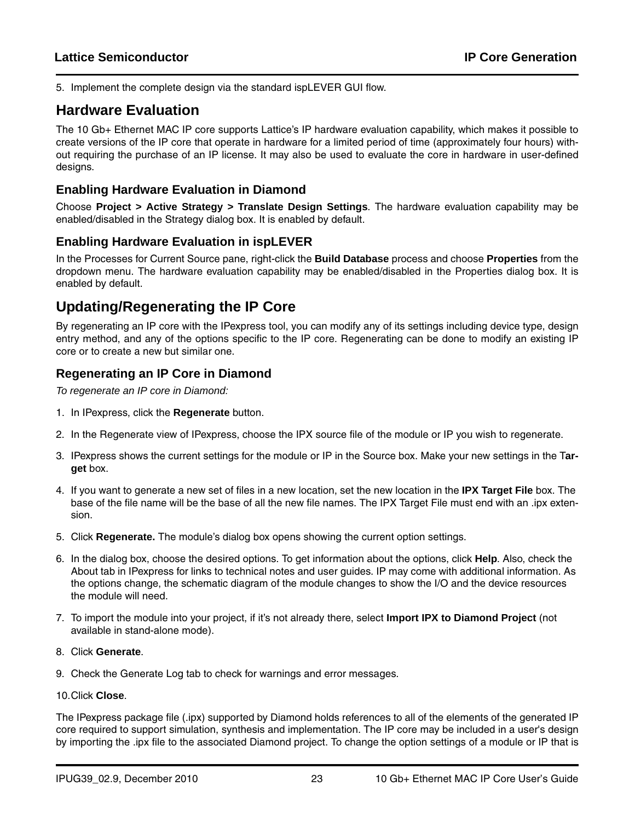5. Implement the complete design via the standard ispLEVER GUI flow.

## <span id="page-22-0"></span>**Hardware Evaluation**

The 10 Gb+ Ethernet MAC IP core supports Lattice's IP hardware evaluation capability, which makes it possible to create versions of the IP core that operate in hardware for a limited period of time (approximately four hours) without requiring the purchase of an IP license. It may also be used to evaluate the core in hardware in user-defined designs.

#### <span id="page-22-1"></span>**Enabling Hardware Evaluation in Diamond**

Choose **Project > Active Strategy > Translate Design Settings**. The hardware evaluation capability may be enabled/disabled in the Strategy dialog box. It is enabled by default.

### <span id="page-22-2"></span>**Enabling Hardware Evaluation in ispLEVER**

In the Processes for Current Source pane, right-click the **Build Database** process and choose **Properties** from the dropdown menu. The hardware evaluation capability may be enabled/disabled in the Properties dialog box. It is enabled by default.

## <span id="page-22-3"></span>**Updating/Regenerating the IP Core**

By regenerating an IP core with the IPexpress tool, you can modify any of its settings including device type, design entry method, and any of the options specific to the IP core. Regenerating can be done to modify an existing IP core or to create a new but similar one.

### <span id="page-22-4"></span>**Regenerating an IP Core in Diamond**

*To regenerate an IP core in Diamond:*

- 1. In IPexpress, click the **Regenerate** button.
- 2. In the Regenerate view of IPexpress, choose the IPX source file of the module or IP you wish to regenerate.
- 3. IPexpress shows the current settings for the module or IP in the Source box. Make your new settings in the T**arget** box.
- 4. If you want to generate a new set of files in a new location, set the new location in the **IPX Target File** box. The base of the file name will be the base of all the new file names. The IPX Target File must end with an .ipx extension.
- 5. Click **Regenerate.** The module's dialog box opens showing the current option settings.
- 6. In the dialog box, choose the desired options. To get information about the options, click **Help**. Also, check the About tab in IPexpress for links to technical notes and user guides. IP may come with additional information. As the options change, the schematic diagram of the module changes to show the I/O and the device resources the module will need.
- 7. To import the module into your project, if it's not already there, select **Import IPX to Diamond Project** (not available in stand-alone mode).
- 8. Click **Generate**.
- 9. Check the Generate Log tab to check for warnings and error messages.

#### 10.Click **Close**.

The IPexpress package file (.ipx) supported by Diamond holds references to all of the elements of the generated IP core required to support simulation, synthesis and implementation. The IP core may be included in a user's design by importing the .ipx file to the associated Diamond project. To change the option settings of a module or IP that is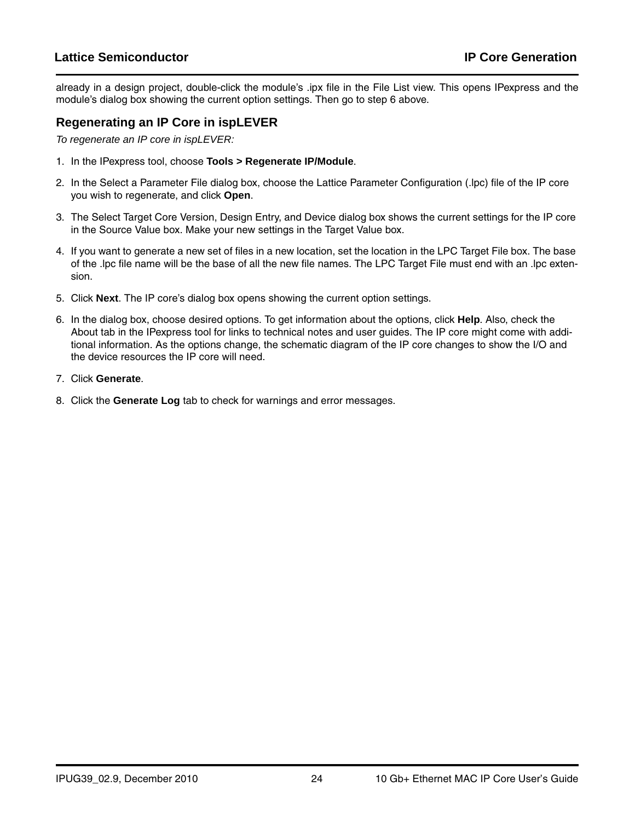### **Lattice Semiconductor IP Core Generation**

already in a design project, double-click the module's .ipx file in the File List view. This opens IPexpress and the module's dialog box showing the current option settings. Then go to step 6 above.

### <span id="page-23-0"></span>**Regenerating an IP Core in ispLEVER**

*To regenerate an IP core in ispLEVER:*

- 1. In the IPexpress tool, choose **Tools > Regenerate IP/Module**.
- 2. In the Select a Parameter File dialog box, choose the Lattice Parameter Configuration (.lpc) file of the IP core you wish to regenerate, and click **Open**.
- 3. The Select Target Core Version, Design Entry, and Device dialog box shows the current settings for the IP core in the Source Value box. Make your new settings in the Target Value box.
- 4. If you want to generate a new set of files in a new location, set the location in the LPC Target File box. The base of the .lpc file name will be the base of all the new file names. The LPC Target File must end with an .lpc extension.
- 5. Click **Next**. The IP core's dialog box opens showing the current option settings.
- 6. In the dialog box, choose desired options. To get information about the options, click **Help**. Also, check the About tab in the IPexpress tool for links to technical notes and user guides. The IP core might come with additional information. As the options change, the schematic diagram of the IP core changes to show the I/O and the device resources the IP core will need.
- 7. Click **Generate**.
- 8. Click the **Generate Log** tab to check for warnings and error messages.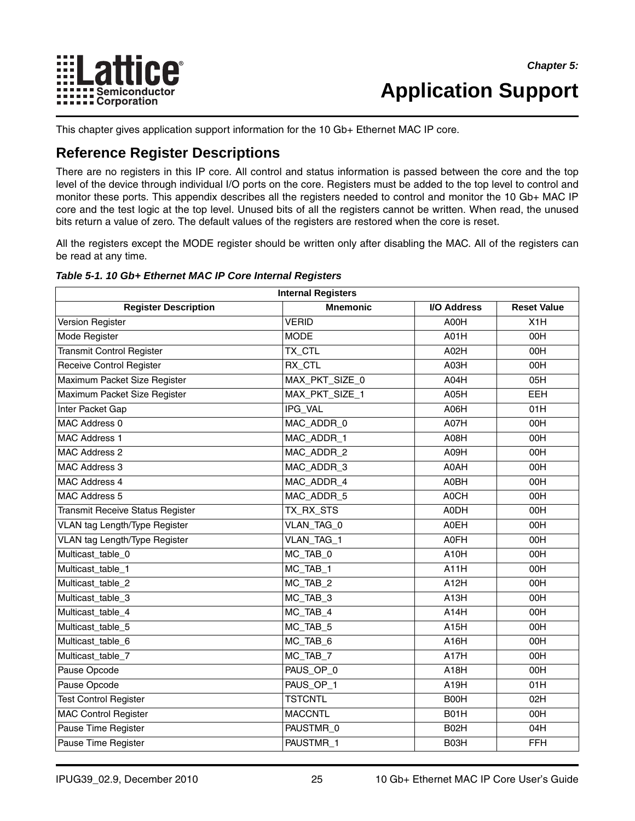

## <span id="page-24-0"></span>**Application Support**

This chapter gives application support information for the 10 Gb+ Ethernet MAC IP core.

## <span id="page-24-1"></span>**Reference Register Descriptions**

There are no registers in this IP core. All control and status information is passed between the core and the top level of the device through individual I/O ports on the core. Registers must be added to the top level to control and monitor these ports. This appendix describes all the registers needed to control and monitor the 10 Gb+ MAC IP core and the test logic at the top level. Unused bits of all the registers cannot be written. When read, the unused bits return a value of zero. The default values of the registers are restored when the core is reset.

All the registers except the MODE register should be written only after disabling the MAC. All of the registers can be read at any time.

| <b>Internal Registers</b>            |                                    |                   |                    |  |  |  |
|--------------------------------------|------------------------------------|-------------------|--------------------|--|--|--|
| <b>Register Description</b>          | <b>Mnemonic</b>                    | I/O Address       | <b>Reset Value</b> |  |  |  |
| Version Register                     | <b>VERID</b>                       | A00H              | X <sub>1</sub> H   |  |  |  |
| Mode Register                        | <b>MODE</b>                        | A01H              | 00H                |  |  |  |
| <b>Transmit Control Register</b>     | TX_CTL                             | A02H              | 00H                |  |  |  |
| Receive Control Register             | RX_CTL                             | A03H              | 00H                |  |  |  |
| Maximum Packet Size Register         | MAX_PKT_SIZE_0                     | A04H              | 05H                |  |  |  |
| Maximum Packet Size Register         | MAX_PKT_SIZE_1                     | A05H              | <b>EEH</b>         |  |  |  |
| Inter Packet Gap                     | IPG_VAL                            | A06H              | 01H                |  |  |  |
| MAC Address 0                        | MAC_ADDR_0                         | A07H              | 00H                |  |  |  |
| <b>MAC Address 1</b>                 | MAC_ADDR_1                         | A08H              | 00H                |  |  |  |
| <b>MAC Address 2</b>                 | MAC_ADDR_2                         | A09H              | 00H                |  |  |  |
| MAC Address 3                        | MAC_ADDR_3                         | A0AH              | 00H                |  |  |  |
| <b>MAC Address 4</b>                 | MAC_ADDR_4                         | A0BH              | 00H                |  |  |  |
| MAC Address 5                        | MAC_ADDR_5                         | A0CH              | 00H                |  |  |  |
| Transmit Receive Status Register     | TX_RX_STS                          | A0DH              | 00H                |  |  |  |
| VLAN tag Length/Type Register        | VLAN_TAG_0                         | A0EH              | 00H                |  |  |  |
| <b>VLAN tag Length/Type Register</b> | VLAN_TAG_1                         | <b>A0FH</b>       | 00H                |  |  |  |
| Multicast_table_0                    | MC_TAB_0                           | A <sub>10H</sub>  | 00H                |  |  |  |
| Multicast_table_1                    | $MC$ <sub><math>TAB_1</math></sub> | A11H              | 00H                |  |  |  |
| Multicast_table_2                    | MC_TAB_2                           | A12H              | 00H                |  |  |  |
| Multicast_table_3                    | $\overline{MC}$ TAB_3              | A13H              | 00H                |  |  |  |
| Multicast table 4                    | MC TAB 4                           | A14H              | 00H                |  |  |  |
| Multicast_table_5                    | MC_TAB_5                           | A15H              | 00H                |  |  |  |
| Multicast_table_6                    | MC_TAB_6                           | A <sub>16</sub> H | 00H                |  |  |  |
| Multicast_table_7                    | $MC$ _TAB_7                        | A17H              | 00H                |  |  |  |
| Pause Opcode                         | PAUS_OP_0                          | A <sub>18H</sub>  | 00H                |  |  |  |
| Pause Opcode                         | PAUS_OP_1                          | A <sub>19H</sub>  | 01H                |  |  |  |
| <b>Test Control Register</b>         | <b>TSTCNTL</b>                     | B00H              | 02H                |  |  |  |
| <b>MAC Control Register</b>          | <b>MACCNTL</b>                     | B01H              | 00H                |  |  |  |
| Pause Time Register                  | PAUSTMR 0                          | B02H              | 04H                |  |  |  |
| Pause Time Register                  | PAUSTMR_1                          | B03H              | <b>FFH</b>         |  |  |  |

#### <span id="page-24-2"></span>*Table 5-1. 10 Gb+ Ethernet MAC IP Core Internal Registers*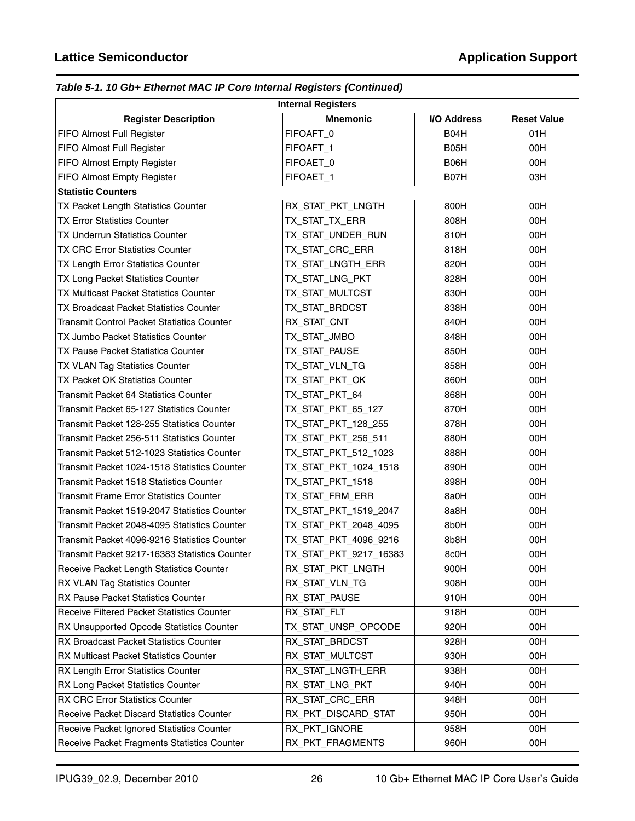## *Table 5-1. 10 Gb+ Ethernet MAC IP Core Internal Registers (Continued)*

| <b>Internal Registers</b>                      |                        |             |                    |  |  |  |  |
|------------------------------------------------|------------------------|-------------|--------------------|--|--|--|--|
| <b>Register Description</b>                    | <b>Mnemonic</b>        | I/O Address | <b>Reset Value</b> |  |  |  |  |
| FIFO Almost Full Register                      | FIFOAFT_0              | B04H        | 01H                |  |  |  |  |
| FIFO Almost Full Register                      | FIFOAFT_1              | B05H        | 00H                |  |  |  |  |
| FIFO Almost Empty Register                     | FIFOAET 0              | B06H        | 00H                |  |  |  |  |
| FIFO Almost Empty Register                     | FIFOAET_1              | B07H        | 03H                |  |  |  |  |
| <b>Statistic Counters</b>                      |                        |             |                    |  |  |  |  |
| TX Packet Length Statistics Counter            | RX_STAT_PKT_LNGTH      | 800H        | 00H                |  |  |  |  |
| <b>TX Error Statistics Counter</b>             | TX_STAT_TX_ERR         | 808H        | 00H                |  |  |  |  |
| <b>TX Underrun Statistics Counter</b>          | TX STAT UNDER RUN      | 810H        | 00H                |  |  |  |  |
| <b>TX CRC Error Statistics Counter</b>         | TX_STAT_CRC_ERR        | 818H        | 00H                |  |  |  |  |
| TX Length Error Statistics Counter             | TX_STAT_LNGTH_ERR      | 820H        | 00H                |  |  |  |  |
| TX Long Packet Statistics Counter              | TX_STAT_LNG_PKT        | 828H        | 00H                |  |  |  |  |
| TX Multicast Packet Statistics Counter         | TX_STAT_MULTCST        | 830H        | 00H                |  |  |  |  |
| TX Broadcast Packet Statistics Counter         | TX_STAT_BRDCST         | 838H        | 00H                |  |  |  |  |
| Transmit Control Packet Statistics Counter     | RX_STAT_CNT            | 840H        | 00H                |  |  |  |  |
| <b>TX Jumbo Packet Statistics Counter</b>      | TX_STAT_JMBO           | 848H        | 00H                |  |  |  |  |
| TX Pause Packet Statistics Counter             | TX_STAT_PAUSE          | 850H        | 00H                |  |  |  |  |
| TX VLAN Tag Statistics Counter                 | TX_STAT_VLN_TG         | 858H        | 00H                |  |  |  |  |
| TX Packet OK Statistics Counter                | TX_STAT_PKT_OK         | 860H        | 00H                |  |  |  |  |
| Transmit Packet 64 Statistics Counter          | TX_STAT_PKT_64         | 868H        | 00H                |  |  |  |  |
| Transmit Packet 65-127 Statistics Counter      | TX_STAT_PKT_65_127     | 870H        | 00H                |  |  |  |  |
| Transmit Packet 128-255 Statistics Counter     | TX_STAT_PKT_128_255    | 878H        | 00H                |  |  |  |  |
| Transmit Packet 256-511 Statistics Counter     | TX_STAT_PKT_256_511    | 880H        | 00H                |  |  |  |  |
| Transmit Packet 512-1023 Statistics Counter    | TX_STAT_PKT_512_1023   | 888H        | 00H                |  |  |  |  |
| Transmit Packet 1024-1518 Statistics Counter   | TX_STAT_PKT_1024_1518  | 890H        | 00H                |  |  |  |  |
| Transmit Packet 1518 Statistics Counter        | TX_STAT_PKT_1518       | 898H        | 00H                |  |  |  |  |
| <b>Transmit Frame Error Statistics Counter</b> | TX_STAT_FRM_ERR        | 8a0H        | 00H                |  |  |  |  |
| Transmit Packet 1519-2047 Statistics Counter   | TX_STAT_PKT_1519_2047  | 8a8H        | 00H                |  |  |  |  |
| Transmit Packet 2048-4095 Statistics Counter   | TX STAT PKT 2048 4095  | 8b0H        | 00H                |  |  |  |  |
| Transmit Packet 4096-9216 Statistics Counter   | TX_STAT_PKT_4096_9216  | Bb8H        | 00H                |  |  |  |  |
| Transmit Packet 9217-16383 Statistics Counter  | TX_STAT_PKT_9217_16383 | 8c0H        | 00H                |  |  |  |  |
| Receive Packet Length Statistics Counter       | RX_STAT_PKT_LNGTH      | 900H        | 00H                |  |  |  |  |
| RX VLAN Tag Statistics Counter                 | RX_STAT_VLN_TG         | 908H        | 00H                |  |  |  |  |
| RX Pause Packet Statistics Counter             | RX_STAT_PAUSE          | 910H        | 00H                |  |  |  |  |
| Receive Filtered Packet Statistics Counter     | RX_STAT_FLT            | 918H        | 00H                |  |  |  |  |
| RX Unsupported Opcode Statistics Counter       | TX_STAT_UNSP_OPCODE    | 920H        | 00H                |  |  |  |  |
| RX Broadcast Packet Statistics Counter         | RX_STAT_BRDCST         | 928H        | 00H                |  |  |  |  |
| RX Multicast Packet Statistics Counter         | RX_STAT_MULTCST        | 930H        | 00H                |  |  |  |  |
| RX Length Error Statistics Counter             | RX_STAT_LNGTH_ERR      | 938H        | 00H                |  |  |  |  |
| RX Long Packet Statistics Counter              | RX_STAT_LNG_PKT        | 940H        | 00H                |  |  |  |  |
| <b>RX CRC Error Statistics Counter</b>         | RX_STAT_CRC_ERR        | 948H        | 00H                |  |  |  |  |
| Receive Packet Discard Statistics Counter      | RX_PKT_DISCARD_STAT    | 950H        | 00H                |  |  |  |  |
| Receive Packet Ignored Statistics Counter      | RX_PKT_IGNORE          | 958H        | 00H                |  |  |  |  |
| Receive Packet Fragments Statistics Counter    | RX_PKT_FRAGMENTS       | 960H        | 00H                |  |  |  |  |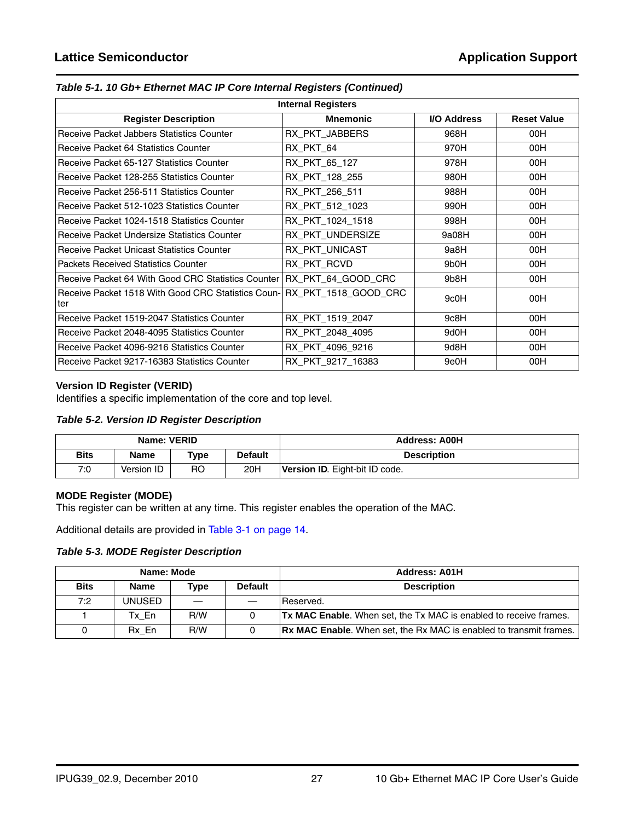| <b>Internal Registers</b>                                                      |                   |                   |                    |  |  |  |  |
|--------------------------------------------------------------------------------|-------------------|-------------------|--------------------|--|--|--|--|
| <b>Register Description</b>                                                    | <b>Mnemonic</b>   | I/O Address       | <b>Reset Value</b> |  |  |  |  |
| Receive Packet Jabbers Statistics Counter                                      | RX PKT JABBERS    | 968H              | 00H                |  |  |  |  |
| <b>Receive Packet 64 Statistics Counter</b>                                    | RX PKT 64         | 970H              | 00H                |  |  |  |  |
| Receive Packet 65-127 Statistics Counter                                       | RX PKT 65_127     | 978H              | 00H                |  |  |  |  |
| Receive Packet 128-255 Statistics Counter                                      | RX PKT 128 255    | 980H              | 00H                |  |  |  |  |
| Receive Packet 256-511 Statistics Counter                                      | RX PKT 256 511    | 988H              | 00H                |  |  |  |  |
| Receive Packet 512-1023 Statistics Counter                                     | RX PKT 512 1023   | 990H              | 00H                |  |  |  |  |
| Receive Packet 1024-1518 Statistics Counter                                    | RX PKT 1024 1518  | 998H              | 00H                |  |  |  |  |
| Receive Packet Undersize Statistics Counter                                    | RX PKT UNDERSIZE  | 9a08H             | 00H                |  |  |  |  |
| <b>Receive Packet Unicast Statistics Counter</b>                               | RX_PKT_UNICAST    | 9a8H              | 00H                |  |  |  |  |
| <b>Packets Received Statistics Counter</b>                                     | RX_PKT_RCVD       | 9b <sub>0</sub> H | 00H                |  |  |  |  |
| Receive Packet 64 With Good CRC Statistics Counter   RX PKT 64 GOOD CRC        |                   | 9b8H              | 00H                |  |  |  |  |
| Receive Packet 1518 With Good CRC Statistics Coun- RX_PKT_1518_GOOD_CRC<br>ter |                   | 9c0H              | 00H                |  |  |  |  |
| Receive Packet 1519-2047 Statistics Counter                                    | RX PKT 1519 2047  | 9c8H              | 00H                |  |  |  |  |
| Receive Packet 2048-4095 Statistics Counter                                    | RX PKT 2048 4095  | 9d0H              | 00H                |  |  |  |  |
| Receive Packet 4096-9216 Statistics Counter                                    | RX PKT 4096 9216  | 9d8H              | 00H                |  |  |  |  |
| Receive Packet 9217-16383 Statistics Counter                                   | RX PKT 9217 16383 | 9e0H              | 00H                |  |  |  |  |

#### *Table 5-1. 10 Gb+ Ethernet MAC IP Core Internal Registers (Continued)*

#### **Version ID Register (VERID)**

Identifies a specific implementation of the core and top level.

#### *Table 5-2. Version ID Register Description*

|             | Name: VERID |      |                | <b>Address: A00H</b>                  |
|-------------|-------------|------|----------------|---------------------------------------|
| <b>Bits</b> | <b>Name</b> | Type | <b>Default</b> | <b>Description</b>                    |
| 7:0         | Version ID  | RO   | 20H            | <b>Version ID.</b> Eight-bit ID code. |

#### **MODE Register (MODE)**

This register can be written at any time. This register enables the operation of the MAC.

Additional details are provided in [Table 3-1 on page 14.](#page-13-6)

#### *Table 5-3. MODE Register Description*

|             | Name: Mode    |             |                | <b>Address: A01H</b>                                                      |
|-------------|---------------|-------------|----------------|---------------------------------------------------------------------------|
| <b>Bits</b> | <b>Name</b>   | <b>Type</b> | <b>Default</b> | <b>Description</b>                                                        |
| 7:2         | <b>UNUSED</b> |             |                | IReserved.                                                                |
|             | Tx En         | R/W         |                | <b>Tx MAC Enable.</b> When set, the Tx MAC is enabled to receive frames.  |
| 0           | Rx En         | R/W         |                | <b>Rx MAC Enable.</b> When set, the Rx MAC is enabled to transmit frames. |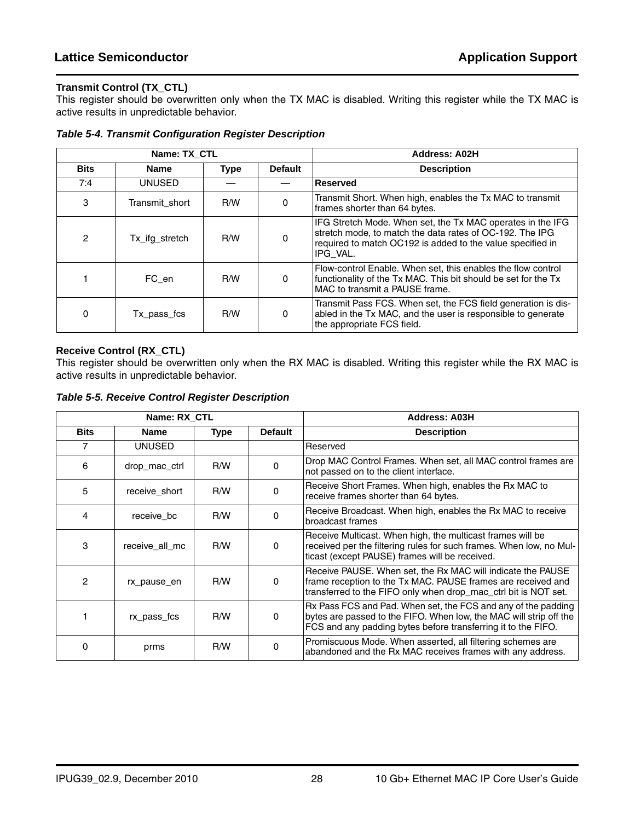#### **Transmit Control (TX\_CTL)**

This register should be overwritten only when the TX MAC is disabled. Writing this register while the TX MAC is active results in unpredictable behavior.

|                | Name: TX_CTL   |             |                | <b>Address: A02H</b>                                                                                                                                                                             |
|----------------|----------------|-------------|----------------|--------------------------------------------------------------------------------------------------------------------------------------------------------------------------------------------------|
| <b>Bits</b>    | Name           | <b>Type</b> | <b>Default</b> | <b>Description</b>                                                                                                                                                                               |
| 7:4            | <b>UNUSED</b>  |             |                | <b>Reserved</b>                                                                                                                                                                                  |
| 3              | Transmit short | R/W         | $\Omega$       | Transmit Short. When high, enables the Tx MAC to transmit<br>frames shorter than 64 bytes.                                                                                                       |
| $\overline{2}$ | Tx ifg stretch | R/W         | $\mathbf{0}$   | IFG Stretch Mode. When set, the Tx MAC operates in the IFG<br>stretch mode, to match the data rates of OC-192. The IPG<br>required to match OC192 is added to the value specified in<br>IPG VAL. |
|                | FC en          | R/W         | $\mathbf{0}$   | Flow-control Enable. When set, this enables the flow control<br>functionality of the Tx MAC. This bit should be set for the Tx<br>MAC to transmit a PAUSE frame.                                 |
| 0              | Tx pass fcs    | R/W         | $\mathbf{0}$   | Transmit Pass FCS. When set, the FCS field generation is dis-<br>abled in the Tx MAC, and the user is responsible to generate<br>the appropriate FCS field.                                      |

*Table 5-4. Transmit Configuration Register Description*

#### **Receive Control (RX\_CTL)**

This register should be overwritten only when the RX MAC is disabled. Writing this register while the RX MAC is active results in unpredictable behavior.

|             | Name: RX CTL   |             |                | <b>Address: A03H</b>                                                                                                                                                                                 |
|-------------|----------------|-------------|----------------|------------------------------------------------------------------------------------------------------------------------------------------------------------------------------------------------------|
| <b>Bits</b> | <b>Name</b>    | <b>Type</b> | <b>Default</b> | <b>Description</b>                                                                                                                                                                                   |
| 7           | <b>UNUSED</b>  |             |                | Reserved                                                                                                                                                                                             |
| 6           | drop mac ctrl  | R/W         | 0              | Drop MAC Control Frames. When set, all MAC control frames are<br>not passed on to the client interface.                                                                                              |
| 5           | receive_short  | R/W         | 0              | Receive Short Frames. When high, enables the Rx MAC to<br>receive frames shorter than 64 bytes.                                                                                                      |
| 4           | receive bc     | R/W         | 0              | Receive Broadcast. When high, enables the Rx MAC to receive<br>broadcast frames                                                                                                                      |
| 3           | receive all mc | R/W         | $\Omega$       | Receive Multicast. When high, the multicast frames will be<br>received per the filtering rules for such frames. When low, no Mul-<br>ticast (except PAUSE) frames will be received.                  |
| 2           | rx pause en    | R/W         | 0              | Receive PAUSE. When set, the Rx MAC will indicate the PAUSE<br>frame reception to the Tx MAC. PAUSE frames are received and<br>transferred to the FIFO only when drop_mac_ctrl bit is NOT set.       |
|             | rx_pass_fcs    | R/W         | 0              | Rx Pass FCS and Pad. When set, the FCS and any of the padding<br>bytes are passed to the FIFO. When low, the MAC will strip off the<br>FCS and any padding bytes before transferring it to the FIFO. |
| 0           | prms           | R/W         | 0              | Promiscuous Mode. When asserted, all filtering schemes are<br>abandoned and the Rx MAC receives frames with any address.                                                                             |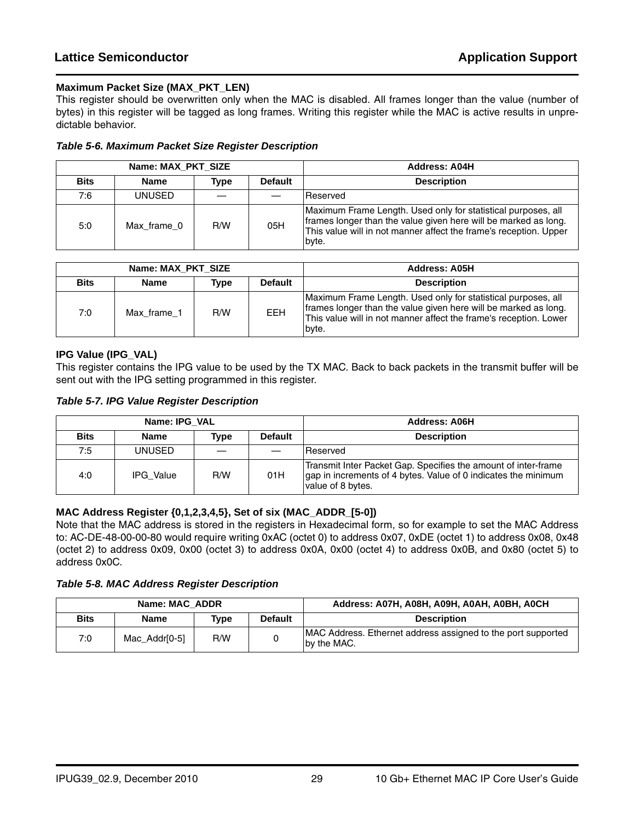#### **Maximum Packet Size (MAX\_PKT\_LEN)**

This register should be overwritten only when the MAC is disabled. All frames longer than the value (number of bytes) in this register will be tagged as long frames. Writing this register while the MAC is active results in unpredictable behavior.

#### *Table 5-6. Maximum Packet Size Register Description*

|             | Name: MAX PKT SIZE |      |                | <b>Address: A04H</b>                                                                                                                                                                                           |
|-------------|--------------------|------|----------------|----------------------------------------------------------------------------------------------------------------------------------------------------------------------------------------------------------------|
| <b>Bits</b> | <b>Name</b>        | Type | <b>Default</b> | <b>Description</b>                                                                                                                                                                                             |
| 7:6         | UNUSED             |      |                | Reserved                                                                                                                                                                                                       |
| 5:0         | Max frame 0        | R/W  | 05H            | Maximum Frame Length. Used only for statistical purposes, all<br>frames longer than the value given here will be marked as long.<br>This value will in not manner affect the frame's reception. Upper<br>byte. |

| Name: MAX PKT SIZE |             |      |                | Address: A05H                                                                                                                                                                                                  |
|--------------------|-------------|------|----------------|----------------------------------------------------------------------------------------------------------------------------------------------------------------------------------------------------------------|
| <b>Bits</b>        | Name        | Type | <b>Default</b> | <b>Description</b>                                                                                                                                                                                             |
| 7:0                | Max frame 1 | R/W  | <b>EEH</b>     | Maximum Frame Length. Used only for statistical purposes, all<br>frames longer than the value given here will be marked as long.<br>This value will in not manner affect the frame's reception. Lower<br>byte. |

#### **IPG Value (IPG\_VAL)**

This register contains the IPG value to be used by the TX MAC. Back to back packets in the transmit buffer will be sent out with the IPG setting programmed in this register.

|             | Name: IPG VAL    |      |                | <b>Address: A06H</b>                                                                                                                                  |
|-------------|------------------|------|----------------|-------------------------------------------------------------------------------------------------------------------------------------------------------|
| <b>Bits</b> | Name             | Type | <b>Default</b> | <b>Description</b>                                                                                                                                    |
| 7:5         | <b>UNUSED</b>    |      |                | Reserved                                                                                                                                              |
| 4:0         | <b>IPG Value</b> | R/W  | 01H            | Transmit Inter Packet Gap. Specifies the amount of inter-frame<br>gap in increments of 4 bytes. Value of 0 indicates the minimum<br>value of 8 bytes. |

#### **MAC Address Register {0,1,2,3,4,5}, Set of six (MAC\_ADDR\_[5-0])**

Note that the MAC address is stored in the registers in Hexadecimal form, so for example to set the MAC Address to: AC-DE-48-00-00-80 would require writing 0xAC (octet 0) to address 0x07, 0xDE (octet 1) to address 0x08, 0x48 (octet 2) to address 0x09, 0x00 (octet 3) to address 0x0A, 0x00 (octet 4) to address 0x0B, and 0x80 (octet 5) to address 0x0C.

#### *Table 5-8. MAC Address Register Description*

|             | Name: MAC ADDR |      |                | Address: A07H, A08H, A09H, A0AH, A0BH, A0CH                                  |
|-------------|----------------|------|----------------|------------------------------------------------------------------------------|
| <b>Bits</b> | <b>Name</b>    | Type | <b>Default</b> | <b>Description</b>                                                           |
| 7:0         | Mac Addr[0-5]  | R/W  |                | MAC Address. Ethernet address assigned to the port supported<br>Iby the MAC. |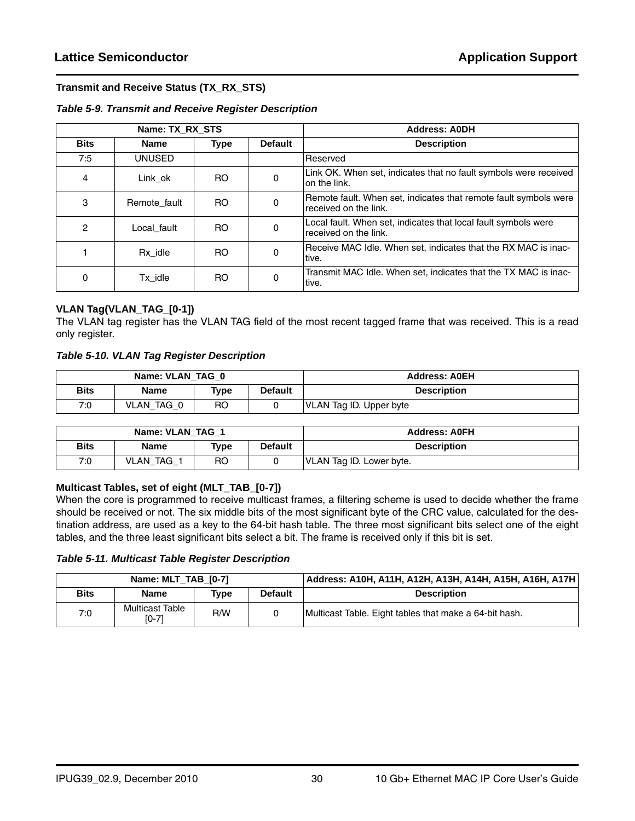#### **Transmit and Receive Status (TX\_RX\_STS)**

#### *Table 5-9. Transmit and Receive Register Description*

|                | Name: TX RX STS |             |                | <b>Address: AODH</b>                                                                      |
|----------------|-----------------|-------------|----------------|-------------------------------------------------------------------------------------------|
| <b>Bits</b>    | <b>Name</b>     | <b>Type</b> | <b>Default</b> | <b>Description</b>                                                                        |
| 7:5            | UNUSED          |             |                | Reserved                                                                                  |
| 4              | Link ok         | RO.         | 0              | Link OK. When set, indicates that no fault symbols were received<br>on the link.          |
| 3              | Remote fault    | RO.         | 0              | Remote fault. When set, indicates that remote fault symbols were<br>received on the link. |
| $\overline{c}$ | Local fault     | RO.         | 0              | Local fault. When set, indicates that local fault symbols were<br>received on the link.   |
|                | Rx idle         | RO.         | 0              | Receive MAC Idle. When set, indicates that the RX MAC is inac-<br>tive.                   |
| 0              | Tx idle         | <b>RO</b>   | 0              | Transmit MAC Idle. When set, indicates that the TX MAC is inac-<br>tive.                  |

#### **VLAN Tag(VLAN\_TAG\_[0-1])**

The VLAN tag register has the VLAN TAG field of the most recent tagged frame that was received. This is a read only register.

#### *Table 5-10. VLAN Tag Register Description*

|             | Name: VLAN TAG 0 |                |                | <b>Address: AOEH</b>    |
|-------------|------------------|----------------|----------------|-------------------------|
| <b>Bits</b> | Name             | Type           | <b>Default</b> | <b>Description</b>      |
| 7:0         | VLAN TAG 0       | R <sub>O</sub> |                | VLAN Tag ID. Upper byte |

| Name: VLAN TAG 1 |            |      |                | <b>Address: AOFH</b>     |
|------------------|------------|------|----------------|--------------------------|
| <b>Bits</b>      | Name       | Type | <b>Default</b> | <b>Description</b>       |
| 7:0              | VLAN TAG 1 | RO   |                | VLAN Tag ID. Lower byte. |

#### **Multicast Tables, set of eight (MLT\_TAB\_[0-7])**

When the core is programmed to receive multicast frames, a filtering scheme is used to decide whether the frame should be received or not. The six middle bits of the most significant byte of the CRC value, calculated for the destination address, are used as a key to the 64-bit hash table. The three most significant bits select one of the eight tables, and the three least significant bits select a bit. The frame is received only if this bit is set.

*Table 5-11. Multicast Table Register Description*

| Name: MLT TAB [0-7] |                            |      |                | Address: A10H, A11H, A12H, A13H, A14H, A15H, A16H, A17H |
|---------------------|----------------------------|------|----------------|---------------------------------------------------------|
| <b>Bits</b>         | <b>Name</b>                | Type | <b>Default</b> | <b>Description</b>                                      |
| 7:0                 | Multicast Table<br>$[0-7]$ | R/W  |                | Multicast Table. Eight tables that make a 64-bit hash.  |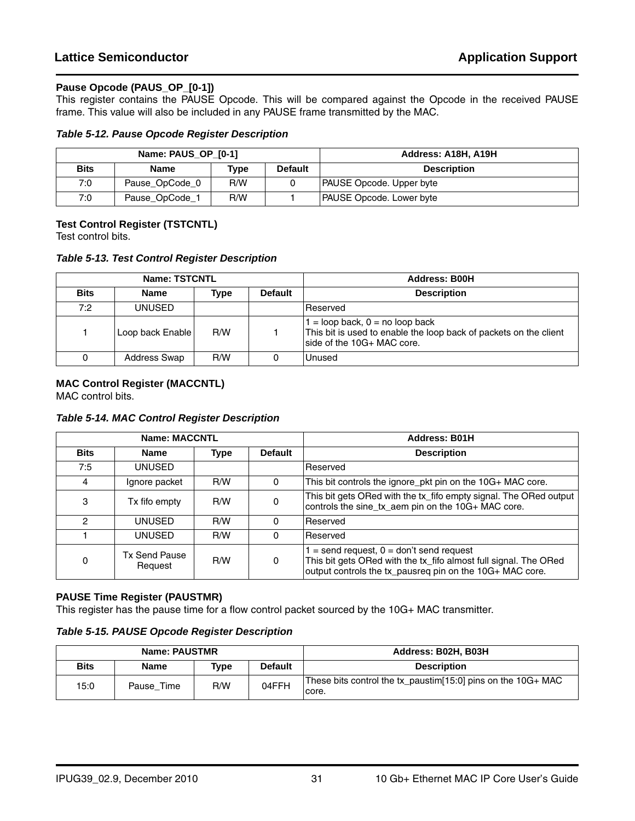#### **Pause Opcode (PAUS\_OP\_[0-1])**

This register contains the PAUSE Opcode. This will be compared against the Opcode in the received PAUSE frame. This value will also be included in any PAUSE frame transmitted by the MAC.

#### *Table 5-12. Pause Opcode Register Description*

|             | Name: PAUS OP [0-1] |      |                | Address: A18H, A19H             |
|-------------|---------------------|------|----------------|---------------------------------|
| <b>Bits</b> | <b>Name</b>         | Type | <b>Default</b> | <b>Description</b>              |
| 7:0         | Pause_OpCode_0      | R/W  |                | <b>PAUSE Opcode. Upper byte</b> |
| 7:0         | Pause_OpCode_1      | R/W  |                | <b>PAUSE Opcode. Lower byte</b> |

#### **Test Control Register (TSTCNTL)**

Test control bits.

*Table 5-13. Test Control Register Description*

|             | Name: TSTCNTL    |      |                | <b>Address: B00H</b>                                                                                                                 |
|-------------|------------------|------|----------------|--------------------------------------------------------------------------------------------------------------------------------------|
| <b>Bits</b> | Name             | Type | <b>Default</b> | <b>Description</b>                                                                                                                   |
| 7:2         | <b>UNUSED</b>    |      |                | Reserved                                                                                                                             |
|             | Loop back Enable | R/W  |                | $=$ loop back, $0 =$ no loop back<br>This bit is used to enable the loop back of packets on the client<br>side of the 10G+ MAC core. |
|             | Address Swap     | R/W  |                | Unused                                                                                                                               |

#### **MAC Control Register (MACCNTL)**

MAC control bits.

*Table 5-14. MAC Control Register Description*

|             | <b>Name: MACCNTL</b>            |      |                | <b>Address: B01H</b>                                                                                                                                                       |
|-------------|---------------------------------|------|----------------|----------------------------------------------------------------------------------------------------------------------------------------------------------------------------|
| <b>Bits</b> | Name                            | Type | <b>Default</b> | <b>Description</b>                                                                                                                                                         |
| 7:5         | UNUSED                          |      |                | Reserved                                                                                                                                                                   |
| 4           | Ignore packet                   | R/W  | 0              | This bit controls the ignore_pkt pin on the 10G+ MAC core.                                                                                                                 |
| 3           | Tx fifo empty                   | R/W  | 0              | This bit gets ORed with the tx_fifo empty signal. The ORed output<br>controls the sine_tx_aem pin on the 10G+ MAC core.                                                    |
| 2           | UNUSED                          | R/W  | 0              | Reserved                                                                                                                                                                   |
|             | UNUSED                          | R/W  |                | Reserved                                                                                                                                                                   |
| $\Omega$    | <b>Tx Send Pause</b><br>Request | R/W  | 0              | $=$ send request, $0 =$ don't send request<br>This bit gets ORed with the tx_fifo almost full signal. The ORed<br>output controls the tx_pausreg pin on the 10G+ MAC core. |

#### **PAUSE Time Register (PAUSTMR)**

This register has the pause time for a flow control packet sourced by the 10G+ MAC transmitter.

#### *Table 5-15. PAUSE Opcode Register Description*

| Name: PAUSTMR |             |      |                | Address: B02H, B03H                                                   |
|---------------|-------------|------|----------------|-----------------------------------------------------------------------|
| <b>Bits</b>   | <b>Name</b> | Type | <b>Default</b> | <b>Description</b>                                                    |
| 15:0          | Pause Time  | R/W  | 04FFH          | These bits control the tx_paustim[15:0] pins on the 10G+ MAC<br>core. |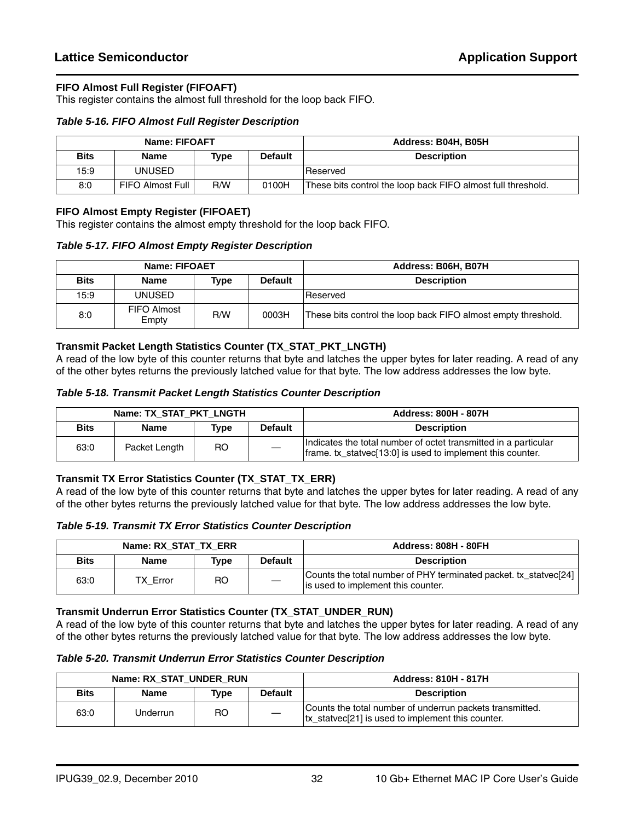#### **FIFO Almost Full Register (FIFOAFT)**

This register contains the almost full threshold for the loop back FIFO.

#### *Table 5-16. FIFO Almost Full Register Description*

| Name: FIFOAFT |                    |      |                | Address: B04H, B05H                                          |
|---------------|--------------------|------|----------------|--------------------------------------------------------------|
| <b>Bits</b>   | Name               | Type | <b>Default</b> | <b>Description</b>                                           |
| 15:9          | UNUSED             |      |                | Reserved                                                     |
| 8:0           | FIFO Almost Full I | R/W  | 0100H          | These bits control the loop back FIFO almost full threshold. |

#### **FIFO Almost Empty Register (FIFOAET)**

This register contains the almost empty threshold for the loop back FIFO.

*Table 5-17. FIFO Almost Empty Register Description*

| <b>Name: FIFOAET</b> |                      |      |                | Address: B06H, B07H                                           |
|----------------------|----------------------|------|----------------|---------------------------------------------------------------|
| <b>Bits</b>          | Name                 | Type | <b>Default</b> | <b>Description</b>                                            |
| 15:9                 | UNUSED               |      |                | <b>Reserved</b>                                               |
| 8:0                  | FIFO Almost<br>Empty | R/W  | 0003H          | These bits control the loop back FIFO almost empty threshold. |

#### **Transmit Packet Length Statistics Counter (TX\_STAT\_PKT\_LNGTH)**

A read of the low byte of this counter returns that byte and latches the upper bytes for later reading. A read of any of the other bytes returns the previously latched value for that byte. The low address addresses the low byte.

#### *Table 5-18. Transmit Packet Length Statistics Counter Description*

| Name: TX STAT PKT LNGTH |               |      |                | <b>Address: 800H - 807H</b>                                                                                                   |
|-------------------------|---------------|------|----------------|-------------------------------------------------------------------------------------------------------------------------------|
| <b>Bits</b>             | <b>Name</b>   | Type | <b>Default</b> | <b>Description</b>                                                                                                            |
| 63:0                    | Packet Length | RO   |                | Indicates the total number of octet transmitted in a particular<br>frame. tx_statvec[13:0] is used to implement this counter. |

#### **Transmit TX Error Statistics Counter (TX\_STAT\_TX\_ERR)**

A read of the low byte of this counter returns that byte and latches the upper bytes for later reading. A read of any of the other bytes returns the previously latched value for that byte. The low address addresses the low byte.

#### *Table 5-19. Transmit TX Error Statistics Counter Description*

|             | Name: RX_STAT_TX_ERR |           |                | <b>Address: 808H - 80FH</b>                                                                            |
|-------------|----------------------|-----------|----------------|--------------------------------------------------------------------------------------------------------|
| <b>Bits</b> | <b>Name</b>          | Type      | <b>Default</b> | <b>Description</b>                                                                                     |
| 63:0        | <b>TX Error</b>      | <b>RO</b> |                | Counts the total number of PHY terminated packet. tx_statvec[24]<br>is used to implement this counter. |

#### **Transmit Underrun Error Statistics Counter (TX\_STAT\_UNDER\_RUN)**

*Table 5-20. Transmit Underrun Error Statistics Counter Description*

| Name: RX STAT UNDER RUN |             |           |                | <b>Address: 810H - 817H</b>                                                                                   |
|-------------------------|-------------|-----------|----------------|---------------------------------------------------------------------------------------------------------------|
| <b>Bits</b>             | <b>Name</b> | Type      | <b>Default</b> | <b>Description</b>                                                                                            |
| 63:0                    | Underrun    | <b>RO</b> |                | Counts the total number of underrun packets transmitted.<br>tx statvec[21] is used to implement this counter. |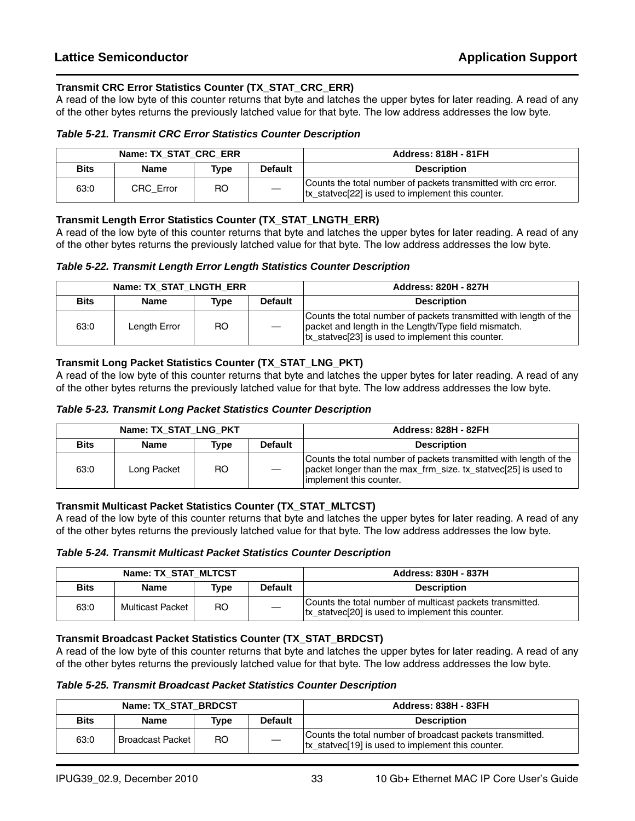#### **Transmit CRC Error Statistics Counter (TX\_STAT\_CRC\_ERR)**

A read of the low byte of this counter returns that byte and latches the upper bytes for later reading. A read of any of the other bytes returns the previously latched value for that byte. The low address addresses the low byte.

#### *Table 5-21. Transmit CRC Error Statistics Counter Description*

|             | Name: TX STAT CRC ERR |                |                | <b>Address: 818H - 81FH</b>                                                                                          |
|-------------|-----------------------|----------------|----------------|----------------------------------------------------------------------------------------------------------------------|
| <b>Bits</b> | <b>Name</b>           | Type           | <b>Default</b> | <b>Description</b>                                                                                                   |
| 63:0        | CRC Error             | R <sub>O</sub> |                | Counts the total number of packets transmitted with crc error.<br> tx_statvec[22] is used to implement this counter. |

#### **Transmit Length Error Statistics Counter (TX\_STAT\_LNGTH\_ERR)**

A read of the low byte of this counter returns that byte and latches the upper bytes for later reading. A read of any of the other bytes returns the previously latched value for that byte. The low address addresses the low byte.

#### *Table 5-22. Transmit Length Error Length Statistics Counter Description*

|             | Name: TX STAT LNGTH ERR |      |                | <b>Address: 820H - 827H</b>                                                                                                                                                    |
|-------------|-------------------------|------|----------------|--------------------------------------------------------------------------------------------------------------------------------------------------------------------------------|
| <b>Bits</b> | Name                    | Type | <b>Default</b> | <b>Description</b>                                                                                                                                                             |
| 63:0        | Length Error            | RO   |                | Counts the total number of packets transmitted with length of the<br>packet and length in the Length/Type field mismatch.<br>tx_statvec[23] is used to implement this counter. |

#### **Transmit Long Packet Statistics Counter (TX\_STAT\_LNG\_PKT)**

A read of the low byte of this counter returns that byte and latches the upper bytes for later reading. A read of any of the other bytes returns the previously latched value for that byte. The low address addresses the low byte.

#### *Table 5-23. Transmit Long Packet Statistics Counter Description*

| Name: TX STAT LNG PKT |             |      |                | <b>Address: 828H - 82FH</b>                                                                                                                                    |
|-----------------------|-------------|------|----------------|----------------------------------------------------------------------------------------------------------------------------------------------------------------|
| <b>Bits</b>           | <b>Name</b> | Type | <b>Default</b> | <b>Description</b>                                                                                                                                             |
| 63:0                  | Long Packet | RO.  |                | Counts the total number of packets transmitted with length of the<br>packet longer than the max_frm_size. tx_statvec[25] is used to<br>implement this counter. |

#### **Transmit Multicast Packet Statistics Counter (TX\_STAT\_MLTCST)**

A read of the low byte of this counter returns that byte and latches the upper bytes for later reading. A read of any of the other bytes returns the previously latched value for that byte. The low address addresses the low byte.

*Table 5-24. Transmit Multicast Packet Statistics Counter Description*

| Name: TX STAT MLTCST |                  |      |                | <b>Address: 830H - 837H</b>                                                                                    |
|----------------------|------------------|------|----------------|----------------------------------------------------------------------------------------------------------------|
| <b>Bits</b>          | <b>Name</b>      | Type | <b>Default</b> | <b>Description</b>                                                                                             |
| 63:0                 | Multicast Packet | RO.  |                | Counts the total number of multicast packets transmitted.<br>tx_statvec[20] is used to implement this counter. |

#### **Transmit Broadcast Packet Statistics Counter (TX\_STAT\_BRDCST)**

*Table 5-25. Transmit Broadcast Packet Statistics Counter Description*

| Name: TX STAT BRDCST |                           |      |                | <b>Address: 838H - 83FH</b>                                                                                     |
|----------------------|---------------------------|------|----------------|-----------------------------------------------------------------------------------------------------------------|
| <b>Bits</b>          | <b>Name</b>               | Type | <b>Default</b> | <b>Description</b>                                                                                              |
| 63:0                 | <b>Broadcast Packet I</b> | RO   |                | Counts the total number of broadcast packets transmitted.<br>tx statvec [19] is used to implement this counter. |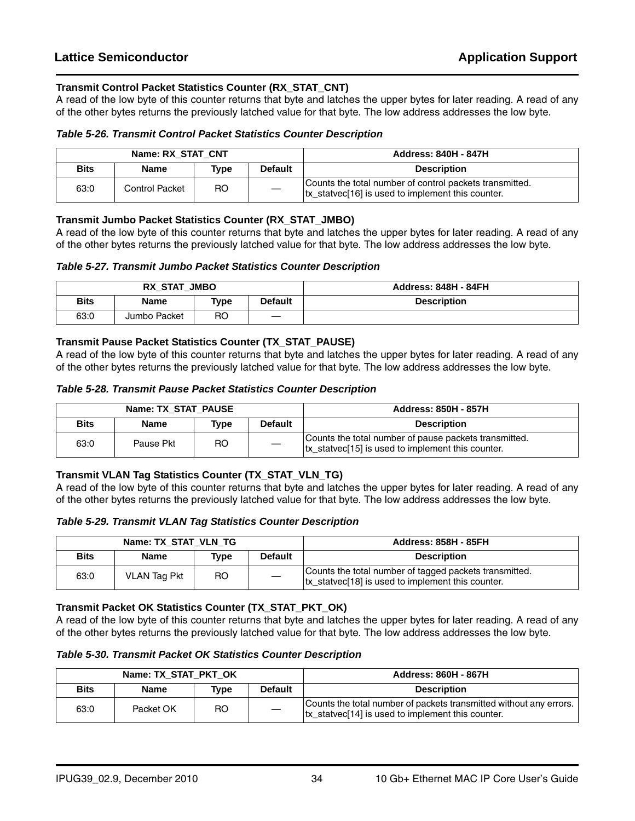#### **Transmit Control Packet Statistics Counter (RX\_STAT\_CNT)**

A read of the low byte of this counter returns that byte and latches the upper bytes for later reading. A read of any of the other bytes returns the previously latched value for that byte. The low address addresses the low byte.

#### *Table 5-26. Transmit Control Packet Statistics Counter Description*

| Name: RX STAT CNT |                |           |                | <b>Address: 840H - 847H</b>                                                                                              |
|-------------------|----------------|-----------|----------------|--------------------------------------------------------------------------------------------------------------------------|
| <b>Bits</b>       | <b>Name</b>    | Type      | <b>Default</b> | <b>Description</b>                                                                                                       |
| 63:0              | Control Packet | <b>RO</b> |                | Counts the total number of control packets transmitted.<br>tx statvec <sup>[16]</sup> is used to implement this counter. |

#### **Transmit Jumbo Packet Statistics Counter (RX\_STAT\_JMBO)**

A read of the low byte of this counter returns that byte and latches the upper bytes for later reading. A read of any of the other bytes returns the previously latched value for that byte. The low address addresses the low byte.

#### *Table 5-27. Transmit Jumbo Packet Statistics Counter Description*

| RX STAT JMBO |              |                |                | <b>Address: 848H - 84FH</b> |
|--------------|--------------|----------------|----------------|-----------------------------|
| <b>Bits</b>  | <b>Name</b>  | Type           | <b>Default</b> | <b>Description</b>          |
| 63:0         | Jumbo Packet | R <sub>O</sub> | __             |                             |

#### **Transmit Pause Packet Statistics Counter (TX\_STAT\_PAUSE)**

A read of the low byte of this counter returns that byte and latches the upper bytes for later reading. A read of any of the other bytes returns the previously latched value for that byte. The low address addresses the low byte.

#### *Table 5-28. Transmit Pause Packet Statistics Counter Description*

| Name: TX STAT PAUSE |             |      |                | <b>Address: 850H - 857H</b>                                                                                |
|---------------------|-------------|------|----------------|------------------------------------------------------------------------------------------------------------|
| <b>Bits</b>         | <b>Name</b> | Tvpe | <b>Default</b> | <b>Description</b>                                                                                         |
| 63:0                | Pause Pkt   | RO   |                | Counts the total number of pause packets transmitted.<br>tx statvec[15] is used to implement this counter. |

#### **Transmit VLAN Tag Statistics Counter (TX\_STAT\_VLN\_TG)**

A read of the low byte of this counter returns that byte and latches the upper bytes for later reading. A read of any of the other bytes returns the previously latched value for that byte. The low address addresses the low byte.

*Table 5-29. Transmit VLAN Tag Statistics Counter Description*

| Name: TX STAT VLN TG |                     |      |                | <b>Address: 858H - 85FH</b>                                                                                 |
|----------------------|---------------------|------|----------------|-------------------------------------------------------------------------------------------------------------|
| <b>Bits</b>          | Name                | Type | <b>Default</b> | <b>Description</b>                                                                                          |
| 63:0                 | <b>VLAN Tag Pkt</b> | RO.  |                | Counts the total number of tagged packets transmitted.<br>tx_statvec[18] is used to implement this counter. |

#### **Transmit Packet OK Statistics Counter (TX\_STAT\_PKT\_OK)**

*Table 5-30. Transmit Packet OK Statistics Counter Description*

| Name: TX STAT PKT OK |           |      |                | <b>Address: 860H - 867H</b>                                                                                                         |
|----------------------|-----------|------|----------------|-------------------------------------------------------------------------------------------------------------------------------------|
| <b>Bits</b>          | Name      | Type | <b>Default</b> | <b>Description</b>                                                                                                                  |
| 63:0                 | Packet OK | RO.  |                | Counts the total number of packets transmitted without any errors.<br>tx statvec <sup>[14]</sup> is used to implement this counter. |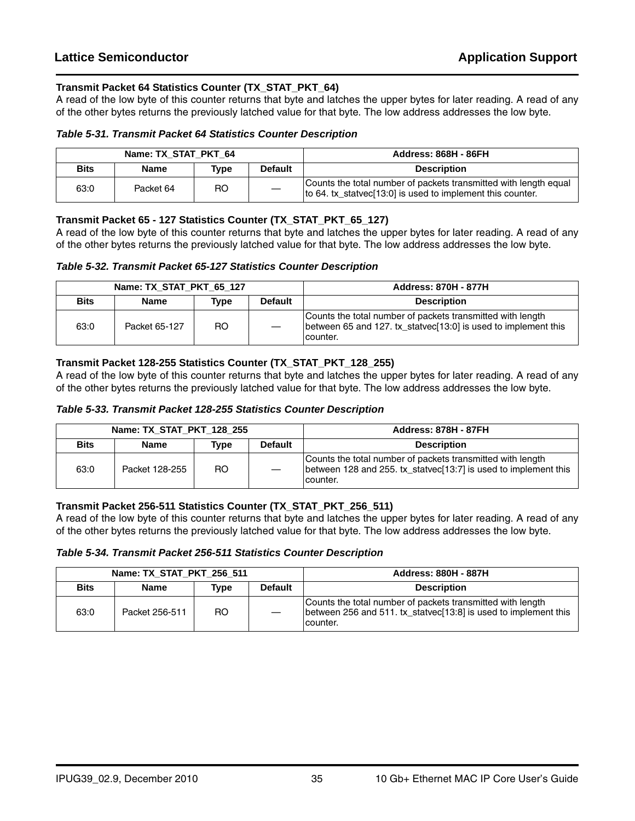#### **Transmit Packet 64 Statistics Counter (TX\_STAT\_PKT\_64)**

A read of the low byte of this counter returns that byte and latches the upper bytes for later reading. A read of any of the other bytes returns the previously latched value for that byte. The low address addresses the low byte.

#### *Table 5-31. Transmit Packet 64 Statistics Counter Description*

| Name: TX STAT PKT 64 |             |           |                | <b>Address: 868H - 86FH</b>                                                                                                    |
|----------------------|-------------|-----------|----------------|--------------------------------------------------------------------------------------------------------------------------------|
| <b>Bits</b>          | <b>Name</b> | Type      | <b>Default</b> | <b>Description</b>                                                                                                             |
| 63:0                 | Packet 64   | <b>RO</b> |                | Counts the total number of packets transmitted with length equal<br>to 64. tx_statvec[13:0] is used to implement this counter. |

#### **Transmit Packet 65 - 127 Statistics Counter (TX\_STAT\_PKT\_65\_127)**

A read of the low byte of this counter returns that byte and latches the upper bytes for later reading. A read of any of the other bytes returns the previously latched value for that byte. The low address addresses the low byte.

#### *Table 5-32. Transmit Packet 65-127 Statistics Counter Description*

| Name: TX STAT PKT 65 127 |               |           |                | <b>Address: 870H - 877H</b>                                                                                                              |
|--------------------------|---------------|-----------|----------------|------------------------------------------------------------------------------------------------------------------------------------------|
| <b>Bits</b>              | <b>Name</b>   | Type      | <b>Default</b> | <b>Description</b>                                                                                                                       |
| 63:0                     | Packet 65-127 | <b>RO</b> |                | Counts the total number of packets transmitted with length<br>between 65 and 127. tx_statvec[13:0] is used to implement this<br>counter. |

#### **Transmit Packet 128-255 Statistics Counter (TX\_STAT\_PKT\_128\_255)**

A read of the low byte of this counter returns that byte and latches the upper bytes for later reading. A read of any of the other bytes returns the previously latched value for that byte. The low address addresses the low byte.

#### *Table 5-33. Transmit Packet 128-255 Statistics Counter Description*

|             | Name: TX STAT PKT 128 255 |      |                | <b>Address: 878H - 87FH</b>                                                                                                                |
|-------------|---------------------------|------|----------------|--------------------------------------------------------------------------------------------------------------------------------------------|
| <b>Bits</b> | <b>Name</b>               | Type | <b>Default</b> | <b>Description</b>                                                                                                                         |
| 63:0        | Packet 128-255            | RO.  |                | Counts the total number of packets transmitted with length<br>between 128 and 255, tx statvec [13:7] is used to implement this<br>counter. |

#### **Transmit Packet 256-511 Statistics Counter (TX\_STAT\_PKT\_256\_511)**

*Table 5-34. Transmit Packet 256-511 Statistics Counter Description*

| Name: TX STAT PKT 256 511 |                |      |                | <b>Address: 880H - 887H</b>                                                                                                                |
|---------------------------|----------------|------|----------------|--------------------------------------------------------------------------------------------------------------------------------------------|
| <b>Bits</b>               | <b>Name</b>    | Tvpe | <b>Default</b> | <b>Description</b>                                                                                                                         |
| 63:0                      | Packet 256-511 | RO.  |                | Counts the total number of packets transmitted with length<br>between 256 and 511, tx statyec [13:8] is used to implement this<br>counter. |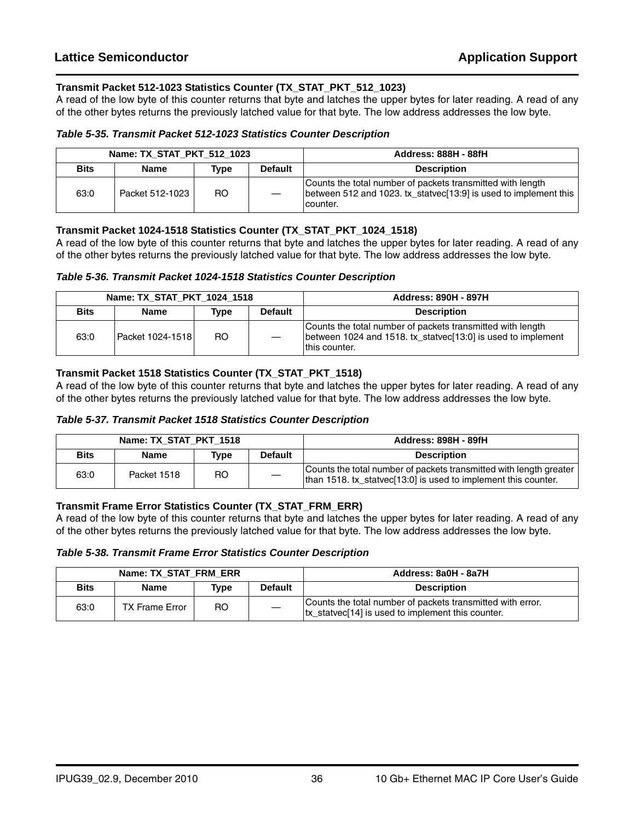#### **Transmit Packet 512-1023 Statistics Counter (TX\_STAT\_PKT\_512\_1023)**

A read of the low byte of this counter returns that byte and latches the upper bytes for later reading. A read of any of the other bytes returns the previously latched value for that byte. The low address addresses the low byte.

#### *Table 5-35. Transmit Packet 512-1023 Statistics Counter Description*

| Name: TX STAT PKT 512 1023 |                 |      |                | <b>Address: 888H - 88fH</b>                                                                                                                  |
|----------------------------|-----------------|------|----------------|----------------------------------------------------------------------------------------------------------------------------------------------|
| <b>Bits</b>                | <b>Name</b>     | Tvpe | <b>Default</b> | <b>Description</b>                                                                                                                           |
| 63:0                       | Packet 512-1023 | RO.  |                | Counts the total number of packets transmitted with length<br>between 512 and 1023. tx_statvec[13:9] is used to implement this  <br>counter. |

#### **Transmit Packet 1024-1518 Statistics Counter (TX\_STAT\_PKT\_1024\_1518)**

A read of the low byte of this counter returns that byte and latches the upper bytes for later reading. A read of any of the other bytes returns the previously latched value for that byte. The low address addresses the low byte.

#### *Table 5-36. Transmit Packet 1024-1518 Statistics Counter Description*

| Name: TX STAT PKT 1024 1518 |                  |      |                | <b>Address: 890H - 897H</b>                                                                                                                 |
|-----------------------------|------------------|------|----------------|---------------------------------------------------------------------------------------------------------------------------------------------|
| <b>Bits</b>                 | <b>Name</b>      | Tvpe | <b>Default</b> | <b>Description</b>                                                                                                                          |
| 63:0                        | Packet 1024-1518 | RO.  |                | Counts the total number of packets transmitted with length<br>between 1024 and 1518. tx_statvec[13:0] is used to implement<br>this counter. |

#### **Transmit Packet 1518 Statistics Counter (TX\_STAT\_PKT\_1518)**

A read of the low byte of this counter returns that byte and latches the upper bytes for later reading. A read of any of the other bytes returns the previously latched value for that byte. The low address addresses the low byte.

| Table 5-37. Transmit Packet 1518 Statistics Counter Description |
|-----------------------------------------------------------------|
|-----------------------------------------------------------------|

| Name: TX STAT PKT 1518 |             |      |                | <b>Address: 898H - 89fH</b>                                                                                                          |
|------------------------|-------------|------|----------------|--------------------------------------------------------------------------------------------------------------------------------------|
| <b>Bits</b>            | <b>Name</b> | Type | <b>Default</b> | <b>Description</b>                                                                                                                   |
| 63:0                   | Packet 1518 | RO.  |                | Counts the total number of packets transmitted with length greater<br>than 1518. tx_statvec[13:0] is used to implement this counter. |

#### **Transmit Frame Error Statistics Counter (TX\_STAT\_FRM\_ERR)**

*Table 5-38. Transmit Frame Error Statistics Counter Description*

| Name: TX STAT FRM ERR |                       |      |                | Address: 8a0H - 8a7H                                                                                            |
|-----------------------|-----------------------|------|----------------|-----------------------------------------------------------------------------------------------------------------|
| <b>Bits</b>           | <b>Name</b>           | Tvpe | <b>Default</b> | <b>Description</b>                                                                                              |
| 63:0                  | <b>TX Frame Error</b> | RO   |                | Counts the total number of packets transmitted with error.<br>tx_statvec[14] is used to implement this counter. |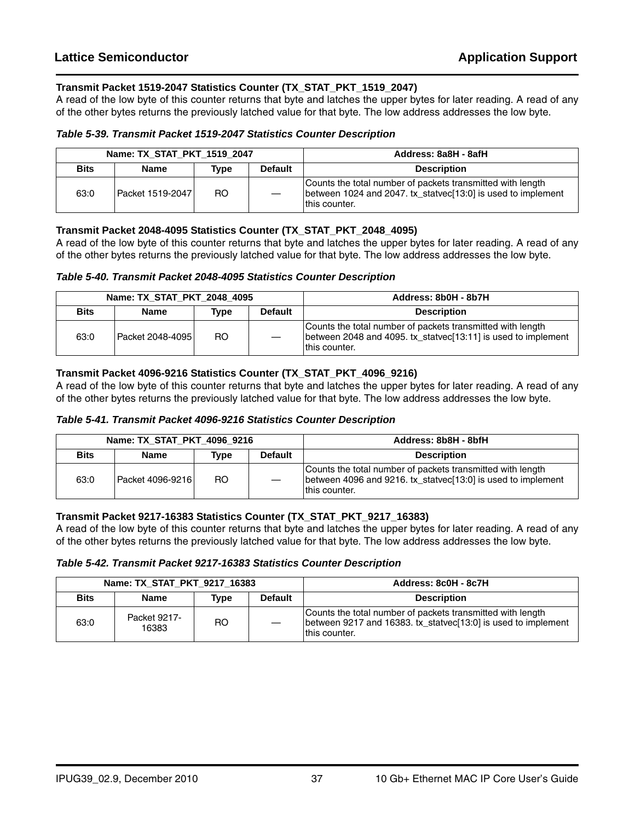#### **Transmit Packet 1519-2047 Statistics Counter (TX\_STAT\_PKT\_1519\_2047)**

A read of the low byte of this counter returns that byte and latches the upper bytes for later reading. A read of any of the other bytes returns the previously latched value for that byte. The low address addresses the low byte.

#### *Table 5-39. Transmit Packet 1519-2047 Statistics Counter Description*

| Name: TX STAT PKT 1519 2047 |                  |      |                | Address: 8a8H - 8afH                                                                                                                         |
|-----------------------------|------------------|------|----------------|----------------------------------------------------------------------------------------------------------------------------------------------|
| <b>Bits</b>                 | <b>Name</b>      | Type | <b>Default</b> | <b>Description</b>                                                                                                                           |
| 63:0                        | Packet 1519-2047 | RO.  |                | Counts the total number of packets transmitted with length<br>between 1024 and 2047. tx statyec [13:0] is used to implement<br>this counter. |

#### **Transmit Packet 2048-4095 Statistics Counter (TX\_STAT\_PKT\_2048\_4095)**

A read of the low byte of this counter returns that byte and latches the upper bytes for later reading. A read of any of the other bytes returns the previously latched value for that byte. The low address addresses the low byte.

#### *Table 5-40. Transmit Packet 2048-4095 Statistics Counter Description*

| Name: TX STAT PKT 2048 4095 |                  |      |                | Address: 8b0H - 8b7H                                                                                                                           |
|-----------------------------|------------------|------|----------------|------------------------------------------------------------------------------------------------------------------------------------------------|
| <b>Bits</b>                 | <b>Name</b>      | Type | <b>Default</b> | <b>Description</b>                                                                                                                             |
| 63:0                        | Packet 2048-4095 | RO.  |                | Counts the total number of packets transmitted with length<br>between 2048 and 4095. tx statvec [13:11] is used to implement<br>Ithis counter. |

#### **Transmit Packet 4096-9216 Statistics Counter (TX\_STAT\_PKT\_4096\_9216)**

A read of the low byte of this counter returns that byte and latches the upper bytes for later reading. A read of any of the other bytes returns the previously latched value for that byte. The low address addresses the low byte.

#### *Table 5-41. Transmit Packet 4096-9216 Statistics Counter Description*

| Name: TX STAT PKT 4096 9216 |                  |      |                | Address: 8b8H - 8bfH                                                                                                                          |
|-----------------------------|------------------|------|----------------|-----------------------------------------------------------------------------------------------------------------------------------------------|
| <b>Bits</b>                 | Name             | Tvpe | <b>Default</b> | <b>Description</b>                                                                                                                            |
| 63:0                        | Packet 4096-9216 | RO.  |                | Counts the total number of packets transmitted with length<br>between 4096 and 9216. tx statyec [13:0] is used to implement<br>Ithis counter. |

#### **Transmit Packet 9217-16383 Statistics Counter (TX\_STAT\_PKT\_9217\_16383)**

A read of the low byte of this counter returns that byte and latches the upper bytes for later reading. A read of any of the other bytes returns the previously latched value for that byte. The low address addresses the low byte.

#### *Table 5-42. Transmit Packet 9217-16383 Statistics Counter Description*

| Name: TX STAT PKT 9217 16383 |                       |      |                | Address: 8c0H - 8c7H                                                                                                                         |
|------------------------------|-----------------------|------|----------------|----------------------------------------------------------------------------------------------------------------------------------------------|
| <b>Bits</b>                  | Name                  | Tvpe | <b>Default</b> | <b>Description</b>                                                                                                                           |
| 63:0                         | Packet 9217-<br>16383 | RO   |                | Counts the total number of packets transmitted with length<br>between 9217 and 16383. tx_statvec[13:0] is used to implement<br>this counter. |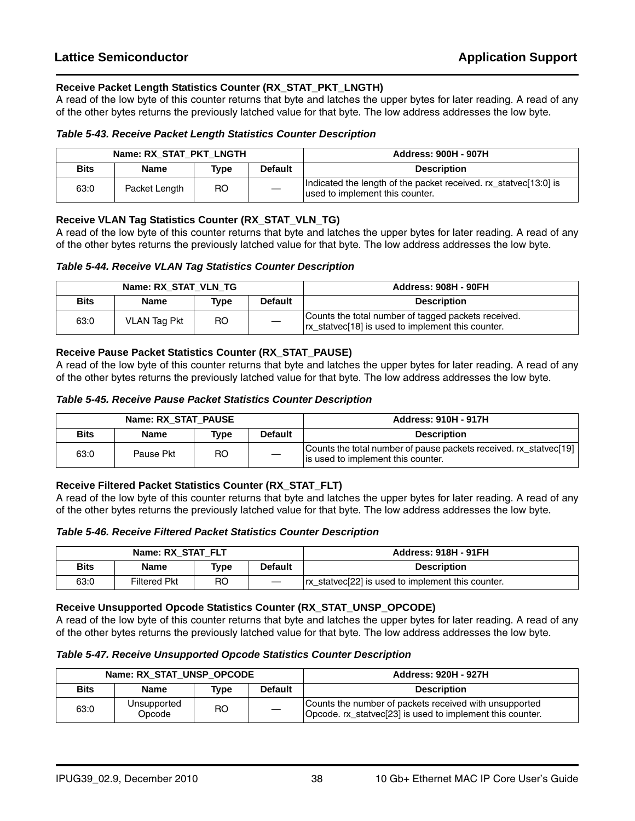#### **Receive Packet Length Statistics Counter (RX\_STAT\_PKT\_LNGTH)**

A read of the low byte of this counter returns that byte and latches the upper bytes for later reading. A read of any of the other bytes returns the previously latched value for that byte. The low address addresses the low byte.

#### *Table 5-43. Receive Packet Length Statistics Counter Description*

| Name: RX STAT PKT LNGTH |               |      |                | <b>Address: 900H - 907H</b>                                                                         |
|-------------------------|---------------|------|----------------|-----------------------------------------------------------------------------------------------------|
| <b>Bits</b>             | Name          | Type | <b>Default</b> | <b>Description</b>                                                                                  |
| 63:0                    | Packet Length | RO.  |                | Indicated the length of the packet received. rx_statvec[13:0] is<br>used to implement this counter. |

#### **Receive VLAN Tag Statistics Counter (RX\_STAT\_VLN\_TG)**

A read of the low byte of this counter returns that byte and latches the upper bytes for later reading. A read of any of the other bytes returns the previously latched value for that byte. The low address addresses the low byte.

#### *Table 5-44. Receive VLAN Tag Statistics Counter Description*

| Name: RX STAT VLN TG |                     |      |                | <b>Address: 908H - 90FH</b>                                                                           |
|----------------------|---------------------|------|----------------|-------------------------------------------------------------------------------------------------------|
| <b>Bits</b>          | <b>Name</b>         | Type | <b>Default</b> | <b>Description</b>                                                                                    |
| 63:0                 | <b>VLAN Tag Pkt</b> | RO.  |                | Counts the total number of tagged packets received.<br>In external is used to implement this counter. |

#### **Receive Pause Packet Statistics Counter (RX\_STAT\_PAUSE)**

A read of the low byte of this counter returns that byte and latches the upper bytes for later reading. A read of any of the other bytes returns the previously latched value for that byte. The low address addresses the low byte.

#### *Table 5-45. Receive Pause Packet Statistics Counter Description*

| Name: RX STAT PAUSE |             |      |         | <b>Address: 910H - 917H</b>                                                                             |
|---------------------|-------------|------|---------|---------------------------------------------------------------------------------------------------------|
| <b>Bits</b>         | <b>Name</b> | Type | Default | <b>Description</b>                                                                                      |
| 63:0                | Pause Pkt   | RO   |         | Counts the total number of pause packets received. rx statvec[19]<br>is used to implement this counter. |

#### **Receive Filtered Packet Statistics Counter (RX\_STAT\_FLT)**

A read of the low byte of this counter returns that byte and latches the upper bytes for later reading. A read of any of the other bytes returns the previously latched value for that byte. The low address addresses the low byte.

#### *Table 5-46. Receive Filtered Packet Statistics Counter Description*

| Name: RX STAT FLT |                     |             |                | <b>Address: 918H - 91FH</b>                         |
|-------------------|---------------------|-------------|----------------|-----------------------------------------------------|
| Bits              | <b>Name</b>         | <b>Type</b> | <b>Default</b> | <b>Description</b>                                  |
| 63:0              | <b>Filtered Pkt</b> | RO          |                | Trx statvec [22] is used to implement this counter. |

#### **Receive Unsupported Opcode Statistics Counter (RX\_STAT\_UNSP\_OPCODE)**

A read of the low byte of this counter returns that byte and latches the upper bytes for later reading. A read of any of the other bytes returns the previously latched value for that byte. The low address addresses the low byte.

#### *Table 5-47. Receive Unsupported Opcode Statistics Counter Description*

| Name: RX STAT UNSP OPCODE |                       |                |                | <b>Address: 920H - 927H</b>                                                                                         |
|---------------------------|-----------------------|----------------|----------------|---------------------------------------------------------------------------------------------------------------------|
| <b>Bits</b>               | <b>Name</b>           | Type           | <b>Default</b> | <b>Description</b>                                                                                                  |
| 63:0                      | Unsupported<br>Opcode | R <sub>O</sub> |                | Counts the number of packets received with unsupported<br>Opcode. rx_statvec[23] is used to implement this counter. |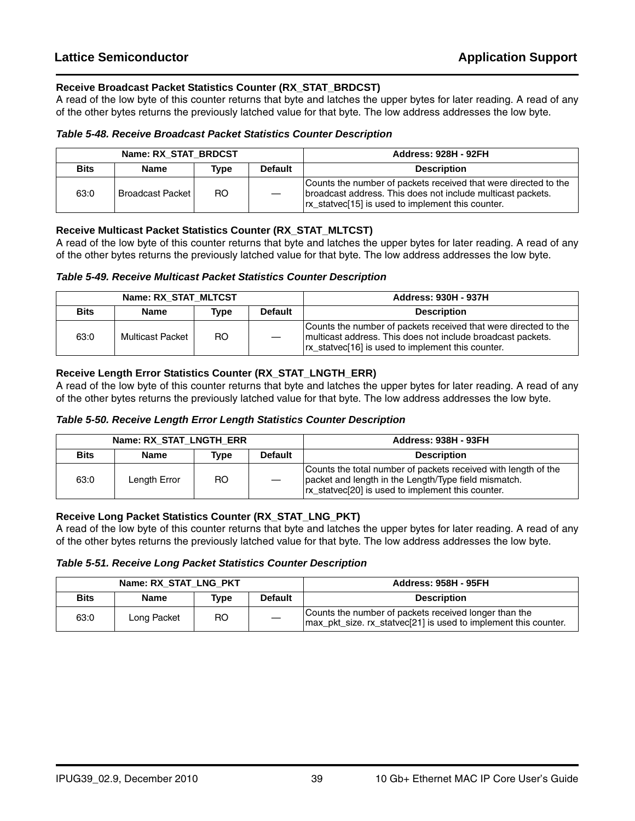#### **Receive Broadcast Packet Statistics Counter (RX\_STAT\_BRDCST)**

A read of the low byte of this counter returns that byte and latches the upper bytes for later reading. A read of any of the other bytes returns the previously latched value for that byte. The low address addresses the low byte.

#### *Table 5-48. Receive Broadcast Packet Statistics Counter Description*

| Name: RX_STAT_BRDCST |                         |      |                | <b>Address: 928H - 92FH</b>                                                                                                                                                         |
|----------------------|-------------------------|------|----------------|-------------------------------------------------------------------------------------------------------------------------------------------------------------------------------------|
| <b>Bits</b>          | <b>Name</b>             | Tvpe | <b>Default</b> | <b>Description</b>                                                                                                                                                                  |
| 63:0                 | <b>Broadcast Packet</b> | RO.  |                | Counts the number of packets received that were directed to the<br>broadcast address. This does not include multicast packets.<br>In statue [15] is used to implement this counter. |

#### **Receive Multicast Packet Statistics Counter (RX\_STAT\_MLTCST)**

A read of the low byte of this counter returns that byte and latches the upper bytes for later reading. A read of any of the other bytes returns the previously latched value for that byte. The low address addresses the low byte.

#### *Table 5-49. Receive Multicast Packet Statistics Counter Description*

| Name: RX STAT MLTCST |                  |      |                | <b>Address: 930H - 937H</b>                                                                                                                                                      |
|----------------------|------------------|------|----------------|----------------------------------------------------------------------------------------------------------------------------------------------------------------------------------|
| <b>Bits</b>          | <b>Name</b>      | Type | <b>Default</b> | <b>Description</b>                                                                                                                                                               |
| 63:0                 | Multicast Packet | RO.  |                | Counts the number of packets received that were directed to the<br>multicast address. This does not include broadcast packets.<br>In external is used to implement this counter. |

#### **Receive Length Error Statistics Counter (RX\_STAT\_LNGTH\_ERR)**

A read of the low byte of this counter returns that byte and latches the upper bytes for later reading. A read of any of the other bytes returns the previously latched value for that byte. The low address addresses the low byte.

#### *Table 5-50. Receive Length Error Length Statistics Counter Description*

| Name: RX STAT LNGTH ERR |              |      |                | <b>Address: 938H - 93FH</b>                                                                                                                                                 |
|-------------------------|--------------|------|----------------|-----------------------------------------------------------------------------------------------------------------------------------------------------------------------------|
| <b>Bits</b>             | Name         | Type | <b>Default</b> | <b>Description</b>                                                                                                                                                          |
| 63:0                    | Length Error | RO.  |                | Counts the total number of packets received with length of the<br>packet and length in the Length/Type field mismatch.<br>rx_statvec[20] is used to implement this counter. |

#### **Receive Long Packet Statistics Counter (RX\_STAT\_LNG\_PKT)**

A read of the low byte of this counter returns that byte and latches the upper bytes for later reading. A read of any of the other bytes returns the previously latched value for that byte. The low address addresses the low byte.

#### *Table 5-51. Receive Long Packet Statistics Counter Description*

| Name: RX STAT LNG PKT |             |      |                   | <b>Address: 958H - 95FH</b>                                                                                                |
|-----------------------|-------------|------|-------------------|----------------------------------------------------------------------------------------------------------------------------|
| <b>Bits</b>           | <b>Name</b> | Type | <b>Default</b>    | <b>Description</b>                                                                                                         |
| 63:0                  | Long Packet | RO.  | $\hspace{0.05cm}$ | Counts the number of packets received longer than the<br>  max_pkt_size. rx_statvec[21] is used to implement this counter. |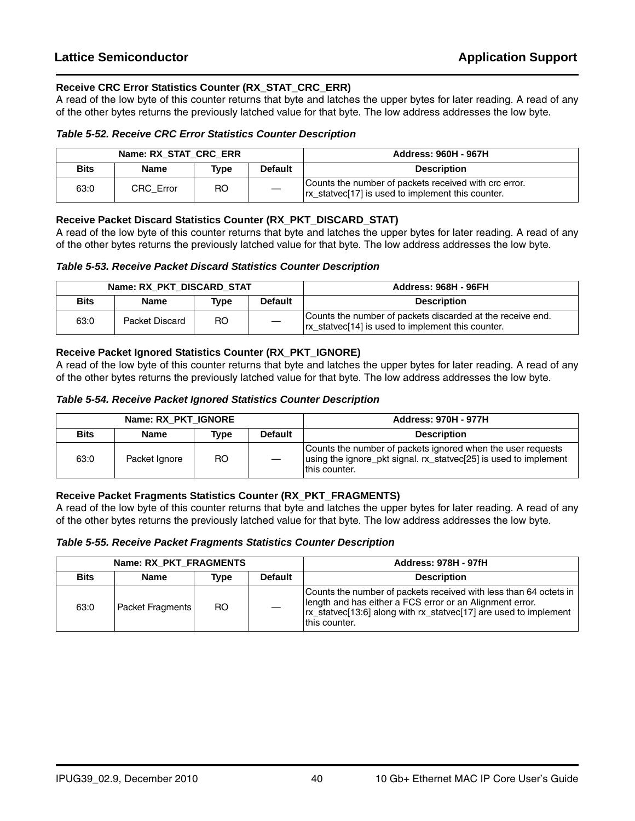#### **Receive CRC Error Statistics Counter (RX\_STAT\_CRC\_ERR)**

A read of the low byte of this counter returns that byte and latches the upper bytes for later reading. A read of any of the other bytes returns the previously latched value for that byte. The low address addresses the low byte.

#### *Table 5-52. Receive CRC Error Statistics Counter Description*

| Name: RX STAT CRC ERR |             |      |                | <b>Address: 960H - 967H</b>                                                                                       |
|-----------------------|-------------|------|----------------|-------------------------------------------------------------------------------------------------------------------|
| <b>Bits</b>           | <b>Name</b> | Type | <b>Default</b> | <b>Description</b>                                                                                                |
| 63:0                  | CRC Error   | RO   |                | Counts the number of packets received with crc error.<br>In extringular status of the status of the status scale. |

#### **Receive Packet Discard Statistics Counter (RX\_PKT\_DISCARD\_STAT)**

A read of the low byte of this counter returns that byte and latches the upper bytes for later reading. A read of any of the other bytes returns the previously latched value for that byte. The low address addresses the low byte.

#### *Table 5-53. Receive Packet Discard Statistics Counter Description*

| Name: RX PKT DISCARD STAT |                |      |                | <b>Address: 968H - 96FH</b>                                                                                |
|---------------------------|----------------|------|----------------|------------------------------------------------------------------------------------------------------------|
| <b>Bits</b>               | Name           | Tvpe | <b>Default</b> | <b>Description</b>                                                                                         |
| 63:0                      | Packet Discard | RO   |                | Counts the number of packets discarded at the receive end.<br>In statue is used to implement this counter. |

#### **Receive Packet Ignored Statistics Counter (RX\_PKT\_IGNORE)**

A read of the low byte of this counter returns that byte and latches the upper bytes for later reading. A read of any of the other bytes returns the previously latched value for that byte. The low address addresses the low byte.

#### *Table 5-54. Receive Packet Ignored Statistics Counter Description*

| Name: RX PKT IGNORE |               |      |                | <b>Address: 970H - 977H</b>                                                                                                                      |
|---------------------|---------------|------|----------------|--------------------------------------------------------------------------------------------------------------------------------------------------|
| <b>Bits</b>         | Name          | Type | <b>Default</b> | <b>Description</b>                                                                                                                               |
| 63:0                | Packet Ignore | RO   |                | Counts the number of packets ignored when the user requests<br>using the ignore_pkt signal. rx_statvec[25] is used to implement<br>this counter. |

#### **Receive Packet Fragments Statistics Counter (RX\_PKT\_FRAGMENTS)**

A read of the low byte of this counter returns that byte and latches the upper bytes for later reading. A read of any of the other bytes returns the previously latched value for that byte. The low address addresses the low byte.

#### *Table 5-55. Receive Packet Fragments Statistics Counter Description*

| Name: RX PKT FRAGMENTS |                         |      |                | <b>Address: 978H - 97fH</b>                                                                                                                                                                                         |
|------------------------|-------------------------|------|----------------|---------------------------------------------------------------------------------------------------------------------------------------------------------------------------------------------------------------------|
| <b>Bits</b>            | <b>Name</b>             | Tvpe | <b>Default</b> | <b>Description</b>                                                                                                                                                                                                  |
| 63:0                   | <b>Packet Fragments</b> | RO.  |                | Counts the number of packets received with less than 64 octets in<br>length and has either a FCS error or an Alignment error.<br> rx_statvec[13:6] along with rx_statvec[17] are used to implement<br>this counter. |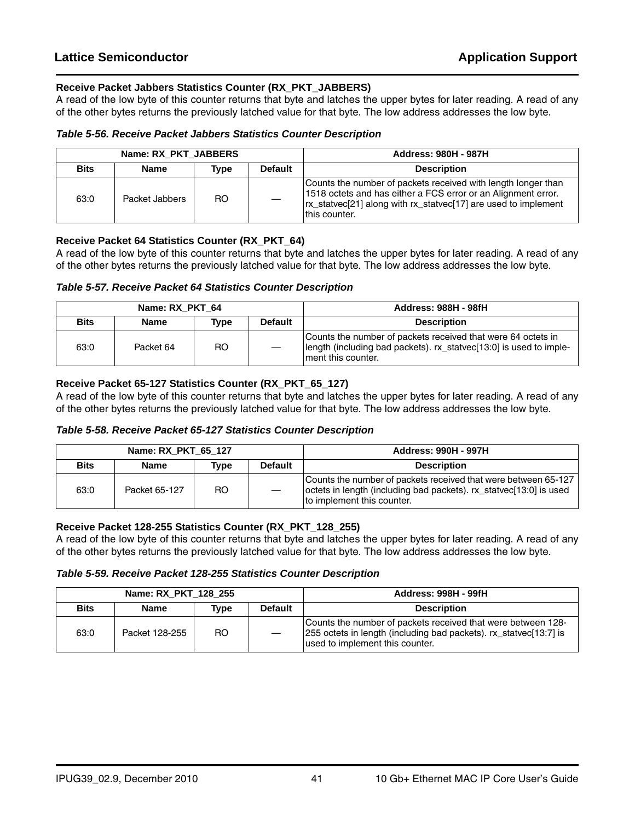#### **Receive Packet Jabbers Statistics Counter (RX\_PKT\_JABBERS)**

A read of the low byte of this counter returns that byte and latches the upper bytes for later reading. A read of any of the other bytes returns the previously latched value for that byte. The low address addresses the low byte.

#### *Table 5-56. Receive Packet Jabbers Statistics Counter Description*

| Name: RX PKT JABBERS |                |      |                | <b>Address: 980H - 987H</b>                                                                                                                                                                                         |
|----------------------|----------------|------|----------------|---------------------------------------------------------------------------------------------------------------------------------------------------------------------------------------------------------------------|
| <b>Bits</b>          | <b>Name</b>    | Type | <b>Default</b> | <b>Description</b>                                                                                                                                                                                                  |
| 63:0                 | Packet Jabbers | RO.  |                | Counts the number of packets received with length longer than<br>1518 octets and has either a FCS error or an Alignment error.<br> rx_statvec[21] along with rx_statvec[17] are used to implement<br>Ithis counter. |

#### **Receive Packet 64 Statistics Counter (RX\_PKT\_64)**

A read of the low byte of this counter returns that byte and latches the upper bytes for later reading. A read of any of the other bytes returns the previously latched value for that byte. The low address addresses the low byte.

#### *Table 5-57. Receive Packet 64 Statistics Counter Description*

| Name: RX PKT 64 |             |      |                | <b>Address: 988H - 98fH</b>                                                                                                                                |
|-----------------|-------------|------|----------------|------------------------------------------------------------------------------------------------------------------------------------------------------------|
| <b>Bits</b>     | <b>Name</b> | Type | <b>Default</b> | <b>Description</b>                                                                                                                                         |
| 63:0            | Packet 64   | RO.  |                | Counts the number of packets received that were 64 octets in<br>length (including bad packets). rx_statvec[13:0] is used to imple-<br>I ment this counter. |

#### **Receive Packet 65-127 Statistics Counter (RX\_PKT\_65\_127)**

A read of the low byte of this counter returns that byte and latches the upper bytes for later reading. A read of any of the other bytes returns the previously latched value for that byte. The low address addresses the low byte.

#### *Table 5-58. Receive Packet 65-127 Statistics Counter Description*

| Name: RX_PKT_65_127 |               |      |                | <b>Address: 990H - 997H</b>                                                                                                                                        |
|---------------------|---------------|------|----------------|--------------------------------------------------------------------------------------------------------------------------------------------------------------------|
| <b>Bits</b>         | <b>Name</b>   | Type | <b>Default</b> | <b>Description</b>                                                                                                                                                 |
| 63:0                | Packet 65-127 | RO.  |                | Counts the number of packets received that were between 65-127<br>octets in length (including bad packets). rx_statvec[13:0] is used<br>to implement this counter. |

#### **Receive Packet 128-255 Statistics Counter (RX\_PKT\_128\_255)**

A read of the low byte of this counter returns that byte and latches the upper bytes for later reading. A read of any of the other bytes returns the previously latched value for that byte. The low address addresses the low byte.

#### *Table 5-59. Receive Packet 128-255 Statistics Counter Description*

| Name: RX PKT 128 255 |                |      |                | <b>Address: 998H - 99fH</b>                                                                                                                                          |
|----------------------|----------------|------|----------------|----------------------------------------------------------------------------------------------------------------------------------------------------------------------|
| <b>Bits</b>          | Name           | Type | <b>Default</b> | <b>Description</b>                                                                                                                                                   |
| 63:0                 | Packet 128-255 | RO.  |                | Counts the number of packets received that were between 128-<br>255 octets in length (including bad packets). rx_statvec[13:7] is<br>used to implement this counter. |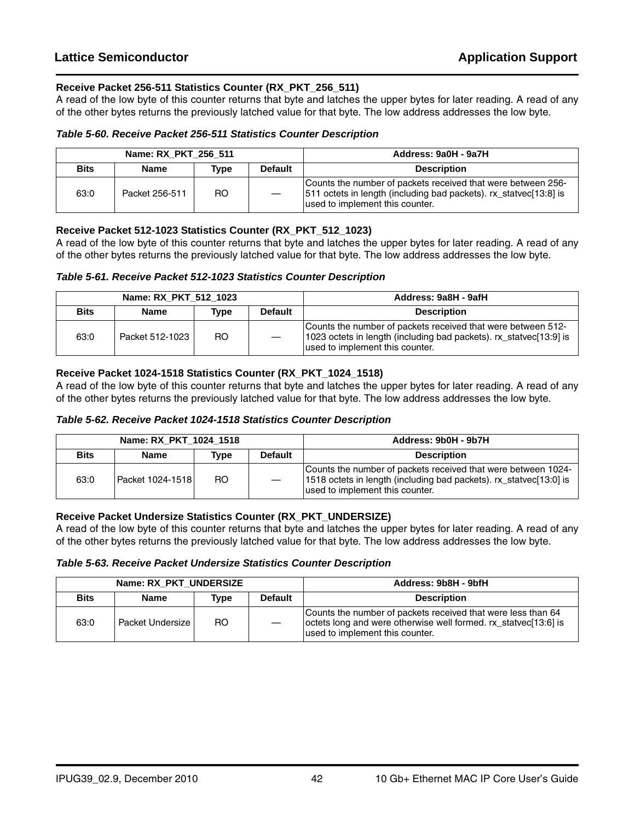#### **Receive Packet 256-511 Statistics Counter (RX\_PKT\_256\_511)**

A read of the low byte of this counter returns that byte and latches the upper bytes for later reading. A read of any of the other bytes returns the previously latched value for that byte. The low address addresses the low byte.

#### *Table 5-60. Receive Packet 256-511 Statistics Counter Description*

|             | Name: RX PKT 256 511 |      |                | Address: 9a0H - 9a7H                                                                                                                                                 |
|-------------|----------------------|------|----------------|----------------------------------------------------------------------------------------------------------------------------------------------------------------------|
| <b>Bits</b> | <b>Name</b>          | Type | <b>Default</b> | <b>Description</b>                                                                                                                                                   |
| 63:0        | Packet 256-511       | RO.  |                | Counts the number of packets received that were between 256-<br>511 octets in length (including bad packets). rx_statvec[13:8] is<br>used to implement this counter. |

#### **Receive Packet 512-1023 Statistics Counter (RX\_PKT\_512\_1023)**

A read of the low byte of this counter returns that byte and latches the upper bytes for later reading. A read of any of the other bytes returns the previously latched value for that byte. The low address addresses the low byte.

#### *Table 5-61. Receive Packet 512-1023 Statistics Counter Description*

| Name: RX PKT 512 1023 |                 |      |                | Address: 9a8H - 9afH                                                                                                                                                  |
|-----------------------|-----------------|------|----------------|-----------------------------------------------------------------------------------------------------------------------------------------------------------------------|
| <b>Bits</b>           | Name            | Type | <b>Default</b> | <b>Description</b>                                                                                                                                                    |
| 63:0                  | Packet 512-1023 | RO.  |                | Counts the number of packets received that were between 512-<br>1023 octets in length (including bad packets). rx_statvec[13:9] is<br>used to implement this counter. |

#### **Receive Packet 1024-1518 Statistics Counter (RX\_PKT\_1024\_1518)**

A read of the low byte of this counter returns that byte and latches the upper bytes for later reading. A read of any of the other bytes returns the previously latched value for that byte. The low address addresses the low byte.

#### *Table 5-62. Receive Packet 1024-1518 Statistics Counter Description*

| Name: RX PKT 1024 1518 |                  |      |                | Address: 9b0H - 9b7H                                                                                                                                                   |
|------------------------|------------------|------|----------------|------------------------------------------------------------------------------------------------------------------------------------------------------------------------|
| <b>Bits</b>            | <b>Name</b>      | Tvpe | <b>Default</b> | <b>Description</b>                                                                                                                                                     |
| 63:0                   | Packet 1024-1518 | RO.  |                | Counts the number of packets received that were between 1024-<br>1518 octets in length (including bad packets). rx_statvec[13:0] is<br>used to implement this counter. |

#### **Receive Packet Undersize Statistics Counter (RX\_PKT\_UNDERSIZE)**

A read of the low byte of this counter returns that byte and latches the upper bytes for later reading. A read of any of the other bytes returns the previously latched value for that byte. The low address addresses the low byte.

#### *Table 5-63. Receive Packet Undersize Statistics Counter Description*

| Name: RX PKT UNDERSIZE |                    |      |                | Address: 9b8H - 9bfH                                                                                                                                               |
|------------------------|--------------------|------|----------------|--------------------------------------------------------------------------------------------------------------------------------------------------------------------|
| <b>Bits</b>            | <b>Name</b>        | Tvpe | <b>Default</b> | <b>Description</b>                                                                                                                                                 |
| 63:0                   | Packet Undersize I | RO.  |                | Counts the number of packets received that were less than 64<br>octets long and were otherwise well formed. rx_statvec[13:6] is<br>used to implement this counter. |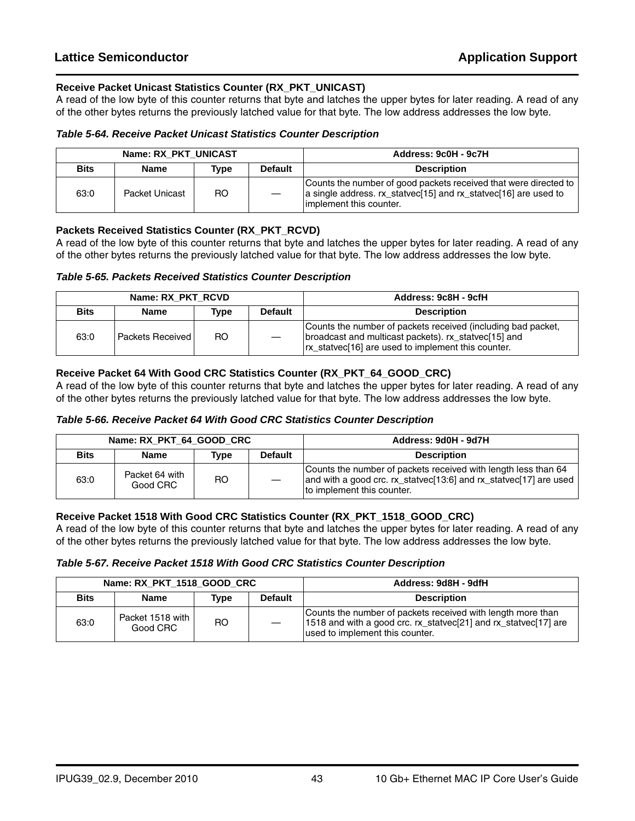#### **Receive Packet Unicast Statistics Counter (RX\_PKT\_UNICAST)**

A read of the low byte of this counter returns that byte and latches the upper bytes for later reading. A read of any of the other bytes returns the previously latched value for that byte. The low address addresses the low byte.

#### *Table 5-64. Receive Packet Unicast Statistics Counter Description*

|             | Name: RX PKT UNICAST |      |                | Address: 9c0H - 9c7H                                                                                                                                             |
|-------------|----------------------|------|----------------|------------------------------------------------------------------------------------------------------------------------------------------------------------------|
| <b>Bits</b> | <b>Name</b>          | Type | <b>Default</b> | <b>Description</b>                                                                                                                                               |
| 63:0        | Packet Unicast       | RO.  |                | Counts the number of good packets received that were directed to  <br>a single address. rx_statvec[15] and rx_statvec[16] are used to<br>implement this counter. |

#### **Packets Received Statistics Counter (RX\_PKT\_RCVD)**

A read of the low byte of this counter returns that byte and latches the upper bytes for later reading. A read of any of the other bytes returns the previously latched value for that byte. The low address addresses the low byte.

#### *Table 5-65. Packets Received Statistics Counter Description*

| Name: RX PKT RCVD |                           |      |                | Address: 9c8H - 9cfH                                                                                                                                                       |
|-------------------|---------------------------|------|----------------|----------------------------------------------------------------------------------------------------------------------------------------------------------------------------|
| <b>Bits</b>       | <b>Name</b>               | Type | <b>Default</b> | <b>Description</b>                                                                                                                                                         |
| 63:0              | <b>Packets Received I</b> | RO.  |                | Counts the number of packets received (including bad packet,<br>broadcast and multicast packets). rx statvec[15] and<br>In statue [16] are used to implement this counter. |

#### **Receive Packet 64 With Good CRC Statistics Counter (RX\_PKT\_64\_GOOD\_CRC)**

A read of the low byte of this counter returns that byte and latches the upper bytes for later reading. A read of any of the other bytes returns the previously latched value for that byte. The low address addresses the low byte.

#### *Table 5-66. Receive Packet 64 With Good CRC Statistics Counter Description*

|             | Name: RX PKT 64 GOOD CRC   |      |                | Address: 9d0H - 9d7H                                                                                                                                              |
|-------------|----------------------------|------|----------------|-------------------------------------------------------------------------------------------------------------------------------------------------------------------|
| <b>Bits</b> | Name                       | Tvpe | <b>Default</b> | <b>Description</b>                                                                                                                                                |
| 63:0        | Packet 64 with<br>Good CRC | RO.  |                | Counts the number of packets received with length less than 64<br>and with a good crc. rx_statvec[13:6] and rx_statvec[17] are used<br>to implement this counter. |

#### **Receive Packet 1518 With Good CRC Statistics Counter (RX\_PKT\_1518\_GOOD\_CRC)**

A read of the low byte of this counter returns that byte and latches the upper bytes for later reading. A read of any of the other bytes returns the previously latched value for that byte. The low address addresses the low byte.

#### *Table 5-67. Receive Packet 1518 With Good CRC Statistics Counter Description*

|             | Name: RX PKT 1518 GOOD CRC   |      |                | Address: 9d8H - 9dfH                                                                                                                                              |
|-------------|------------------------------|------|----------------|-------------------------------------------------------------------------------------------------------------------------------------------------------------------|
| <b>Bits</b> | Name                         | Type | <b>Default</b> | <b>Description</b>                                                                                                                                                |
| 63:0        | Packet 1518 with<br>Good CRC | RO   |                | Counts the number of packets received with length more than<br>1518 and with a good crc. rx_statvec[21] and rx_statvec[17] are<br>used to implement this counter. |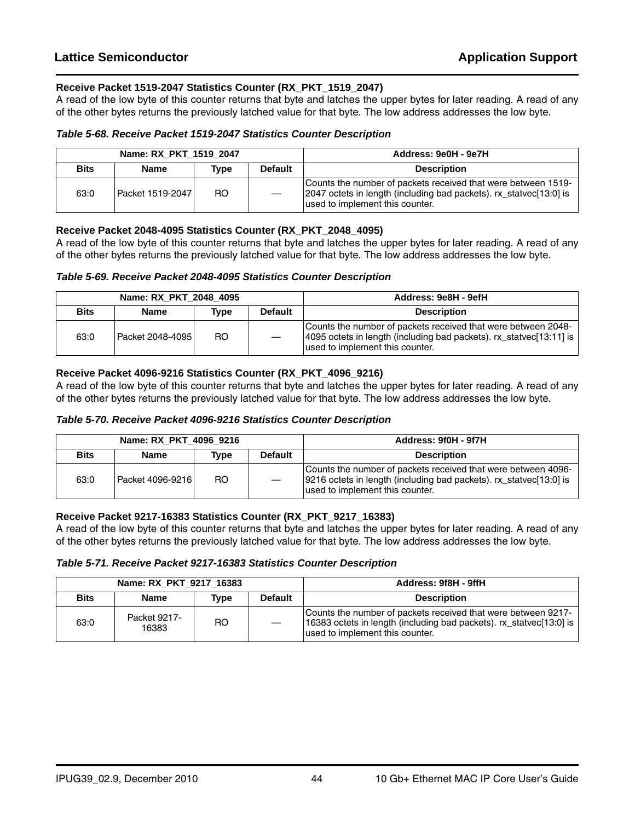#### **Receive Packet 1519-2047 Statistics Counter (RX\_PKT\_1519\_2047)**

A read of the low byte of this counter returns that byte and latches the upper bytes for later reading. A read of any of the other bytes returns the previously latched value for that byte. The low address addresses the low byte.

#### *Table 5-68. Receive Packet 1519-2047 Statistics Counter Description*

|             | Name: RX PKT 1519 2047 |      |                | Address: 9e0H - 9e7H                                                                                                                                                   |
|-------------|------------------------|------|----------------|------------------------------------------------------------------------------------------------------------------------------------------------------------------------|
| <b>Bits</b> | <b>Name</b>            | Type | <b>Default</b> | <b>Description</b>                                                                                                                                                     |
| 63:0        | Packet 1519-2047       | RO.  |                | Counts the number of packets received that were between 1519-<br>2047 octets in length (including bad packets). rx_statvec[13:0] is<br>used to implement this counter. |

#### **Receive Packet 2048-4095 Statistics Counter (RX\_PKT\_2048\_4095)**

A read of the low byte of this counter returns that byte and latches the upper bytes for later reading. A read of any of the other bytes returns the previously latched value for that byte. The low address addresses the low byte.

#### *Table 5-69. Receive Packet 2048-4095 Statistics Counter Description*

| Name: RX PKT 2048 4095 |                  |      |                | Address: 9e8H - 9efH                                                                                                                                                      |
|------------------------|------------------|------|----------------|---------------------------------------------------------------------------------------------------------------------------------------------------------------------------|
| <b>Bits</b>            | <b>Name</b>      | Type | <b>Default</b> | <b>Description</b>                                                                                                                                                        |
| 63:0                   | Packet 2048-4095 | RO.  |                | Counts the number of packets received that were between 2048-<br>4095 octets in length (including bad packets). rx_statvec[13:11] is  <br>used to implement this counter. |

#### **Receive Packet 4096-9216 Statistics Counter (RX\_PKT\_4096\_9216)**

A read of the low byte of this counter returns that byte and latches the upper bytes for later reading. A read of any of the other bytes returns the previously latched value for that byte. The low address addresses the low byte.

#### *Table 5-70. Receive Packet 4096-9216 Statistics Counter Description*

| Name: RX PKT 4096 9216 |                  |      |                | Address: 9f0H - 9f7H                                                                                                                                                   |
|------------------------|------------------|------|----------------|------------------------------------------------------------------------------------------------------------------------------------------------------------------------|
| <b>Bits</b>            | <b>Name</b>      | Type | <b>Default</b> | <b>Description</b>                                                                                                                                                     |
| 63:0                   | Packet 4096-9216 | RO.  |                | Counts the number of packets received that were between 4096-<br>9216 octets in length (including bad packets). rx_statvec[13:0] is<br>used to implement this counter. |

#### **Receive Packet 9217-16383 Statistics Counter (RX\_PKT\_9217\_16383)**

A read of the low byte of this counter returns that byte and latches the upper bytes for later reading. A read of any of the other bytes returns the previously latched value for that byte. The low address addresses the low byte.

#### *Table 5-71. Receive Packet 9217-16383 Statistics Counter Description*

| Name: RX PKT 9217 16383 |                       |      |                | Address: 9f8H - 9ffH                                                                                                                                                    |
|-------------------------|-----------------------|------|----------------|-------------------------------------------------------------------------------------------------------------------------------------------------------------------------|
| <b>Bits</b>             | <b>Name</b>           | Tvpe | <b>Default</b> | <b>Description</b>                                                                                                                                                      |
| 63:0                    | Packet 9217-<br>16383 | RO   |                | Counts the number of packets received that were between 9217-<br>16383 octets in length (including bad packets). rx_statvec[13:0] is<br>used to implement this counter. |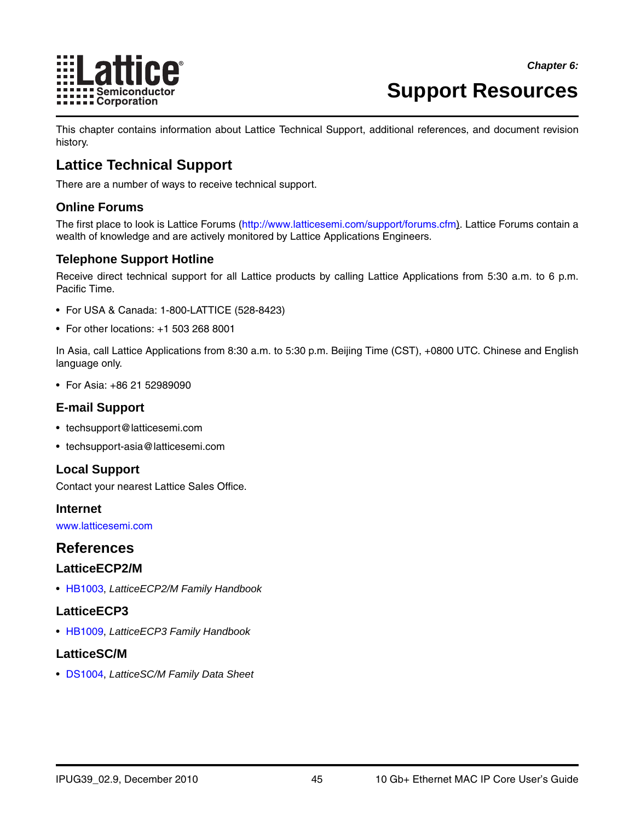

## <span id="page-44-0"></span>**Support Resources**

This chapter contains information about Lattice Technical Support, additional references, and document revision history.

## <span id="page-44-1"></span>**Lattice Technical Support**

There are a number of ways to receive technical support.

#### <span id="page-44-2"></span>**Online Forums**

The first place to look is Lattice Forums [\(http://www.latticesemi.com/support/forums.cfm](http://www.latticesemi.com/support/forums.cfm)). Lattice Forums contain a wealth of knowledge and are actively monitored by Lattice Applications Engineers.

### <span id="page-44-3"></span>**Telephone Support Hotline**

Receive direct technical support for all Lattice products by calling Lattice Applications from 5:30 a.m. to 6 p.m. Pacific Time.

- For USA & Canada: 1-800-LATTICE (528-8423)
- For other locations: +1 503 268 8001

In Asia, call Lattice Applications from 8:30 a.m. to 5:30 p.m. Beijing Time (CST), +0800 UTC. Chinese and English language only.

• For Asia: +86 21 52989090

#### <span id="page-44-4"></span>**E-mail Support**

- techsupport@latticesemi.com
- techsupport-asia@latticesemi.com

### <span id="page-44-5"></span>**Local Support**

Contact your nearest Lattice Sales Office.

<span id="page-44-6"></span>**Internet**

<www.latticesemi.com>

## <span id="page-44-7"></span>**References**

#### <span id="page-44-8"></span>**LatticeECP2/M**

• [HB1003,](www.latticesemi.com/dynamic/view_document.cfm?document_id=21733) *LatticeECP2/M Family Handbook*

### <span id="page-44-9"></span>**LatticeECP3**

• [HB1009,](www.latticesemi.com/dynamic/view_document.cfm?document_id=32001) *LatticeECP3 Family Handbook*

### <span id="page-44-10"></span>**LatticeSC/M**

• [DS1004,](http://www.latticesemi.com/documents/DS1004.pdf) *LatticeSC/M Family Data Sheet*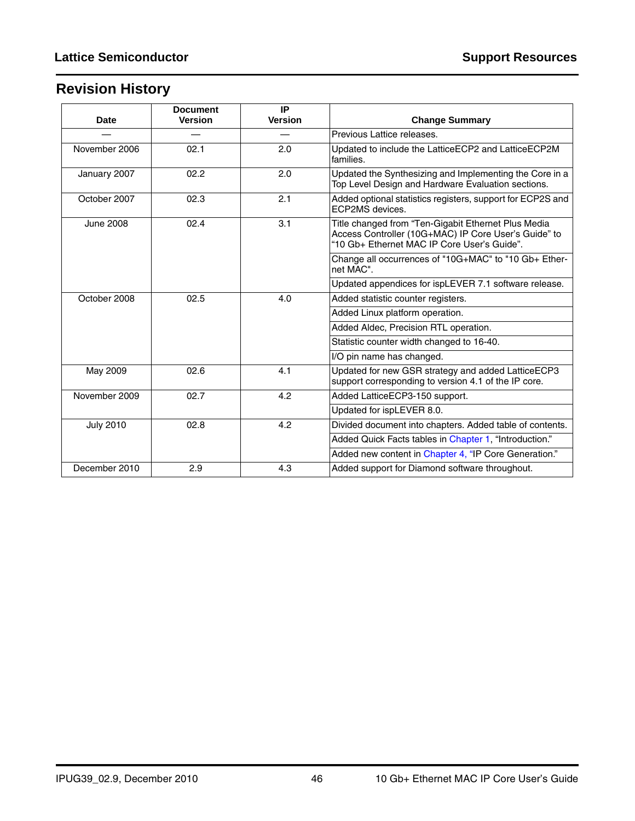## <span id="page-45-0"></span>**Revision History**

| <b>Date</b>      | <b>Document</b><br><b>Version</b> | IP<br><b>Version</b> | <b>Change Summary</b>                                                                                                                                      |  |  |
|------------------|-----------------------------------|----------------------|------------------------------------------------------------------------------------------------------------------------------------------------------------|--|--|
|                  |                                   |                      | Previous Lattice releases.                                                                                                                                 |  |  |
| November 2006    | 02.1                              | 2.0                  | Updated to include the LatticeECP2 and LatticeECP2M<br>families.                                                                                           |  |  |
| January 2007     | 02.2                              | 2.0                  | Updated the Synthesizing and Implementing the Core in a<br>Top Level Design and Hardware Evaluation sections.                                              |  |  |
| October 2007     | 02.3                              | 2.1                  | Added optional statistics registers, support for ECP2S and<br>ECP2MS devices.                                                                              |  |  |
| <b>June 2008</b> | 02.4                              | 3.1                  | Title changed from "Ten-Gigabit Ethernet Plus Media<br>Access Controller (10G+MAC) IP Core User's Guide" to<br>"10 Gb+ Ethernet MAC IP Core User's Guide". |  |  |
|                  |                                   |                      | Change all occurrences of "10G+MAC" to "10 Gb+ Ether-<br>net MAC".                                                                                         |  |  |
|                  |                                   |                      | Updated appendices for ispLEVER 7.1 software release.                                                                                                      |  |  |
| October 2008     | 02.5                              | 4.0                  | Added statistic counter registers.                                                                                                                         |  |  |
|                  |                                   |                      | Added Linux platform operation.                                                                                                                            |  |  |
|                  |                                   |                      | Added Aldec, Precision RTL operation.                                                                                                                      |  |  |
|                  |                                   |                      | Statistic counter width changed to 16-40.                                                                                                                  |  |  |
|                  |                                   |                      | I/O pin name has changed.                                                                                                                                  |  |  |
| May 2009         | 02.6                              | 4.1                  | Updated for new GSR strategy and added LatticeECP3<br>support corresponding to version 4.1 of the IP core.                                                 |  |  |
| November 2009    | 02.7                              | 4.2                  | Added LatticeECP3-150 support.                                                                                                                             |  |  |
|                  |                                   |                      | Updated for ispLEVER 8.0.                                                                                                                                  |  |  |
| <b>July 2010</b> | 02.8                              | 4.2                  | Divided document into chapters. Added table of contents.                                                                                                   |  |  |
|                  |                                   |                      | Added Quick Facts tables in Chapter 1, "Introduction."                                                                                                     |  |  |
|                  |                                   |                      | Added new content in Chapter 4, "IP Core Generation."                                                                                                      |  |  |
| December 2010    | 2.9                               | 4.3                  | Added support for Diamond software throughout.                                                                                                             |  |  |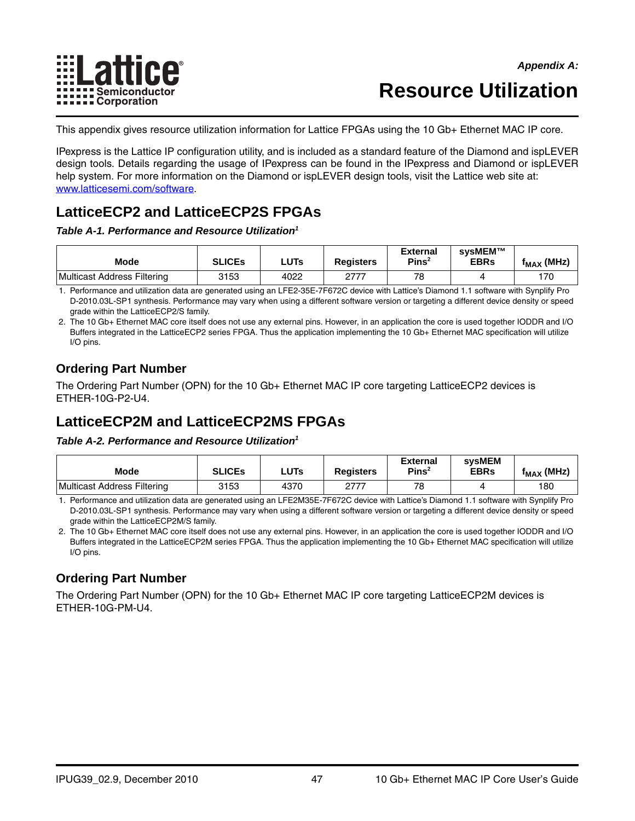

## **Resource Utilization**

<span id="page-46-0"></span>This appendix gives resource utilization information for Lattice FPGAs using the 10 Gb+ Ethernet MAC IP core.

IPexpress is the Lattice IP configuration utility, and is included as a standard feature of the Diamond and ispLEVER design tools. Details regarding the usage of IPexpress can be found in the IPexpress and Diamond or ispLEVER help system. For more information on the Diamond or ispLEVER design tools, visit the Lattice web site at: [www.latticesemi.com/software.](http://www.latticesemi.com/products/designsoftware/index.cfm)

## <span id="page-46-1"></span>**LatticeECP2 and LatticeECP2S FPGAs**

*Table A-1. Performance and Resource Utilization1*

| <b>Mode</b>                 | <b>SLICES</b> | LUTs | <b>Registers</b> | <b>External</b><br>Pins <sup>2</sup> | svsMEM™<br><b>EBRs</b> | $f_{MAX}$ (MHz) |
|-----------------------------|---------------|------|------------------|--------------------------------------|------------------------|-----------------|
| Multicast Address Filtering | 3153          | 4022 | ヘフフフ             | 78                                   |                        | 170             |

1. Performance and utilization data are generated using an LFE2-35E-7F672C device with Lattice's Diamond 1.1 software with Synplify Pro D-2010.03L-SP1 synthesis. Performance may vary when using a different software version or targeting a different device density or speed grade within the LatticeECP2/S family.

2. The 10 Gb+ Ethernet MAC core itself does not use any external pins. However, in an application the core is used together IODDR and I/O Buffers integrated in the LatticeECP2 series FPGA. Thus the application implementing the 10 Gb+ Ethernet MAC specification will utilize I/O pins.

## <span id="page-46-2"></span>**Ordering Part Number**

The Ordering Part Number (OPN) for the 10 Gb+ Ethernet MAC IP core targeting LatticeECP2 devices is ETHER-10G-P2-U4.

## <span id="page-46-3"></span>**LatticeECP2M and LatticeECP2MS FPGAs**

#### *Table A-2. Performance and Resource Utilization1*

| <b>Mode</b>                 | <b>SLICEs</b> | <b>LUTs</b> | <b>Registers</b> | <b>External</b><br>Pins <sup>2</sup> | <b>sysMEM</b><br><b>EBRs</b> | $f_{MAX}$ (MHz) |
|-----------------------------|---------------|-------------|------------------|--------------------------------------|------------------------------|-----------------|
| Multicast Address Filtering | 3153          | 4370        | ヘフフフ             | 78                                   |                              | 180             |

1. Performance and utilization data are generated using an LFE2M35E-7F672C device with Lattice's Diamond 1.1 software with Synplify Pro D-2010.03L-SP1 synthesis. Performance may vary when using a different software version or targeting a different device density or speed grade within the LatticeECP2M/S family.

2. The 10 Gb+ Ethernet MAC core itself does not use any external pins. However, in an application the core is used together IODDR and I/O Buffers integrated in the LatticeECP2M series FPGA. Thus the application implementing the 10 Gb+ Ethernet MAC specification will utilize I/O pins.

## <span id="page-46-4"></span>**Ordering Part Number**

The Ordering Part Number (OPN) for the 10 Gb+ Ethernet MAC IP core targeting LatticeECP2M devices is ETHER-10G-PM-U4.